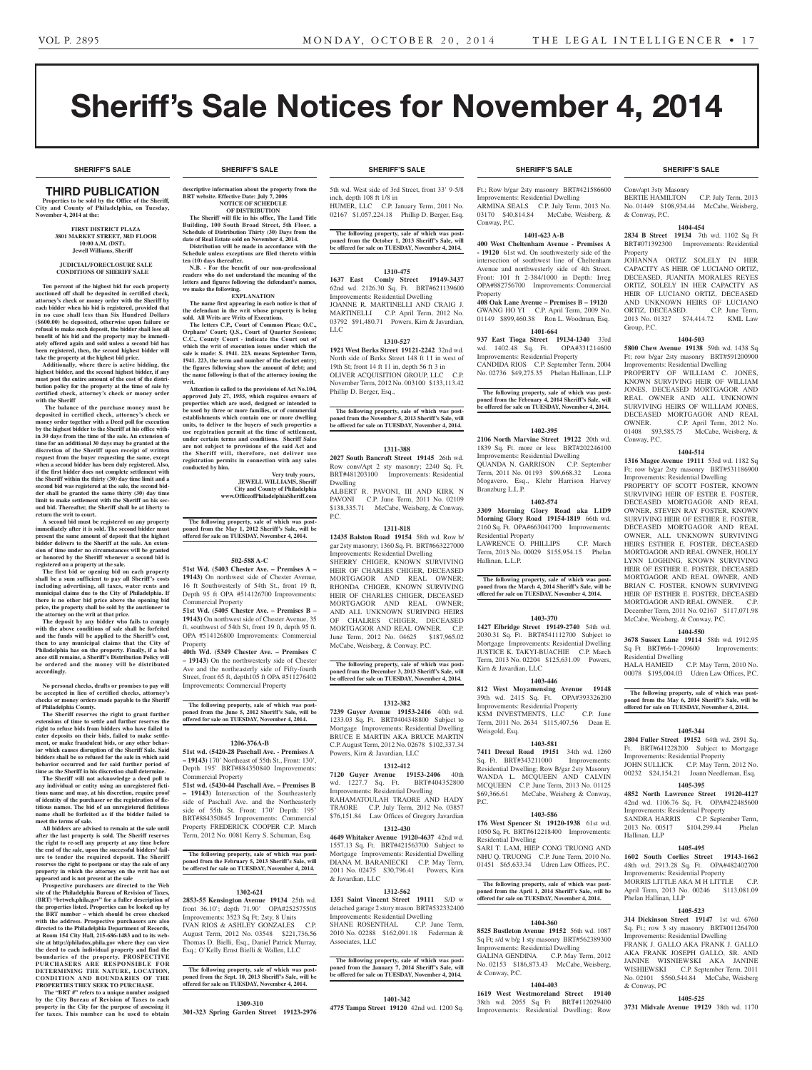# Sheriff's Sale Notices for November 4, 2014

**SHERIFF'S SALE SHERIFF'S SALE SHERIFF'S SALE SHERIFF'S SALE SHERIFF'S SALE**

## Third PUBLICATION

**Properties to be sold by the Office of the Sheriff, City and County of Philadelphia, on Tuesday, November 4, 2014 at the:** 

#### **First District Plaza 3801 Market Street, 3rd Floor 10:00 A.M. (DST). Jewell Williams, Sheriff**

#### **JUDICIAL/FORECLOSURE SALE CONDITIONS OF SHERIFF SALE**

**Ten percent of the highest bid for each property auctioned off shall be deposited in certified check, attorney's check or money order with the Sheriff by each bidder when his bid is registered, provided that in no case shall less than Six Hundred Dollars (\$600.00) be deposited, otherwise upon failure or refusal to make such deposit, the bidder shall lose all benefit of his bid and the property may be immediately offered again and sold unless a second bid has been registered, then, the second highest bidder will take the property at the highest bid price.**

**Additionally, where there is active bidding, the highest bidder, and the second highest bidder, if any must post the entire amount of the cost of the distribution policy for the property at the time of sale by certified check, attorney's check or money order with the Sheriff**

 **The balance of the purchase money must be deposited in certified check, attorney's check or money order together with a Deed poll for execution by the highest bidder to the Sheriff at his office within 30 days from the time of the sale. An extension of time for an additional 30 days may be granted at the discretion of the Sheriff upon receipt of written request from the buyer requesting the same, except when a second bidder has been duly registered. Also, if the first bidder does not complete settlement with the Sheriff within the thirty (30) day time limit and a second bid was registered at the sale, the second bidder shall be granted the same thirty (30) day time limit to make settlement with the Sheriff on his second bid. Thereafter, the Sheriff shall be at liberty to return the writ to court.**

**A second bid must be registered on any property immediately after it is sold. The second bidder must present the same amount of deposit that the highest bidder delivers to the Sheriff at the sale. An exten-sion of time under no circumstances will be granted or honored by the Sheriff whenever a second bid is registered on a property at the sale.** 

**The first bid or opening bid on each property shall be a sum sufficient to pay all Sheriff's costs including advertising, all taxes, water rents and municipal claims due to the City of Philadelphia. If there is no other bid price above the opening bid price, the property shall be sold by the auctioneer to the attorney on the writ at that price. The deposit by any bidder who fails to comply** 

**with the above conditions of sale shall be forfeited and the funds will be applied to the Sheriff's cost, then to any municipal claims that the City of Philadelphia has on the property. Finally, if a bal-ance still remains, a Sheriff's Distribution Policy will be ordered and the money will be distributed accordingly.**

**No personal checks, drafts or promises to pay will be accepted in lieu of certified checks, attorney's checks or money orders made payable to the Sheriff of Philadelphia County.**

**The Sheriff reserves the right to grant further extensions of time to settle and further reserves the right to refuse bids from bidders who have failed to enter deposits on their bids, failed to make settlement, or make fraudulent bids, or any other behavior which causes disruption of the Sheriff Sale. Said bidders shall be so refused for the sale in which said behavior occurred and for said further period of time as the Sheriff in his discretion shall determine.**

**The Sheriff will not acknowledge a deed poll to any individual or entity using an unregistered fictitious name and may, at his discretion, require proof of identity of the purchaser or the registration of fictitious names. The bid of an unregistered fictitious name shall be forfeited as if the bidder failed to meet the terms of sale.**

**All bidders are advised to remain at the sale until after the last property is sold. The Sheriff reserves the right to re-sell any property at any time before the end of the sale, upon the successful bidders' failure to tender the required deposit. The Sheriff reserves the right to postpone or stay the sale of any property in which the attorney on the writ has not appeared and is not present at the sale**

**Prospective purchasers are directed to the Web site of the Philadelphia Bureau of Revision of Taxes, (BRT) "brtweb.phila.gov" for a fuller description of the properties listed. Properties can be looked up by the BRT number – which should be cross checked with the address. Prospective purchasers are also directed to the Philadelphia Department of Records, at Room 154 City Hall, 215-686-1483 and to its web-site at http://philadox.phila.gov where they can view the deed to each individual property and find the boundaries of the property. PROSPECTIVE PURCHASERS ARE RESPONSIBLE FOR DETERMINING THE NATURE, LOCATION, CONDITION AND BOUNDARIES OF THE PROPERTIES THEY SEEK TO PURCHASE.**

 **The "BRT #" refers to a unique number assigned by the City Bureau of Revision of Taxes to each property in the City for the purpose of assessing it for taxes. This number can be used to obtain** 

## **SHERIFF'S SALE SHERIFF'S SALE SHERIFF'S SALE SHERIFF'S SALE SHERIFF'S SALE**

**descriptive information about the property from the BRT** website. Effective Date: July 7, 20 **NOTICE OF SCHEDULE**

**OF DISTRIBUTION The Sheriff will file in his office, The Land Title Building, 100 South Broad Street, 5th Floor, a Schedule of Distribution Thirty (30) Days from the date of Real Estate sold on November 4, 2014.**

**Distribution will be made in accordance with the Schedule unless exceptions are filed thereto within ten (10) days thereafter. N.B.** - For the benefit of our non-profession

**readers who do not understand the meaning of the letters and figures following the defendant's names, we make the following. EXPLANATION**

**The name first appearing in each notice is that of the defendant in the writ whose property is being sold. All Writs are Writs of Executions. The letters C.P., Court of Common Pleas; O.C., Orphans' Court; Q.S., Court of Quarter Sessions; C.C., County Court - indicate the Court out of which the writ of execution issues under which the** 

**sale is made: S. 1941. 223. means September Term, 1941. 223, the term and number of the docket entry; the figures following show the amount of debt; and the name following is that of the attorney issuing the writ.**

**Attention is called to the provisions of Act No.104, approved July 27, 1955, which requires owners of properties which are used, designed or intended to be used by three or more families, or of commercial establishments which contain one or more dwelling**  units, to deliver to the buyers of such properties a **use registration permit at the time of settlement, under certain terms and conditions. Sheriff Sales are not subject to provisions of the said Act and the Sheriff will, therefore, not deliver use registration permits in connection with any sales conducted by him.**

**Very truly yours, JEWELL WILLIAMS, Sheriff City and County of Philadelphia www.OfficeofPhiladelphiaSheriff.com**

**The following property, sale of which was post-poned from the May 1, 2012 Sheriff's Sale, will be offered for sale on TUESDAY, November 4, 2014.**

#### **502-588 A-C**

**51st Wd. (5403 Chester Ave. – Premises A – 19143)** On northwest side of Chester Avenue, 16 ft Southwesterly of 54th St., front 19 ft, Depth 95 ft OPA #514126700 Improvements: Commercial Property

**51st Wd. (5405 Chester Ave. – Premises B – 19143)** On northwest side of Chester Avenue, 35 ft, southwest of 54th St, front 19 ft, depth 95 ft. OPA #514126800 Improvements: Commercial Property

**40th Wd. (5349 Chester Ave. – Premises C – 19143)** On the northwesterly side of Chester Ave and the northeasterly side of Fifty-fourth Street, front 65 ft, depth105 ft OPA #511276402 Improvements: Commercial Property

**The following property, sale of which was postponed from the June 5, 2012 Sheriff's Sale, will be offered for sale on TUESDAY, November 4, 2014.**

#### **1206-376A-B**

**51st wd. (5420-28 Paschall Ave. - Premises A – 19143)** 170' Northeast of 55th St., Front: 130', Depth 195' BRT#884350840 Improvements: Commercial Property

**51st wd. (5430-44 Paschall Ave. – Premises B – 19143)** Intersection of the Southeasterly side of Paschall Ave. and the Northeasterly side of 55th St. Front: 170' Depth: 195' BRT#884350845 Improvements: Commercial Property FREDERICK COOPER C.P. March Term, 2012 No. 0081 Kerry S. Schuman, Esq.

**The following property, sale of which was post-poned from the February 5, 2013 Sheriff's Sale, will be offered for sale on TUESDAY, November 4, 2014.**

#### **1302-621**

**2853-55 Kensington Avenue 19134** 25th wd. front 36.10'; depth 71.90' OPA#252575505 Improvements: 3523 Sq Ft; 2sty, 8 Units IVAN RIOS & ASHLEY GONZALES C.P. August Term, 2012 No. 03548 \$221,736.56 Thomas D. Bielli, Esq., Daniel Patrick Murray, Esq.; O'Kelly Ernst Bielli & Wallen, LLC

**The following property, sale of which was postponed from the Sept. 10, 2013 Sheriff's Sale, will be offered for sale on TUESDAY, November 4, 2014.**

#### **1309-310**

**301-323 Spring Garden Street 19123-2976** 

5th wd. West side of 3rd Street, front 33' 9-5/8 inch, depth 108 ft 1/8 in HUMER, LLC C.P. January Term, 2011 No. 02167 \$1,057,224.18 Phillip D. Berger, Esq.

**The following property, sale of which was post-poned from the October 1, 2013 Sheriff's Sale, will be offered for sale on TUESDAY, November 4, 2014.**

### **1310-475**

**1637 East Comly Street 19149-3437**  62nd wd. 2126.30 Sq. Ft. BRT#621139600 Improvements: Residential Dwelling JOANNE R. MARTINELLI AND CRAIG J. MARTINELLI C.P. April Term, 2012 No. 03792 \$91,480.71 Powers, Kirn & Javardian, LLC

#### **1310-527**

**1921 West Berks Street 19121-2242** 32nd wd. North side of Berks Street 148 ft 11 in west of 19th St; front 14 ft 11 in, depth 56 ft 3 in OLIVER ACQUISITION GROUP, LLC C.P. November Term, 2012 No. 003100 \$133,113.42 Phillip D. Berger, Esq.,

**The following property, sale of which was postponed from the November 5, 2013 Sheriff's Sale, will be offered for sale on TUESDAY, November 4, 2014.**

#### **1311-388**

**2027 South Bancroft Street 19145** 26th wd. Row conv/Apt 2 sty masonry; 2240 Sq. Ft. BRT#481203100 Improvements: Residential Dwelling

ALBERT R. PAVONI, III AND KIRK N PAVONI C.P. June Term, 2011 No. 02109 \$138,335.71 McCabe, Weisberg, & Conway, P.C.

#### **1311-818**

**12435 Balston Road 19154** 58th wd. Row b/ gar 2sty masonry; 1360 Sq. Ft. BRT#663227000 Improvements: Residential Dwelling SHERRY CHIGER, KNOWN SURVIVING HEIR OF CHARLES CHIGER, DECEASED MORTGAGOR AND REAL OWNER; RHONDA CHIGER, KNOWN SURVIVING HEIR OF CHARLES CHIGER, DECEASED MORTGAGOR AND REAL OWNER; AND ALL UNKNOWN SURIVING HEIRS OF CHALRES CHIGER, DECEASED MORTGAGOR AND REAL OWNER. C.P. June Term, 2012 No. 04625 \$187,965.02 McCabe, Weisberg, & Conway, P.C.

**The following property, sale of which was post-poned from the December 3, 2013 Sheriff's Sale, will be offered for sale on TUESDAY, November 4, 2014.**

### **1312-382**

**7239 Guyer Avenue 19153-2416** 40th wd. 1233.03 Sq. Ft. BRT#404348800 Subject to Mortgage Improvements: Residential Dwelling BRUCE E MARTIN AKA BRUCE MARTIN C.P. August Term, 2012 No. 02678 \$102,337.34 Powers, Kirn & Javardian, LLC

#### **1312-412**

**7120 Guyer Avenue 19153-2406** 40th wd. 1227.7 Sq. Ft. BRT#404352800 Improvements: Residential Dwelling RAHAMATOULAH TRAORE AND HADY TRAORE C.P. July Term, 2012 No. 03857 \$76,151.84 Law Offices of Gregory Javardian

#### **1312-430**

**4649 Whitaker Avenue 19120-4637** 42nd wd. 1557.13 Sq. Ft. BRT#421563700 Subject to Mortgage Improvements: Residential Dwelling DIANA M. BARANIECKI C.P. May Term, 2011 No. 02475 \$30,796.41 Powers, Kirn & Javardian, LLC

#### **1312-562**

**1351 Saint Vincent Street 19111** S/D w detached garage 2 story mason BRT#532332400 Improvements: Residential Dwelling SHANE ROSENTHAL C.P. June Term, 2010 No. 02288 \$162,091.18 Federman & Associates, LLC

**The following property, sale of which was postponed from the January 7, 2014 Sheriff's Sale, will be offered for sale on TUESDAY, November 4, 2014.**

#### **1401-342**

**4775 Tampa Street 19120** 42nd wd. 1200 Sq.

Ft.; Row b/gar 2sty masonry BRT#421586600 Improvements: Residential Dwelling ARMINA SEALS C.P. July Term, 2013 No.<br>03170 \$40,814.84 McCabe, Weisberg, & McCabe, Weisberg, & Conway, P.C.

### **1401-623 A-B**

**400 West Cheltenham Avenue - Premises A - 19120** 61st wd. On southwesterly side of the intersection of southwest line of Cheltenham Avenue and northwesterly side of 4th Street. Front: 101 ft 2-384/1000 in Depth: Irreg OPA#882756700 Improvements: Commercial Property **408 Oak Lane Avenue – Premises B – 19120**

GWANG HO YI C.P. April Term, 2009 No. 01149 \$899,460.38 Ron L. Woodman, Esq. **1401-664**

#### **937 East Tioga Street 19134-1340** 33rd wd. 1402.48 Sq. Ft. Improvements: Residential Property

CANDIDA RIOS C.P. September Term, 2004 No. 02736 \$49,275.35 Phelan Hallinan, LLP

**The following property, sale of which was postponed from the February 4, 2014 Sheriff's Sale, will be offered for sale on TUESDAY, November 4, 2014.**

#### **1402-395**

**2106 North Marvine Street 19122** 20th wd. 1839 Sq. Ft. more or less BRT#202246100 Improvements: Residential Dwelling QUANDA N. GARRISON C.P. September Term, 2011 No. 01193 \$99,668.32 Leona Mogavero, Esq., Klehr Harrison Harvey Branzburg L.L.P.

### **1402-574**

**3309 Morning Glory Road aka L1D9 Morning Glory Road 19154-1819** 66th wd. 2160 Sq. Ft. OPA#663041700 Improvements: Residential Property LAWRENCE O. PHILLIPS C.P. March Term, 2013 No. 00029 \$155,954.15 Phelan

Hallinan, L.L.P.

#### **The following property, sale of which was postponed from the March 4, 2014 Sheriff's Sale, will be offered for sale on TUESDAY, November 4, 2014.**

#### **1403-370**

**1427 Elbridge Street 19149-2740** 54th wd. 2030.31 Sq. Ft. BRT#541112700 Subject to Mortgage Improvements: Residential Dwelling JUSTICE K. TAKYI-BUACHIE C.P. March Term, 2013 No. 02204 \$125,631.09 Powers, Kirn & Javardian, LLC

#### **1403-446**

**812 West Moyamensing Avenue 19148**  39th wd. 2415 Sq. Ft. OPA#393326200 Improvements: Residential Property KSM INVESTMENTS, LLC C.P. June Term, 2011 No. 2634 \$115,407.56 Dean E. Weisgold, Esq.

#### **1403-581**

**7411 Drexel Road 19151** 34th wd. 1260 Sq. Ft. BRT#343211000 Improvements: Residential Dwelling; Row B/gar 2sty Masonry WANDA L. MCQUEEN AND CALVIN MCQUEEN C.P. June Term, 2013 No. 01125 \$69,366.61 McCabe, Weisberg & Conway, P.C.

#### **1403-586**

**176 West Spencer St 19120-1938** 61st wd. 1050 Sq. Ft. BRT#612218400 Improvements: Residential Dwelling

### SARI T. LAM, HIEP CONG TRUONG AND NHU Q. TRUONG C.P. June Term, 2010 No. 01451 \$65,633.34 Udren Law Offices, P.C.

**The following property, sale of which was post-poned from the April 1, 2014 Sheriff's Sale, will be offered for sale on TUESDAY, November 4, 2014.**

#### **1404-360**

**8525 Bustleton Avenue 19152** 56th wd. 1087 Sq Ft; s/d w b/g 1 sty masonry BRT#562389300 Improvements: Residential Dwelling GALINA GENDINA C.P. May Term, 2012 No. 02153 \$186,873.43 McCabe, Weisberg, & Conway, P.C.

### **1404-403**

**1619 West Westmoreland Street 19140**  38th wd. 2055 Sq Ft BRT#112029400 Improvements: Residential Dwelling; Row

Conv/apt 3sty Masonry

Property

Group, P.C.

Conway, P.C.

Residential Dwelling

Hallinan, LLP

Phelan Hallinan, LLP

& Conway, PC

HALA HAMEID C.P. May Term, 2010 No. 00078 \$195,004.03 Udren Law Offices, P.C. **The following property, sale of which was postponed from the May 6, 2014 Sheriff's Sale, will be offered for sale on TUESDAY, November 4, 2014.**

**1405-344 2804 Fuller Street 19152** 64th wd. 2891 Sq. Ft. BRT#641228200 Subject to Mortgage Improvements: Residential Property JOHN SULLICK C.P. May Term, 2012 No. 00232 \$24,154.21 Joann Needleman, Esq. **1405-395 4852 North Lawrence Street 19120-4127**  42nd wd. 1106.76 Sq. Ft. OPA#422485600 Improvements: Residential Property SANDRA HARRIS C.P. September Term, 2013 No. 00517 \$104,299.44 Phelan

**1405-495 1602 South Corlies Street 19143-1662**  48th wd. 2913.28 Sq. Ft. OPA#482402700 Improvements: Residential Property MORRIS LITTLE AKA M H LITTLE C.P. April Term, 2013 No. 00246 \$113,081.09

**1405-523 314 Dickinson Street 19147** 1st wd. 6760 Sq. Ft.; row 3 sty masonry BRT#011264700 Improvements: Residential Dwelling FRANK J. GALLO AKA FRANK J. GALLO AKA FRANK JOSEPH GALLO, SR. AND JANINE WISNIEWSKI AKA JANINE WISHIEWSKI C.P. September Term, 2011 No. 02101 \$560,544.84 McCabe, Weisberg

**1405-525 3731 Midvale Avenue 19129** 38th wd. 1170

BERTIE HAMILTON C.P. July Term, 2013 No. 01449 \$108,934.44 McCabe, Weisberg, & Conway, P.C. **1404-454**

**2834 B Street 19134** 7th wd. 1102 Sq Ft BRT#071392300 Improvements: Residential

JOHANNA ORTIZ SOLELY IN HER CAPACITY AS HEIR OF LUCIANO ORTIZ, DECEASED, JUANITA MORALES REYES ORTIZ, SOLELY IN HER CAPACITY AS HEIR OF LUCIANO ORTIZ, DECEASED AND UNKNOWN HEIRS OF LUCIANO ORTIZ, DECEASED. C.P. June Term, 2013 No. 01327 \$74,414.72 KML Law

**1404-503 5800 Chew Avenue 19138** 59th wd. 1438 Sq Ft; row b/gar 2sty masonry BRT#591200900 Improvements: Residential Dwelling PROPERTY OF WILLIAM C. JONES, KNOWN SURVIVING HEIR OF WILLIAM JONES, DECEASED MORTGAGOR AND REAL OWNER AND ALL UNKNOWN SURVIVING HEIRS OF WILLIAM JONES, DECEASED MORTGAGOR AND REAL OWNER. C.P. April Term, 2012 No. 01408 \$93,585.75 McCabe, Weisberg, &

**1404-514 1316 Magee Avenue 19111** 53rd wd. 1182 Sq Ft; row b/gar 2sty masonry BRT#531186900 Improvements: Residential Dwelling PROPERTY OF SCOTT FOSTER. KNOWN SURVIVING HEIR OF ESTER E. FOSTER, DECEASED MORTGAGOR AND REAL OWNER, STEVEN RAY FOSTER, KNOWN SURVIVING HEIR OF ESTHER E. FOSTER, DECEASED MORTGAGOR AND REAL OWNER, ALL UNKNOWN SURVIVING HEIRS ESTHER E. FOSTER, DECEASED MORTGAGOR AND REAL OWNER, HOLLY LYNN LOGHING, KNOWN SURVIVING HEIR OF ESTHER E. FOSTER, DECEASED MORTGAGOR AND REAL OWNER, AND BRIAN C. FOSTER, KNOWN SURVIVING HEIR OF ESTHER E. FOSTER, DECEASED MORTGAGOR AND REAL OWNER. C.P. December Term, 2011 No. 02167 \$117,071.98 McCabe, Weisberg, & Conway, P.C. **1404-550 3678 Sussex Lane 19114** 58th wd. 1912.95 Sq Ft BRT#66-1-209600 Improvements: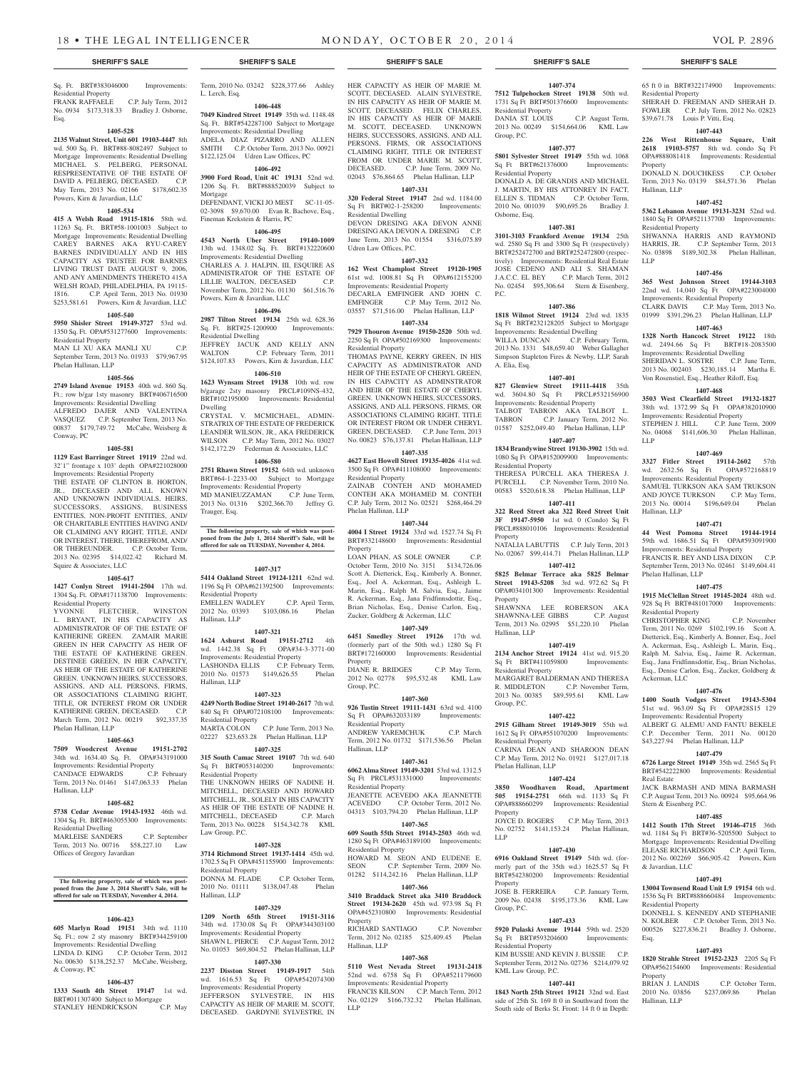## Sq. Ft. BRT#383046000 Improvements: Residential Property<br>FRANK RAFFAELE

C.P. July Term, 2012 No. 0934 \$173,318.33 Bradley J. Osborne, Esq.

### **1405-528**

**2135 Walnut Street, Unit 601 19103-4447** 8th wd. 500 Sq. Ft. BRT#88-8082497 Subject to Mortgage Improvements: Residential Dwelling MICHAEL S. PELBERG, PERSONAL RESPRESENTATIVE OF THE ESTATE OF DAVID A. PELBERG, DECEASED. C.P. May Term, 2013 No. 02166 \$178,602.35 Powers, Kirn & Javardian, LLC

#### **1405-534**

**415 A Welsh Road 19115-1816** 58th wd. 11263 Sq. Ft. BRT#58-1001003 Subject to Mortgage Improvements: Residential Dwelling CAREY BARNES AKA RYU-CAREY BARNES INDIVIDUALLY AND IN HIS CAPACITY AS TRUSTEE FOR BARNES LIVING TRUST DATE AUGUST 9, 2006, AND ANY AMENDMENTS THERETO 415A WELSH ROAD, PHILADELPHIA, PA 19115- 1816. C.P. April Term, 2013 No. 01930 \$253,581.61 Powers, Kirn & Javardian, LLC

### **1405-540**

**5950 Shisler Street 19149-3727** 53rd wd. 1350 Sq. Ft. OPA#531277600 Improvements: Residential Property

MAN LI XU AKA MANLI XU C.P. September Term, 2013 No. 01933 \$79,967.95 Phelan Hallinan, LLP

#### **1405-566**

**2749 Island Avenue 19153** 40th wd. 860 Sq. Ft.; row b/gar 1sty masonry BRT#406716500 Improvements: Residential Dwelling ALFREDO DAJER AND VALENTINA VASQUEZ C.P. September Term, 2013 No. 00837 \$179,749.72 McCabe, Weisberg & Conway, PC

### **1405-581**

**1129 East Barringer Street 19119** 22nd wd. 32'1" frontage x 103' depth OPA#221028000 Improvements: Residential Property

THE ESTATE OF CLINTON B. HORTON, JR., DECEASED AND ALL KNOWN AND UNKNOWN INDIVIDUALS, HEIRS, SUCCESSORS, ASSIGNS, BUSINESS ENTITIES, NON-PROFIT ENTITIES, AND/ OR CHARITABLE ENTITIES HAVING AND/ OR CLAIMING ANY RIGHT, TITLE, AND/ OR INTEREST, THERE, THEREFROM, AND/ OR THEREUNDER. C.P. October Term, 2013 No. 02395 \$14,022.42 Richard M. Squire & Associates, LLC

#### **1405-617**

**1427 Conlyn Street 19141-2504** 17th wd. 1304 Sq. Ft. OPA#171138700 Improvements: Residential Property

YVONNE FLETCHER, WINSTON L. BRYANT, IN HIS CAPACITY AS ADMINISTRATOR OF OF THE ESTATE OF KATHERINE GREEN. ZAMAIR MARIE GREEN IN HER CAPACITY AS HEIR OF THE ESTATE OF KATHERINE GREEN. DESTINEE GREEEN, IN HER CAPACITY, AS HEIR OF THE ESTATE OF KATHERINE GREEN. UNKNOWN HEIRS, SUCCESSORS, ASSIGNS, AND ALL PERSONS, FIRMS, OR ASSOCIATIONS CLAIMING RIGHT, TITLE, OR INTEREST FROM OR UNDER KATHERINE GREEN, DECEASED. C.P. March Term, 2012 No. 00219 \$92,337.35 Phelan Hallinan, LLP

#### **1405-663**

**7509 Woodcrest Avenue 19151-2702**  34th wd. 1634.40 Sq. Ft. OPA#343191000 Improvements: Residential Property<br>CANDACE EDWARDS C.P. February CANDACE EDWARDS Term, 2013 No. 01461 \$147,063.33 Phelan Hallinan, LLP

#### **1405-682**

**5738 Cedar Avenue 19143-1932** 46th wd. 1304 Sq. Ft. BRT#463055300 Improvements: Residential Dwelling MARLEISE SANDERS C.P. September Term, 2013 No. 00716 \$58,227.10 Law Offices of Gregory Javardian

### **The following property, sale of which was post-poned from the June 3, 2014 Sheriff's Sale, will be offered for sale on TUESDAY, November 4, 2014.**

# **1406-423**

**605 Marlyn Road 19151** 34th wd. 1110 Sq. Ft.; row 2 sty masonry BRT#344259100 Improvements: Residential Dwelling LINDA D. KING C.P. October Term, 2012 No. 00630 \$138,252.37 McCabe, Weisberg, & Conway, PC

### **1406-437**

**1333 South 4th Street 19147** 1st wd. BRT#011307400 Subject to Mortgage<br>STANLEY HENDRICKSON C.P. May STANLEY HENDRICKSON

Term, 2010 No. 03242 \$228,377.66 Ashley L. Lerch, Esq.

**1406-448**

**7049 Kindred Street 19149** 35th wd. 1148.48 Sq. Ft. BRT#542287100 Subject to Mortgage Improvements: Residential Dwelling ADELA DIAZ PIZARRO AND ALLEN SMITH C.P. October Term, 2013 No. 00921 \$122,125.04 Udren Law Offices, PC

### **1406-492**

**3900 Ford Road, Unit 4C 19131** 52nd wd. 1206 Sq. Ft. BRT#888520039 Subject to Mortgage DEFENDANT, VICKI JO MEST SC-11-05-02-3098 \$9,670.00 Evan R. Bachove, Esq.,

## Fineman Krekstein & Harris, PC

**1406-495 4543 North Uber Street 19140-1009**  13th wd. 1348.02 Sq. Ft. BRT#132220600 Improvements: Residential Dwelling CHARLES A. J. HALPIN, III, ESQUIRE AS

ADMINISTRATOR OF THE ESTATE OF LILLIE WALTON, DECEASED C.P. November Term, 2012 No. 01130 \$61,516.76 Powers, Kirn & Javardian, LLC

### **1406-496**

**2987 Tilton Street 19134** 25th wd. 628.36 Sq. Ft. BRT#25-1200900 Improvements: Residential Dwelling JEFFREY JACUK AND KELLY ANN WALTON C.P. February Term, 2011 \$124,107.83 Powers, Kirn & Javardian, LLC

#### **1406-510**

**1623 Wynsam Street 19138** 10th wd. row b/garage 2sty masonry PRCL#109NS-432, BRT#102195000 Improvements: Residential Dwelling

CRYSTAL V. MCMICHAEL, ADMIN-STRATRIX OF THE ESTATE OF FREDERICK LEANDER WILSON, JR., AKA FREDERICK<br>WILSON C.P. May Term. 2012 No. 03027 C.P. May Term, 2012 No. 03027 \$142,172.29 Federman & Associates, LLC

#### **1406-580**

**2751 Rhawn Street 19152** 64th wd. unknown BRT#64-1-2233-00 Subject to Mortgage Improvements: Residential Property<br>MD MANIEUZZAMAN C.P. June Term. MD MANIEUZZAMAN 2013 No. 01316 \$202,366.70 Jeffrey G. Trauger, Esq.

**The following property, sale of which was post-poned from the July 1, 2014 Sheriff's Sale, will be offered for sale on TUESDAY, November 4, 2014.**

#### **1407-317**

**5414 Oakland Street 19124-1211** 62nd wd. 1196 Sq Ft OPA#621392500 Improvements: Residential Property EMELLEN WADLEY C.P. April Term, 2012 No. 03393 \$103,086.16 Phelan Hallinan, LLP

#### **1407-321**

**1624 Ashurst Road 19151-2712** 4th wd. 1442.38 Sq Ft OPA#34-3-3771-00 Improvements: Residential Property LASHONDA ELLIS C.P. February Term, 2010 No. 01573 \$149,626.55 Phelan Hallinan, LLP

#### **1407-323**

**4249 North Bodine Street 19140-2617** 7th wd. 840 Sq Ft OPA#072108100 Improvements: Residential Property MARTA COLON C.P. June Term, 2013 No. 02227 \$23,653.28 Phelan Hallinan, LLP

**1407-325 315 South Camac Street 19107** 7th wd. 640 Sq Ft BRT#053140200 Improvements: Residential Property THE UNKNOWN HEIRS OF NADINE H.

MITCHELL, DECEASED AND HOWARD MITCHELL, JR., SOLELY IN HIS CAPACITY AS HEIR OF THE ESTATE OF NADINE H.<br>MITCHELL DECEASED CP March MITCHELL, DECEASED Term, 2013 No. 00228 \$154,342.78 KML Law Group, P.C.

#### **1407-328**

**3714 Richmond Street 19137-1414** 45th wd. 1702.5 Sq Ft OPA#451155900 Improvements: Residential Property DONNA M. FLADE C.P. October Term, 2010 No. 01111 \$138,047.48 Phelan Hallinan, LLP

#### **1407-329**

**1209 North 65th Street 19151-3116**  34th wd. 1730.08 Sq Ft OPA#344303100 Improvements: Residential Property SHAWN L. PIERCE C.P. August Term, 2012 No. 01053 \$69,804.52 Phelan Hallinan, LLP

#### **1407-330**

**2237 Disston Street 19149-1917** 54th wd. 1616.53 Sq Ft OPA#542074300 Improvements: Residential Property JEFFERSON SYLVESTRE, IN HIS CAPACITY AS HEIR OF MARIE M. SCOTT, DECEASED. GARDYNE SYLVESTRE, IN

HER CAPACITY AS HEIR OF MARIE M. SCOTT, DECEASED. ALAIN SYLVESTRE, IN HIS CAPACITY AS HEIR OF MARIE M. SCOTT, DECEASED. FELIX CHARLES, IN HIS CAPACITY AS HEIR OF MARIE M. SCOTT, DECEASED. UNKNOWN HEIRS, SUCCESSORS, ASSIGNS, AND ALL PERSONS, FIRMS, OR ASSOCIATIONS CLAIMING RIGHT, TITLE OR INTEREST FROM OR UNDER MARIE M. SCOTT, DECEASED. C.P. June Term, 2009 No. 02043 \$76,864.65 Phelan Hallinan, LLP

### **1407-331**

**320 Federal Street 19147** 2nd wd. 1184.00 Sq Ft BRT#02-1-258200 Improvements: Residential Dwelling DEVON DRESING AKA DEVON ANNE DRESING AKA DEVON A. DRESING C.P. June Term, 2013 No. 01554 \$316,075.89 Udren Law Offices, P.C.

### **1407-332**

**162 West Champlost Street 19120-1905**  61st wd. 1008.81 Sq Ft OPA#612155200 Improvements: Residential Property DECARLA EMFINGER AND JOHN C. EMFINGER C.P. May Term, 2012 No. 03557 \$71,516.00 Phelan Hallinan, LLP

### **1407-334**

**7929 Thouron Avenue 19150-2520** 50th wd. 2250 Sq Ft OPA#502169300 Improvements: Residential Property

THOMAS PAYNE, KERRY GREEN, IN HIS CAPACITY AS ADMINISTRATOR AND HEIR OF THE ESTATE OF CHERYL GREEN, IN HIS CAPACITY AS ADMINSTRATOR AND HEIR OF THE ESTATE OF CHERYL GREEN. UNKNOWN HEIRS, SUCCESSORS, ASSIGNS, AND ALL PERSONS, FIRMS, OR ASSOCIATIONS CLAIMING RIGHT, TITLE OR INTEREST FROM OR UNDER CHERYL GREEN, DECEASED. C.P. June Term, 2013 No. 00823 \$76,137.81 Phelan Hallinan, LLP

### **1407-335**

**4627 East Howell Street 19135-4026** 41st wd. 3500 Sq Ft OPA#411108000 Improvements: Residential Property

ZAINAB CONTEH AND MOHAMED CONTEH AKA MOHAMED M. CONTEH C.P. July Term, 2012 No. 02521 \$268,464.29 Phelan Hallinan, LLP

### **1407-344**

**4004 I Street 19124** 33rd wd. 1527.74 Sq Ft BRT#332148600 Improvements: Residential Property

LOAN PHAN, AS SOLE OWNER C.P. October Term, 2010 No. 3151 \$134,726.06 Scott A. Dietterick, Esq., Kimberly A. Bonner, Esq., Joel A. Ackerman, Esq., Ashleigh L. Marin, Esq., Ralph M. Salvia, Esq., Jaime R. Ackerman, Esq., Jana Fridfinnsdottir, Esq., Brian Nicholas, Esq., Denise Carlon, Esq., Zucker, Goldberg & Ackerman, LLC

#### **1407-349**

**6451 Smedley Street 19126** 17th wd. (formerly part of the 50th wd.) 1280 Sq Ft BRT#172160000 Improvements: Residential Property

DIANE R. BRIDGES C.P. May Term, 2012 No. 02778 \$95,532.48 KML Law Group, P.C.

### **1407-360**

**926 Tustin Street 19111-1431** 63rd wd. 4100 Sq Ft OPA#632033189 Improvements: Residential Property ANDREW YAREMCHUK C.P. March Term, 2012 No. 01732 \$171,536.56 Phelan Hallinan, LLP

#### **1407-361**

**6062 Alma Street 19149-3201** 53rd wd. 1312.5<br>Sq Ft PRCL#531331000 Improvements: Sq Ft PRCL#531331000 Residential Property JEANETTE ACEVEDO AKA JEANNETTE ACEVEDO C.P. October Term, 2012 No. 04313 \$103,794.20 Phelan Hallinan, LLP

#### **1407-365 609 South 55th Street 19143-2503** 46th wd.

1280 Sq Ft OPA#463189100 Improvements: Residential Property HOWARD M. SEON AND EUDENE E.

SEON C.P. September Term, 2009 No. 01282 \$114,242.16 Phelan Hallinan, LLP

### **1407-366**

**3410 Braddack Street aka 3410 Braddock Street 19134-2620** 45th wd. 973.98 Sq Ft OPA#452310800 Improvements: Residential Property RICHARD SANTIAGO C.P. November

# Term, 2012 No. 02185 \$25,409.45 Phelan

Hallinan, LLP

**1407-368 5110 West Nevada Street 19131-2418**  52nd wd. 6758 Sq Ft OPA#521179600 Improvements: Residential Property FRANCIS KILSON C.P. March Term, 2012 No. 02129 \$166,732.32 Phelan Hallinan, LLP

#### **SHERIFF'S SALE SHERIFF'S SALE SHERIFF'S SALE SHERIFF'S SALE SHERIFF'S SALE**

65 ft 0 in BRT#322174900 Improvements:

SHERAH D. FREEMAN AND SHERAH D. FOWLER C.P. July Term, 2012 No. 02823

**1407-443 226 West Rittenhouse Square, Unit 2618 19103-5757** 8th wd. condo Sq Ft OPA#888081418 Improvements: Residential

DONALD N. DOUCHKESS C.P. October Term, 2013 No. 03139 \$84,571.36 Phelan

**1407-452 5362 Lebanon Avenue 19131-3231** 52nd wd. 1840 Sq Ft OPA#521137700 Improvements:

SHWANNA HARRIS AND RAYMOND HARRIS, JR. C.P. September Term, 2013 No. 03898 \$189,302.38 Phelan Hallinan,

**1407-456 365 West Johnson Street 19144-3103**  22nd wd. 14,040 Sq Ft OPA#223004000 Improvements: Residential Property CLARK DAVIS C.P. May Term, 2013 No. 01999 \$391,296.23 Phelan Hallinan, LLP **1407-463 1328 North Hancock Street 19122** 18th wd. 2494.66 Sq Ft BRT#18-2083500 Improvements: Residential Dwelling SHERIDAN L. SOSTRE C.P. June Term, 2013 No. 002403 \$230,185.14 Martha E. Von Rosenstiel, Esq., Heather Riloff, Esq. **1407-468 3503 West Clearfield Street 19132-1827**  38th wd. 1372.99 Sq Ft OPA#382010900

Improvements: Residential Property STEPHEN J. HILL C.P. June Term, 2009 No. 04068 \$141,606.30 Phelan Hallinan,

**1407-469 3327 Fitler Street 19114-2602** 57th wd. 2632.56 Sq Ft OPA#572168819 Improvements: Residential Property SAMUEL TURKSON AKA SAM TRUKSON AND JOYCE TURKSON C.P. May Term, 2013 No. 00014 \$196,649.04 Phelan

**1407-471 44 West Pomona Street 19144-1914**  59th wd. 1686.51 Sq Ft OPA#593091900 Improvements: Residential Property FRANCIS R. BEY AND LISA DIXON C.P. September Term, 2013 No. 02461 \$149,604.41

**1407-475 1915 McClellan Street 19145-2024** 48th wd. 928 Sq Ft BRT#481017000 Improvements:

CHRISTOPHER KING C.P. November Term, 2011 No. 0269 \$102,199.16 Scott A. Dietterick, Esq., Kimberly A. Bonner, Esq., Joel A. Ackerman, Esq., Ashleigh L. Marin, Esq., Ralph M. Salvia, Esq., Jaime R. Ackerman, Esq., Jana Fridfinnsdottir, Esq., Brian Nicholas, Esq., Denise Carlon, Esq., Zucker, Goldberg &

**1407-476 1400 South Vodges Street 19143-5304**  51st wd. 963.09 Sq Ft OPA#28S15 129 Improvements: Residential Property ALBERT G. ALEMU AND FANTU BEKELE C.P. December Term, 2011 No. 00120 \$43,227.94 Phelan Hallinan, LLP **1407-479 6726 Large Street 19149** 35th wd. 2565 Sq Ft BRT#542222800 Improvements: Residential

JACK BARMASH AND MINA BARMASH C.P. August Term, 2013 No. 00924 \$95,664.96

**1407-485 1412 South 17th Street 19146-4715** 36th wd. 1184 Sq Ft BRT#36-5205500 Subject to Mortgage Improvements: Residential Dwelling ELEASE RICHARDSON C.P. April Term, 2012 No. 002269 \$66,905.42 Powers, Kirn

**1407-491 13004 Townsend Road Unit L9 19154** 6th wd. 1536 Sq Ft BRT#888660484 Improvements:

DONNELL S. KENNEDY AND STEPHANIE N. KOLBER C.P. October Term, 2013 No. 000526 \$227,836.21 Bradley J. Osborne,

**1407-493 1820 Strahle Street 19152-2323** 2205 Sq Ft OPA#562154600 Improvements: Residential

BRIAN J. LANDIS C.P. October Term, 2010 No. 03856 \$237,069.86 Phelan

\$39,671.78 Louis P. Vitti, Esq.

Residential Property

Property

LLP

LLP

Hallinan, LLP

Phelan Hallinan, LLP

Residential Property

Ackerman, LLC

Real Estate

Stern & Eisenberg P.C.

& Javardian, LLC

Residential Property

Esq.

Property

Hallinan, LLP

Hallinan, LLP

Residential Property

# **1407-374**

**7512 Tulpehocken Street 19138** 50th wd. 1731 Sq Ft BRT#501376600 Improvements: Residential Property DANIA ST. LOUIS C.P. August Term, 2013 No. 00249 \$154,664.06 KML Law Group, P.C.

### **1407-377**

**5801 Sylvester Street 19149** 55th wd. 1068 Sq Ft BRT#621376000 Improvements: Residential Property DONALD A. DE GRANDIS AND MICHAEL

J. MARTIN, BY HIS ATTONREY IN FACT, ELLEN S. TIDMAN C.P. October Term, 2010 No. 001039 \$90,695.26 Bradley J. Osborne, Esq.

### **1407-381**

**3101-3103 Frankford Avenue 19134** 25th wd. 2580 Sq Ft and 3300 Sq Ft (respectively) BRT#252472700 and BRT#252472800 (respectively) Improvements: Residential Real Estate JOSE CEDENO AND ALI S. SHAMAN J.A.C.C. EL BEY C.P. March Term, 2012 No. 02454 \$95,306.64 Stern & Eisenberg, P.C.

#### **1407-386**

**1818 Wilmot Street 19124** 23rd wd. 1835 Sq Ft BRT#232128205 Subject to Mortgage Improvements: Residential Dwelling WILLA DUNCAN C.P. February Term, 2013 No. 1331 \$48,659.40 Weber Gallagher Simpson Stapleton Fires & Newby, LLP, Sarah A. Elia, Esq.

### **1407-401**

**827 Glenview Street 19111-4418** 35th wd. 3604.80 Sq Ft PRCL#532156900 Improvements: Residential Property TALBOT TABRON AKA TALBOT L.<br>TABRON C.P. January Term, 2012 No. C.P. January Term, 2012 No. 01587 \$252,049.40 Phelan Hallinan, LLP **1407-407**

### **1834 Brandywine Street 19130-3902** 15th wd. 1080 Sq Ft OPA#152009900 Improvements:

THERESA PURCELL AKA THERESA J.<br>PURCELL C.P. November Term. 2010 No. C.P. November Term, 2010 No.

00583 \$520,618.38 Phelan Hallinan, LLP **1407-411 322 Reed Street aka 322 Reed Street Unit 3F 19147-5950** 1st wd. 0 (Condo) Sq Ft PRCL#888010106 Improvements: Residential

NATALIA LABUTTIS C.P. July Term, 2013 No. 02067 \$99,414.71 Phelan Hallinan, LLP **1407-412 5825 Belmar Terrace aka 5825 Belmar Street 19143-5208** 3rd wd. 972.62 Sq Ft OPA#034101300 Improvements: Residential

SHAWNNA LEE ROBERSON AKA<br>SHAWNNA-LEE GIBBS C.P. August

Term, 2013 No. 02995 \$51,220.10 Phelan

**1407-419 2134 Anchor Street 19124** 41st wd. 915.20 Sq Ft BRT#411059800 Improvements:

MARGARET BALDERMAN AND THERESA R. MIDDLETON C.P. November Term, 2013 No. 00385 \$89,595.61 KML Law

**1407-422 2915 Gilham Street 19149-3019** 55th wd. 1612 Sq Ft OPA#551070200 Improvements:

CARINA DEAN AND SHAROON DEAN C.P. May Term, 2012 No. 01921 \$127,017.18

**1407-424 3850 Woodhaven Road, Apartment 505 19154-2751** 66th wd. 1133 Sq Ft OPA#888660299 Improvements: Residential

JOYCE D. ROGERS C.P. May Term, 2013 No. 02752 \$141,153.24 Phelan Hallinan,

**1407-430 6916 Oakland Street 19149** 54th wd. (formerly part of the 35th wd.) 1625.57 Sq Ft BRT#542380200 Improvements: Residential

JOSE B. FERREIRA C.P. January Term, 2009 No. 02438 \$195,173.36 KML Law

**1407-433 5920 Pulaski Avenue 19144** 59th wd. 2520 Sq Ft BRT#593204600 Improvements:

KIM BUSSIE AND KEVIN J. BUSSIE C.P. September Term, 2012 No. 02736 \$214,079.92

**1407-441 1843 North 25th Street 19121** 32nd wd. East side of 25th St. 169 ft 0 in Southward from the South side of Berks St. Front: 14 ft 0 in Depth:

SHAWNNA-LEE GIBBS

Residential Property

Property

Property

Hallinan, LLP

Residential Property

Residential Property

Phelan Hallinan, LLP

Group, P.C.

Property

Property

Group, P.C.

Residential Property

KML Law Group, P.C.

LLP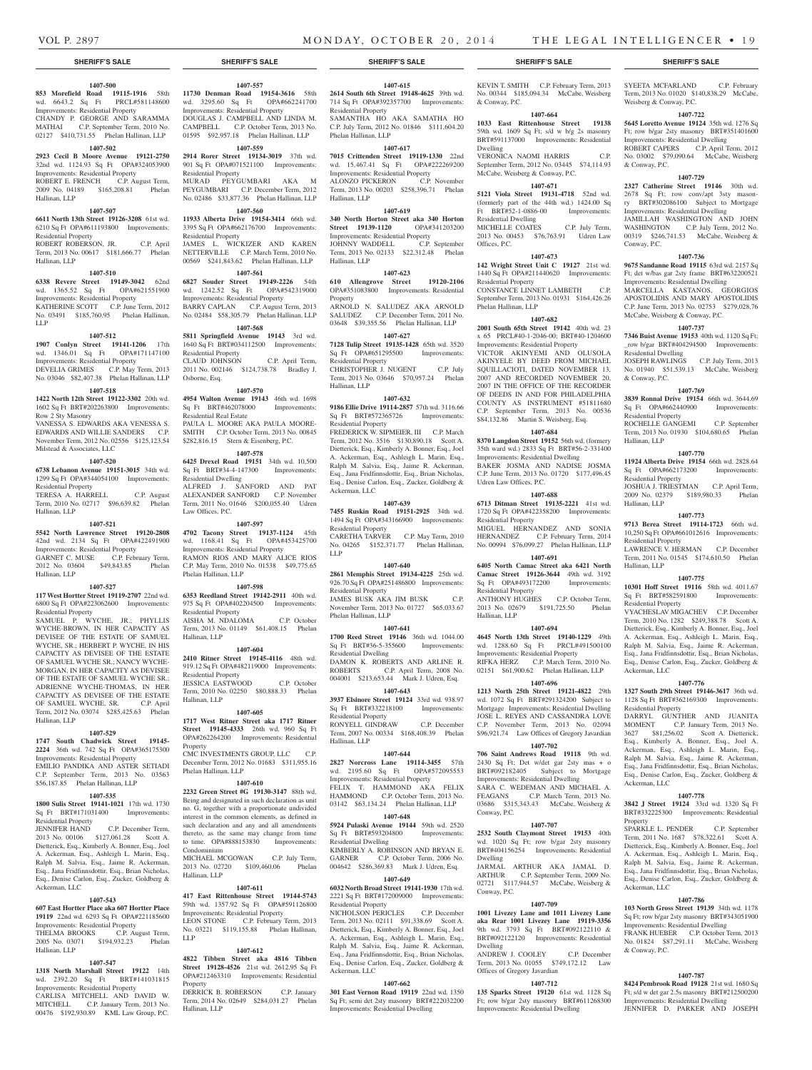& Conway, P.C.

Residential Dwelling

Residential Property

Phelan Hallinan, LLP

Udren Law Offices, P.C.

Residential Property

Sq Ft OPA#493172200 Residential Property

wd. 1288.60 Sq Ft Improvements: Residential Property RIFKA HERZ C.P. March Term, 2010 No. 02151 \$61,900.62 Phelan Hallinan, LLP **1407-696 1213 North 25th Street 19121-4822** 29th wd. 1072 Sq Ft BRT#291324200 Subject to Mortgage Improvements: Residential Dwelling JOSE L. REYES AND CASSANDRA LOVE C.P. November Term, 2013 No. 02094 \$96,921.74 Law Offices of Gregory Javardian **1407-702 706 Saint Andrews Road 19118** 9th wd. 2430 Sq Ft; Det w/det gar 2sty mas + o BRT#092182405 Subject to Mortgage Improvements: Residential Dwelling SARA C. WEDEMAN AND MICHAEL A. FEAGANS C.P. March Term, 2013 No. 03686 \$315,343.43 McCabe, Weisberg &

Hallinan, LLP

Conway, P.C.

Dwelling

Conway, P.C.

Dwelling

**1407-688 6713 Ditman Street 19135-2221** 41st wd. 1720 Sq Ft OPA#422358200 Improvements:

MIGUEL HERNANDEZ AND SONIA HERNANDEZ C.P. February Term, 2014 No. 00994 \$76,099.27 Phelan Hallinan, LLP **1407-691 6405 North Camac Street aka 6421 North Camac Street 19126-3644** 49th wd. 3192<br>
Sq Ft OPA#493172200 Improvements:

ANTHONY HUGHES C.P. October Term, 2013 No. 02679 \$191,725.50 Phelan

**1407-694 4645 North 13th Street 19140-1229** 49th

**1407-707 2532 South Claymont Street 19153** 40th wd. 1020 Sq Ft; row b/gar 2sty masonry BRT#404156254 Improvements: Residential

JARMAL ARTHUR AKA JAMAL D. ARTHUR C.P. September Term, 2009 No. 02721 \$117,944.57 McCabe, Weisberg &

**1407-709 1001 Livezey Lane and 1011 Livezey Lane aka Rear 1001 Livezey Lane 19119-3356**  9th wd. 3793 Sq Ft BRT#092122110 & BRT#092122120 Improvements: Residential

ANDREW J. COOLEY C.P. December Term, 2013 No. 01055 \$749,172.12 Law

**1407-712 135 Sparks Street 19120** 61st wd. 1128 Sq Ft; row b/gar 2sty masonry BRT#611268300 Improvements: Residential Dwelling

Offices of Gregory Javardian

Offices, P.C.

Dwelling

KEVIN T. SMITH C.P. February Term, 2013 No. 00344 \$185,094.34 McCabe, Weisberg

SYEETA MCFARLAND C.P. February Term, 2013 No. 01020 \$140,838.29 McCabe,

**1407-722 5645 Loretto Avenue 19124** 35th wd. 1276 Sq Ft; row b/gar 2sty masonry BRT#351401600 Improvements: Residential Dwelling ROBERT CAPERS C.P. April Term, 2012 No. 03002 \$79,090.64 McCabe, Weisberg

**1407-729 2327 Catherine Street 19146** 30th wd. 2678 Sq Ft; row conv/apt 3sty masonry BRT#302086100 Subject to Mortgage Improvements: Residential Dwelling JAMILLAH WASHINGTON AND JOHN WASHINGTON C.P. July Term, 2012 No. 00319 \$246,741.53 McCabe, Weisberg &

**1407-736 9675 Sandanne Road 19115** 63rd wd. 2157 Sq Ft; det w/bas gar 2sty frame BRT#632200521 Improvements: Residential Dwelling MARCELLA KASTANOS, GEORGIOS APOSTOLIDIS AND MARY APOSTOLIDIS C.P. June Term, 2013 No. 02753 \$279,028.76

JOSEPH RAWLINGS C.P. July Term, 2013 No. 01940 \$51,539.13 McCabe, Weisberg

**1407-769 3839 Ronnal Drive 19154** 66th wd. 3644.69 Sq Ft OPA#662440900 Improvements:

ROCHELLE GANGEMI C.P. September Term, 2013 No. 01930 \$104,680.65 Phelan

**1407-770 11924 Alberta Drive 19154** 66th wd. 2828.64 Sq Ft OPA#662173200 Improvements:

JOSHUA J. TRIESTMAN C.P. April Term, 2009 No. 02379 \$189,980.33 Phelan

**1407-773 9713 Berea Street 19114-1723** 66th wd. 10,250 Sq Ft OPA#661012616 Improvements:

LAWRENCE V. HERMAN C.P. December Term, 2011 No. 01545 \$174,610.50 Phelan

**1407-775 10301 Hoff Street 19116** 58th wd. 4011.67 Sq Ft BRT#582591800 Improvements:

VYACHESLAV MIGACHEV C.P. December Term, 2010 No. 1282 \$249,388.78 Scott A. Dietterick, Esq., Kimberly A. Bonner, Esq., Joel A. Ackerman, Esq., Ashleigh L. Marin, Esq., Ralph M. Salvia, Esq., Jaime R. Ackerman, Esq., Jana Fridfinnsdottir, Esq., Brian Nicholas, Esq., Denise Carlon, Esq., Zucker, Goldberg &

**1407-776 1327 South 29th Street 19146-3617** 36th wd. 1128 Sq Ft BRT#362169300 Improvements:

DARRYL GUNTHER AND JUANITA MOMENT C.P. January Term, 2013 No. 3627 \$81,256.02 Scott A. Dietterick, Esq., Kimberly A. Bonner, Esq., Joel A. Ackerman, Esq., Ashleigh L. Marin, Esq., Ralph M. Salvia, Esq., Jaime R. Ackerman, Esq., Jana Fridfinnsdottir, Esq., Brian Nicholas, Esq., Denise Carlon, Esq., Zucker, Goldberg &

**1407-778 3842 J Street 19124** 33rd wd. 1320 Sq Ft BRT#332225300 Improvements: Residential

SPARKLE L. PENDER C.P. September Term, 2011 No. 1687 \$78,322.61 Scott A. Dietterick, Esq., Kimberly A. Bonner, Esq., Joel A. Ackerman, Esq., Ashleigh L. Marin, Esq., Ralph M. Salvia, Esq., Jaime R. Ackerman, Esq., Jana Fridfinnsdottir, Esq., Brian Nicholas, Esq., Denise Carlon, Esq., Zucker, Goldberg &

**1407-786 103 North Gross Street 19139** 34th wd. 1178 Sq Ft; row b/gar 2sty masonry BRT#343051900 Improvements: Residential Dwelling FRANK HUEBER C.P. October Term, 2013 No. 01824 \$87,291.11 McCabe, Weisberg

**1407-787 8424 Pembrook Road 19128** 21st wd. 1680 Sq Ft; s/d w det gar 2.5s masonry BRT#212500200 Improvements: Residential Dwelling JENNIFER D. PARKER AND JOSEPH

McCabe, Weisberg & Conway, P.C. **1407-737 7346 Buist Avenue 19153** 40th wd. 1120 Sq Ft; \_row b/gar BRT#404294500 Improvements:

Residential Dwelling

Residential Property

Residential Property

Residential Property

Residential Property

Ackerman, LLC

Residential Property

Ackerman, LLC

Ackerman, LLC

& Conway, P.C.

Property

Hallinan, LLP

Hallinan, LLP

Hallinan, LLP

& Conway, P.C.

Weisberg & Conway, P.C.

& Conway, P.C.

Conway, P.C.

**1407-664 1033 East Rittenhouse Street 19138**  59th wd. 1609 Sq Ft; s/d w b/g 2s masonry BRT#591137000 Improvements: Residential

VERONICA NAOMI HARRIS C.P. September Term, 2012 No. 03445 \$74,114.93 McCabe, Weisberg & Conway, P.C. **1407-671 5121 Viola Street 19131-4718** 52nd wd. (formerly part of the 44th wd.) 1424.00 Sq Ft BRT#52-1-0886-00 Improvements:

MICHELLE COATES C.P. July Term, 2013 No. 00453 \$76,763.91 Udren Law

**1407-673 142 Wright Street Unit C 19127** 21st wd. 1440 Sq Ft OPA#211440620 Improvements:

CONSTANCE LINNET LAMBETH C.P. September Term, 2013 No. 01931 \$164,426.26

**1407-682 2001 South 65th Street 19142** 40th wd. 23 x 65 PRCL#40-1-2046-00; BRT#40-1204600 Improvements: Residential Property VICTOR AKINYEMI AND OLUSOLA AKINYELE BY DEED FROM MICHAEL SQUILLACIOTI, DATED NOVEMBER 13, 2007 AND RECORDED NOVEMBER 20, 2007 IN THE OFFICE OF THE RECORDER OF DEEDS IN AND FOR PHILADELPHIA COUNTY AS INSTRUMENT #51811680 C.P. September Term, 2013 No. 00536 \$84,132.86 Martin S. Weisberg, Esq. **1407-684 8370 Langdon Street 19152** 56th wd. (formery 35th ward wd.) 2833 Sq Ft BRT#56-2-331400 Improvements: Residential Dwelling BAKER JOSMA AND NADISE JOSMA C.P. June Term, 2013 No. 01720 \$177,496.45

#### **SHERIFF'S SALE SHERIFF'S SALE SHERIFF'S SALE SHERIFF'S SALE SHERIFF'S SALE**

#### **1407-500**

**853 Morefield Road 19115-1916** 58th wd. 6643.2 Sq Ft PRCL#581148600 Improvements: Residential Property CHANDY P. GEORGE AND SARAMMA MATHAI C.P. September Term, 2010 No. 02127 \$410,731.55 Phelan Hallinan, LLP

### **1407-502**

**2923 Cecil B Moore Avenue 19121-2750**  32nd wd. 1124.93 Sq Ft OPA#324053900 Improvements: Residential Property ROBERT E. FRENCH C.P. August Term, 2009 No. 04189 \$165,208.81 Phelan

### **1407-507**

Hallinan, LLP

**6611 North 13th Street 19126-3208** 61st wd. 6210 Sq Ft OPA#611193800 Improvements:

Residential Property ROBERT ROBERSON, JR. C.P. April Term, 2013 No. 00617 \$181,666.77 Phelan

### Hallinan, LLP **1407-510**

**6338 Revere Street 19149-3042** 62nd wd. 1365.52 Sq Ft OPA#621551900 Improvements: Residential Property KATHERINE SCOTT C.P. June Term, 2012 No. 03491 \$185,760.95 Phelan Hallinan, LLP

### **1407-512**

**1907 Conlyn Street 19141-1206** 17th wd. 1346.01 Sq Ft OPA#171147100 Improvements: Residential Property DEVELIA GRIMES C.P. May Term, 2013 No. 03046 \$82,407.38 Phelan Hallinan, LLP

#### **1407-518**

**1422 North 12th Street 19122-3302** 20th wd. 1602 Sq Ft BRT#202263800 Improvements: Row 2 Sty Masonry

VANESSA S. EDWARDS AKA VENESSA S. EDWARDS AND WILLIE SANDERS C.P. November Term, 2012 No. 02556 \$125,123.54 Milstead & Associates, LLC

#### **1407-520**

**6738 Lebanon Avenue 19151-3015** 34th wd. 1299 Sq Ft OPA#344054100 Improvements: Residential Property TERESA A. HARRELL C.P. August

Term, 2010 No. 02717 \$96,639.82 Phelan Hallinan, LLP

#### **1407-521**

**5542 North Lawrence Street 19120-2808**  42nd wd. 2134 Sq Ft OPA#422491900 Improvements: Residential Property GARNET C. MUSE C.P. February Term,

2012 No. 03604 \$49,843.85 Phelan Hallinan, LLP

#### **1407-527**

**117 West Hortter Street 19119-2707** 22nd wd. 6800 Sq Ft OPA#223062600 Improvements: Residential Property

SAMUEL P. WYCHE, JR.; PHYLLIS WYCHE-BROWN, IN HER CAPACITY AS DEVISEE OF THE ESTATE OF SAMUEL WYCHE, SR.; HERBERT P. WYCHE, IN HIS CAPACITY AS DEVISEE OF THE ESTATE OF SAMUEL WYCHE SR.; NANCY WYCHE-MORGAN, IN HER CAPACITY AS DEVISEE OF THE ESTATE OF SAMUEL WYCHE SR.; ADRIENNE WYCHE-THOMAS, IN HER CAPACITY AS DEVISEE OF THE ESTATE OF SAMUEL WYCHE, SR. C.P. April Term, 2012 No. 03074 \$285,425.63 Phelan Hallinan, LLP

### **1407-529**

**1747 South Chadwick Street 19145- 2224** 36th wd. 742 Sq Ft OPA#365175300

Improvements: Residential Property EMILIO PANDIKA AND ASTER SETIADI C.P. September Term, 2013 No. 03563 \$56,187.85 Phelan Hallinan, LLP

### **1407-535**

**1800 Sulis Street 19141-1021** 17th wd. 1730 Sq Ft BRT#171031400 Improvements:

Residential Property<br>JENNIFER HAND C.P. December Term, 2013 No. 00106 \$127,061.28 Scott A. Dietterick, Esq., Kimberly A. Bonner, Esq., Joel A. Ackerman, Esq., Ashleigh L. Marin, Esq., Ralph M. Salvia, Esq., Jaime R. Ackerman, Esq., Jana Fridfinnsdottir, Esq., Brian Nicholas, Esq., Denise Carlon, Esq., Zucker, Goldberg &

### **1407-543**

Ackerman, LLC

**607 East Hortter Place aka 607 Hortter Place 19119** 22nd wd. 6293 Sq Ft OPA#221185600 Improvements: Residential Property

THELMA BROOKS C.P. August Term, 2005 No. 03071 \$194,932.23 Phelan Hallinan, LLP

#### **1407-547**

**1318 North Marshall Street 19122** 14th wd. 2392.20 Sq Ft BRT#141031815 Improvements: Residential Property CARLISA MITCHELL AND DAVID W.

MITCHELL C.P. January Term, 2013 No. 00476 \$192,930.89 KML Law Group, P.C.

## **1407-557**

**11730 Denman Road 19154-3616** 58th wd. 3295.60 Sq Ft OPA#662241700 Improvements: Residential Property DOUGLAS J. CAMPBELL AND LINDA M. CAMPBELL C.P. October Term, 2013 No. 01595 \$92,957.18 Phelan Hallinan, LLP

### **1407-559**

**2914 Rorer Street 19134-3019** 37th wd. 901 Sq Ft OPA#071521100 Improvements: Residential Property MURAD PEYGUMBARI AKA M

### PEYGUMBARI C.P. December Term, 2012 No. 02486 \$33,877.36 Phelan Hallinan, LLP **1407-560**

**11933 Alberta Drive 19154-3414** 66th wd. 3395 Sq Ft OPA#662176700 Improvements: Residential Property JAMES L. WICKIZER AND KAREN NETTERVILLE C.P. March Term, 2010 No. 00569 \$241,843.62 Phelan Hallinan, LLP

#### **1407-561**

**6827 Souder Street 19149-2226** 54th wd. 1242.52 Sq Ft OPA#542319000 Mu. 1242.32 by T.C. Communisty BARRY CAPLAN C.P. August Term, 2013 No. 02484 \$58,305.79 Phelan Hallinan, LLP

#### **1407-568**

**5811 Springfield Avenue 19143** 3rd wd. 1640 Sq Ft BRT#034112500 Improvements: Residential Property<br>CLAUD JOHNSON C.P. April Term, 2011 No. 002146 \$124,738.78 Bradley J. Osborne, Esq.

#### **1407-570**

**4954 Walton Avenue 19143** 46th wd. 1698 Sq Ft BRT#462078000 Improvements: Residential Real Estate PAULA L. MOORE AKA PAULA MOORE-SMITH C.P. October Term, 2013 No. 00845 \$282,816.15 Stern & Eisenberg, P.C.

#### **1407-578**

**6425 Drexel Road 19151** 34th wd. 10,500 Sq Ft BRT#34-4-147300 Improvements: Residential Dwelling ALFRED J. SANFORD AND PAT ALEXANDER SANFORD C.P. November Term, 2011 No. 01646 \$200,055.40 Udren Law Offices, P.C.

#### **1407-597**

**4702 Tacony Street 19137-1124** 45th wd. 1168.41 Sq Ft OPA#453425700 Improvements: Residential Property RAMON RIOS AND MARY ALICE RIOS C.P. May Term, 2010 No. 01538 \$49,775.65 Phelan Hallinan, LLP

#### **1407-598**

**6353 Reedland Street 19142-2911** 40th wd. 975 Sq Ft OPA#402204500 Improvements: Residential Property AISHA M. NDALOMA C.P. October Term, 2013 No. 01149 \$61,408.15 Phelan Hallinan, LLP

**1407-604 2410 Ritner Street 19145-4116** 48th wd. 919.12 Sq Ft OPA#482119000 Improvements: Residential Property

JESSICA EASTWOOD C.P. October Term, 2010 No. 02250 \$80,888.33 Phelan Hallinan, LLP

### **1407-605**

Phelan Hallinan, LLP

**1717 West Ritner Street aka 1717 Ritner Street 19145-4333** 26th wd. 960 Sq Ft OPA#262264200 Improvements: Residential Property CMC INVESTMENTS GROUP, LLC C.P. December Term, 2012 No. 01683 \$311,955.16

#### **1407-610**

**2232 Green Street #G 19130-3147** 88th wd. Being and designated in such declaration as unit no. G, together with a proportionate undivided interest in the common elements, as defined in such declaration and any and all amendments thereto, as the same may change from time to time. OPA#888153830 Improvements: Condominium MICHAEL MCGOWAN C.P. July Term,

2013 No. 02720 \$109,460.06 Phelan Hallinan, LLP

#### **1407-611**

**417 East Rittenhouse Street 19144-5743**  59th wd. 1357.92 Sq Ft OPA#591126800 Improvements: Residential Property LEON STONE C.P. February Term, 2013 No. 03221 \$119,155.88 Phelan Hallinan, LLP

#### **1407-612**

**4822 Tibben Street aka 4816 Tibben Street 19128-4526** 21st wd. 2612.95 Sq Ft OPA#212463310 Improvements: Residential Property

DERRICK B. ROBERSON C.P. January Term, 2014 No. 02649 \$284,031.27 Phelan Hallinan, LLP

#### **1407-615**

**2614 South 6th Street 19148-4625** 39th wd. 714 Sq Ft OPA#392357700 Improvements: Residential Property SAMANTHA HO AKA SAMATHA HO C.P. July Term, 2012 No. 01846 \$111,604.20 Phelan Hallinan, LLP

#### **1407-617**

**7015 Crittenden Street 19119-1330** 22nd wd. 15,467.41 Sq Ft OPA#222269200 Improvements: Residential Property ALONZO PICKERON C.P. November Term, 2013 No. 00203 \$258,396.71 Phelan Hallinan, LLP

#### **1407-619**

**340 North Horton Street aka 340 Horton Street 19139-1120** OPA#341203200 Improvements: Residential Property<br>JOHNNY WADDELL C.P. September JOHNNY WADDELL Term, 2013 No. 02133 \$22,312.48 Phelan Hallinan, LLP

#### **1407-623**

**610 Allengrove Street 19120-2106**  OPA#351083800 Improvements: Residential Property ARNOLD N. SALUDEZ AKA ARNOLD

SALUDEZ C.P. December Term, 2011 No. 03648 \$39,355.56 Phelan Hallinan, LLP **1407-627 7128 Tulip Street 19135-1428** 65th wd. 3520

Sq Ft OPA#651295500 Improvements: Residential Property CHRISTOPHER J. NUGENT C.P. July Term, 2013 No. 03646 \$70,957.24 Phelan

## **1407-632**

Hallinan, LLP

**9186 Ellie Drive 19114-2857** 57th wd. 3116.66 Sq Ft BRT#572365726 Improvements: Residential Property

FREDERICK W. SIPMEIER, III C.P. March Term, 2012 No. 3516 \$130,890.18 Scott A. Dietterick, Esq., Kimberly A. Bonner, Esq., Joel A. Ackerman, Esq., Ashleigh L. Marin, Esq., Ralph M. Salvia, Esq., Jaime R. Ackerman, Esq., Jana Fridfinnsdottir, Esq., Brian Nicholas, Esq., Denise Carlon, Esq., Zucker, Goldberg & Ackerman, LLC

#### **1407-639**

**7455 Ruskin Road 19151-2925** 34th wd. 1494 Sq Ft OPA#343166900 Improvements: Residential Property CARETHA TARVER C.P. May Term, 2010 No. 04265 \$152,371.77 Phelan Hallinan, LLP

#### **1407-640**

**2861 Memphis Street 19134-4225** 25th wd. 926.70 Sq Ft OPA#251486800 Improvements: Residential Property JAMES BUSK AKA JIM BUSK C.P.

November Term, 2013 No. 01727 \$65,033.67 Phelan Hallinan, LLP

### **1407-641**

**1700 Reed Street 19146** 36th wd. 1044.00 Sq Ft BRT#36-5-355600 Improvements: Residential Dwelling DAMON K. ROBERTS AND ARLINE R. ROBERTS C.P. April Term, 2008 No. 004001 \$213,653.44 Mark J. Udren, Esq.

### **1407-643**

**3937 Elsinore Street 19124** 33rd wd. 938.97 Sq Ft BRT#332218100 Improvements: Residential Property RONYELL GINDRAW C.P. December

Term, 2007 No. 00334 \$168,408.39 Phelan Hallinan, LLP **1407-644**

## **2827 Norcross Lane 19114-3455** 57th

wd. 2195.60 Sq Ft OPA#572095553 Improvements: Residential Property FELIX T. HAMMOND AKA FELIX HAMMOND C.P. October Term, 2013 No. 03142 \$63,134.24 Phelan Hallinan, LLP

### **1407-648**

**5924 Pulaski Avenue 19144** 59th wd. 2520 Sq Ft BRT#593204800 Improvements: Residential Dwelling

KIMBERLY A. ROBINSON AND BRYAN E. GARNER C.P. October Term, 2006 No. 004642 \$286,369.83 Mark J. Udren, Esq.

### **1407-649**

**6032 North Broad Street 19141-1930** 17th wd. 2221 Sq Ft BRT#172009000 Improvements: Residential Property NICHOLSON PERICLES C.P. December

Term, 2013 No. 02111 \$91,338.69 Scott A. Dietterick, Esq., Kimberly A. Bonner, Esq., Joel A. Ackerman, Esq., Ashleigh L. Marin, Esq., Ralph M. Salvia, Esq., Jaime R. Ackerman, Esq., Jana Fridfinnsdottir, Esq., Brian Nicholas, Esq., Denise Carlon, Esq., Zucker, Goldberg &

**1407-662 301 East Vernon Road 19119** 22nd wd. 1350 Sq Ft; semi det 2sty masonry BRT#222032200 Improvements: Residential Dwelling

Ackerman, LLC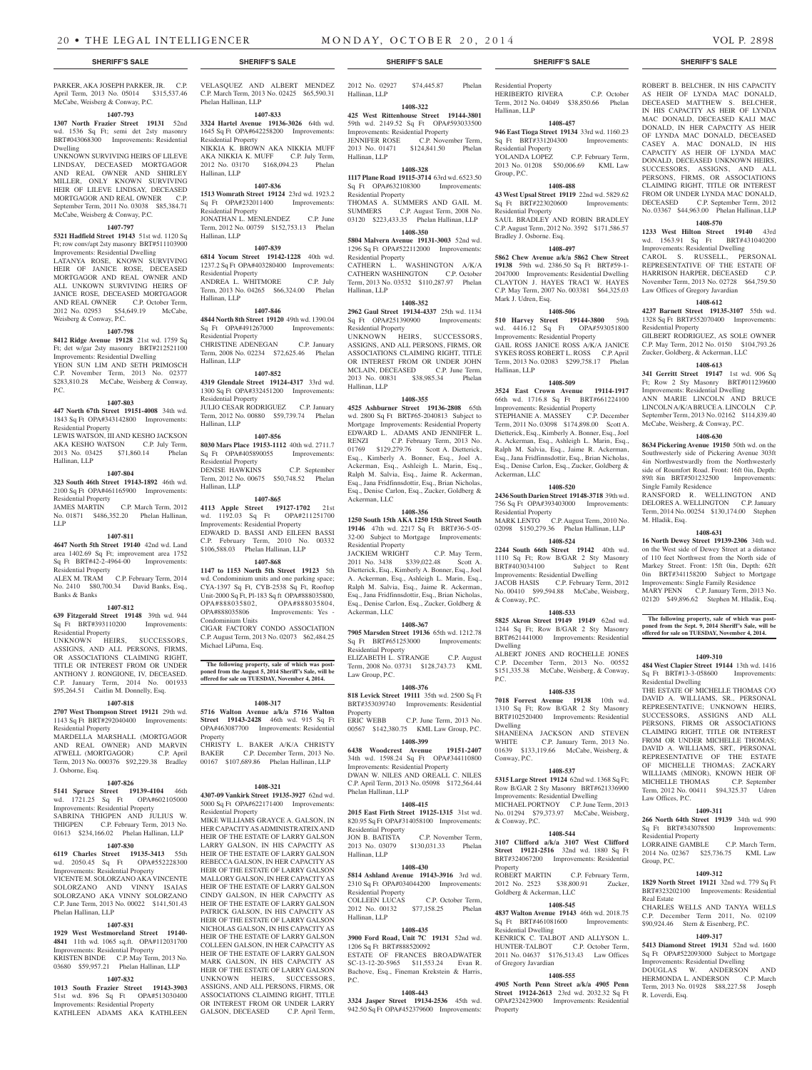PARKER, AKA JOSEPH PARKER, JR. C.P. April Term, 2013 No. 05014 \$315,537.46 McCabe, Weisberg & Conway, P.C.

#### **1407-793**

**1307 North Frazier Street 19131** 52nd wd. 1536 Sq Ft; semi det 2sty masonry BRT#043068300 Improvements: Residential Dwelling

UNKNOWN SURVIVING HEIRS OF LILEVE LINDSAY, DECEASED MORTGAGOR AND REAL OWNER AND SHIRLEY MILLER, ONLY KNOWN SURVIVING HEIR OF LILEVE LINDSAY, DECEASED MORTGAGOR AND REAL OWNER C.P. September Term, 2011 No. 03038 \$85,384.71 McCabe, Weisberg & Conway, P.C.

#### **1407-797**

**5321 Hadfield Street 19143** 51st wd. 1120 Sq Ft; row conv/apt 2sty masonry BRT#511103900 Improvements: Residential Dwelling LATANYA ROSE, KNOWN SURVIVING

HEIR OF JANICE ROSE, DECEASED MORTGAGOR AND REAL OWNER AND ALL UNKOWN SURVIVING HEIRS OF JANICE ROSE, DECEASED MORTGAGOR AND REAL OWNER C.P. October Term, 2012 No. 02953 \$54,649.19 McCabe. Weisberg & Conway, P.C.

#### **1407-798**

**8412 Ridge Avenue 19128** 21st wd. 1759 Sq Ft; det w/gar 2sty masonry BRT#212521100 Improvements: Residential Dwelling YEON SUN LIM AND SETH PRIMOSCH C.P. November Term, 2013 No. 02377 \$283,810.28 McCabe, Weisberg & Conway, P.C.

#### **1407-803**

**447 North 67th Street 19151-4008** 34th wd. 1843 Sq Ft OPA#343142800 Improvements: Residential Property LEWIS WATSON, III AND KESHO JACKSON

AKA KESHO WATSON C.P. July Term, 2013 No. 03425 \$71,860.14 Phelan Hallinan, LLP

#### **1407-804**

### **323 South 46th Street 19143-1892** 46th wd. 2100 Sq Ft OPA#461165900 Improvements: Residential Property<br>IAMES MARTIN

C.P. March Term, 2012 No. 01871 \$486,352.20 Phelan Hallinan, LLP

#### **1407-811**

**4647 North 5th Street 19140** 42nd wd. Land area 1402.69 Sq Ft; improvement area 1752 Sq Ft BRT#42-2-4964-00 Improvements: Residential Property

ALEX M. TRAM C.P. February Term, 2014 No. 2410 \$80,700.34 David Banks, Esq., Banks & Banks

#### **1407-812**

**639 Fitzgerald Street 19148** 39th wd. 944 Sq Ft BRT#393110200 Improvements: Residential Property

UNKNOWN HEIRS, SUCCESSORS, ASSIGNS, AND ALL PERSONS, FIRMS, OR ASSOCIATIONS CLAIMING RIGHT, TITLE OR INTEREST FROM OR UNDER ANTHONY J. RONGIONE, IV, DECEASED. C.P. January Term, 2014 No. 001933 \$95,264.51 Caitlin M. Donnelly, Esq.

#### **1407-818**

**2707 West Thompson Street 19121** 29th wd. 1143 Sq Ft BRT#292040400 Improvements: Residential Property

MARDELLA MARSHALL (MORTGAGOR AND REAL OWNER) AND MARVIN ATWELL (MORTGAGOR) C.P. April Term, 2013 No. 000376 \$92,229.38 Bradley J. Osborne, Esq.

#### **1407-826**

**5141 Spruce Street 19139-4104** 46th wd. 1721.25 Sq Ft OPA#602105000 Improvements: Residential Property

SABRINA THIGPEN AND JULIUS W. THIGPEN C.P. February Term, 2013 No. 01613 \$234,166.02 Phelan Hallinan, LLP

#### **1407-830**

**6119 Charles Street 19135-3413** 55th wd.  $2050.45$  Sq Ft Improvements: Residential Property VICENTE M. SOLORZANO AKA VINCENTE SOLORZANO AND VINNY ISAIAS SOLORZANO AKA VINNY SOLORZANO C.P. June Term, 2013 No. 00022 \$141,501.43 Phelan Hallinan, LLP

#### **1407-831**

**1929 West Westmoreland Street 19140- 4841** 11th wd. 1065 sq.ft. OPA#112031700 Improvements: Residential Property KRISTEN BINDE C.P. May Term, 2013 No. 03680 \$59,957.21 Phelan Hallinan, LLP

#### **1407-832**

**1013 South Frazier Street 19143-3903**  51st wd. 896 Sq Ft OPA#513030400 Improvements: Residential Property KATHLEEN ADAMS AKA KATHLEEN

VELASQUEZ AND ALBERT MENDEZ C.P. March Term, 2013 No. 02425 \$65,590.31 Phelan Hallinan, LLP

#### **1407-833**

**3324 Hartel Avenue 19136-3026** 64th wd. 1645 Sq Ft OPA#642258200 Improvements: Residential Property NIKKIA K. BROWN AKA NIKKIA MUFF AKA NIKKIA K. MUFF C.P. July Term, 2012 No. 03170 \$168,094.23 Phelan Hallinan, LLP

#### **1407-836**

**1513 Womrath Street 19124** 23rd wd. 1923.2<br>
Sq Ft OPA#232011400 Improvements: Sq Ft OPA#232011400 Residential Property JONATHAN L. MENLENDEZ C.P. June Term, 2012 No. 00759 \$152,753.13 Phelan Hallinan, LLP

#### **1407-839**

**6814 Yocum Street 19142-1228** 40th wd. 1237.2 Sq Ft OPA#403280400 Improvements: Residential Property ANDREA L. WHITMORE C.P. July Term, 2013 No. 04265 \$66,324.00 Phelan Hallinan, LLP

#### **1407-846**

**4844 North 8th Street 19120** 49th wd. 1390.04 Sq Ft OPA#491267000 Improvements: Residential Property CHRISTINE ADENEGAN C.P. January Term, 2008 No. 02234 \$72,625.46 Phelan Hallinan, LLP

### **1407-852**

**4319 Glendale Street 19124-4317** 33rd wd. 1300 Sq Ft OPA#332451200 Improvements: Residential Property JULIO CESAR RODRIGUEZ C.P. January Term, 2012 No. 00880 \$59,739.74 Phelan

Hallinan, LLP **1407-856**

**8030 Mars Place 19153-1112** 40th wd. 2711.7 Sq Ft OPA#405890055 Improvements: Residential Property DENISE HAWKINS C.P. September

Term, 2012 No. 00675 \$50,748.52 Phelan Hallinan, LLP **1407-865**

### **4113 Apple Street 19127-1702** 21st

wd. 1192.03 Sq Ft OPA#211251700 Improvements: Residential Property EDWARD D. BASSI AND EILEEN BASSI C.P. February Term, 2010 No. 00332 \$106,588.03 Phelan Hallinan, LLP

### **1407-868**

**1147 to 1153 North 5th Street 19123** 5th wd. Condominium units and one parking space; CYA-1397 Sq Ft, CYB-2538 Sq Ft, Rooftop Unit-2000 Sq Ft, Pl-183 Sq ft OPA#888035800,<br>OPA#888035802, OPA#888035804, OPA#888035802,<br>OPA#888035806 I Improvements: Yes -Condominium Units CIGAR FACTORY CONDO ASSOCIATION

C.P. August Term, 2013 No. 02073 \$62,484.25 Michael LiPuma, Esq.

## **The following property, sale of which was post-poned from the August 5, 2014 Sheriff's Sale, will be offered for sale on TUESDAY, November 4, 2014.**

#### **1408-317**

**5716 Walton Avenue a/k/a 5716 Walton Street 19143-2428** 46th wd. 915 Sq Ft OPA#463087700 Improvements: Residential Property CHRISTY L. BAKER A/K/A CHRISTY

BAKER C.P. December Term, 2013 No. 00167 \$107,689.86 Phelan Hallinan, LLP

### **1408-321**

**4307-09 Vankirk Street 19135-3927** 62nd wd. 5000 Sq Ft OPA#622171400 Improvements: Residential Property

MIKE WILLIAMS GRAYCE A. GALSON, IN HER CAPACITY AS ADMINISTRATRIX AND HEIR OF THE ESTATE OF LARRY GALSON LARRY GALSON, IN HIS CAPACITY AS HEIR OF THE ESTATE OF LARRY GALSON REBECCA GALSON, IN HER CAPACITY AS HEIR OF THE ESTATE OF LARRY GALSON MALLORY GALSON, IN HER CAPACITY AS HEIR OF THE ESTATE OF LARRY GALSON CINDY GALSON, IN HER CAPACITY AS HEIR OF THE ESTATE OF LARRY GALSON PATRICK GALSON, IN HIS CAPACITY AS HEIR OF THE ESTATE OF LARRY GALSON NICHOLAS GALSON, IN HIS CAPACITY AS HEIR OF THE ESTATE OF LARRY GALSON COLLEEN GALSON, IN HER CAPACITY AS HEIR OF THE ESTATE OF LARRY GALSON MARK GALSON, IN HIS CAPACITY AS HEIR OF THE ESTATE OF LARRY GALSON UNKNOWN HEIRS, SUCCESSORS, ASSIGNS, AND ALL PERSONS, FIRMS, OR ASSOCIATIONS CLAIMING RIGHT, TITLE OR INTEREST FROM OR UNDER LARRY<br>GALSON, DECEASED C.P. April Term. GALSON, DECEASED

2012 No. 02927 \$74,445.87 Phelan Hallinan, LLP **1408-322**

**425 West Rittenhouse Street 19144-3801**  59th wd. 2149.52 Sq Ft OPA#593033500 Improvements: Residential Property JENNIFER ROSE C.P. November Term,<br>2013 No. 01471 \$124,841.50 Phelan \$124,841.50 Phelan Hallinan, LLP

### **1408-328**

**1117 Plane Road 19115-3714** 63rd wd. 6523.50 Sq Ft OPA#632108300 Improvements: Residential Property THOMAS A. SUMMERS AND GAIL M.<br>SUMMERS C.P. August Term, 2008 No. C.P. August Term, 2008 No.

#### 03120 \$223,433.35 Phelan Hallinan, LLP **1408-350 5804 Malvern Avenue 19131-3003** 52nd wd. 1296 Sq Ft OPA#522112000 Improvements:

Residential Property CATHERN L. WASHINGTON A/K/A<br>CATHERN WASHINGTON C.P. October CATHERN WASHINGTON Term, 2013 No. 03532 \$110,287.97 Phelan Hallinan, LLP

#### **1408-352**

**2962 Gaul Street 19134-4337** 25th wd. 1134<br>
Sq Ft OPA#251390900 Improvements: Sq Ft OPA#251390900 Residential Property UNKNOWN HEIRS, SUCCESSORS, ASSIGNS, AND ALL PERSONS, FIRMS, OR ASSOCIATIONS CLAIMING RIGHT, TITLE OR INTEREST FROM OR UNDER JOHN MCLAIN, DECEASED C.P. June Term, 2013 No. 00831 \$38,985.34 Phelan

### **1408-355**

Hallinan, LLP

**4525 Ashburner Street 19136-2808** 65th wd. 2800 Sq Ft BRT#65-2040813 Subject to Mortgage Improvements: Residential Property EDWARD L. ADAMS AND JENNIFER L.<br>RENZI C.P. February Term. 2013 No. C.P. February Term, 2013 No. 01769 \$129,279.76 Scott A. Dietterick, Esq., Kimberly A. Bonner, Esq., Joel A. Ackerman, Esq., Ashleigh L. Marin, Esq., Ralph M. Salvia, Esq., Jaime R. Ackerman, Esq., Jana Fridfinnsdottir, Esq., Brian Nicholas, Esq., Denise Carlon, Esq., Zucker, Goldberg & Ackerman, LLC

#### **1408-356**

**1250 South 15th AKA 1250 15th Street South 19146** 47th wd. 2217 Sq Ft BRT#36-5-05- 32-00 Subject to Mortgage Improvements: Residential Property<br>JACKIEM WRIGHT

C.P. May Term, 2011 No. 3438 \$339,022.48 Scott A. Dietterick, Esq., Kimberly A. Bonner, Esq., Joel A. Ackerman, Esq., Ashleigh L. Marin, Esq., Ralph M. Salvia, Esq., Jaime R. Ackerman, Esq., Jana Fridfinnsdottir, Esq., Brian Nicholas, Esq., Denise Carlon, Esq., Zucker, Goldberg & Ackerman, LLC

### **1408-367**

**7905 Marsden Street 19136** 65th wd. 1212.78 Sq Ft BRT#651253000 Improvements: Residential Property ELIZABETH L. STRANGE C.P. August

Term, 2008 No. 03731 \$128,743.73 KML Law Group, P.C. **1408-376**

**818 Levick Street 19111** 35th wd. 2500 Sq Ft BRT#353039740 Improvements: Residential Property<br>ERIC WEBB  $C.P.$  June Term, 2013 No.

00567 \$142,380.75 KML Law Group, P.C. **1408-399**

#### **6438 Woodcrest Avenue 19151-2407**

34th wd. 1598.24 Sq Ft OPA#344110800 Improvements: Residential Property DWAN W. NILES AND OREALL C. NILES C.P. April Term, 2013 No. 05098 \$172,564.44 Phelan Hallinan, LLP

#### **1408-415**

**2015 East Firth Street 19125-1315** 31st wd. 820.95 Sq Ft OPA#314058100 Improvements: Residential Property<br>JON B. BATISTA JON B. BATISTA<br>
2013 No. 03079 \$130.031.33 Phelan

\$130,031.33 Phelan Hallinan, LLP

#### **1408-430 5814 Ashland Avenue 19143-3916** 3rd wd.

2310 Sq Ft OPA#034044200 Improvements: Residential Property

COLLEEN LUCAS C.P. October Term,<br>2012 No. 00132 \$77,158.25 Phelan \$77,158.25 Phelan Hallinan, LLP

#### **1408-435**

### **3900 Ford Road, Unit 7C 19131** 52nd wd.

1206 Sq Ft BRT#888520092 ESTATE OF FRANCES BROADWATER SC-13-12-20-5965 \$11,553.24 Evan R. Bachove, Esq., Fineman Krekstein & Harris, P.C.

#### **1408-443**

**3324 Jasper Street 19134-2536** 45th wd. 942.50 Sq Ft OPA#452379600 Improvements:

#### **SHERIFF'S SALE SHERIFF'S SALE SHERIFF'S SALE SHERIFF'S SALE SHERIFF'S SALE**

Residential Property HERIBERTO RIVERA C.P. October Term, 2012 No. 04049 \$38,850.66 Phelan Hallinan, LLP

ROBERT B. BELCHER, IN HIS CAPACITY AS HEIR OF LYNDA MAC DONALD, DECEASED MATTHEW S. BELCHER, IN HIS CAPACITY AS HEIR OF LYNDA MAC DONALD, DECEASED KALI MAC DONALD, IN HER CAPACITY AS HEIR OF LYNDA MAC DONALD, DECEASED CASEY A. MAC DONALD, IN HIS CAPACITY AS HEIR OF LYNDA MAC DONALD, DECEASED UNKNOWN HEIRS, SUCCESSORS, ASSIGNS, AND ALL PERSONS, FIRMS, OR ASSOCIATIONS CLAIMING RIGHT, TITLE OR INTEREST FROM OR UNDER LYNDA MAC DONALD, DECEASED C.P. September Term, 2012 No. 03367 \$44,963.00 Phelan Hallinan, LLP **1408-570 1233 West Hilton Street 19140** 43rd wd. 1563.91 Sq Ft BRT#431040200 Improvements: Residential Dwelling CAROL S. RUSSELL, PERSONAL REPRESENTATIVE OF THE ESTATE OF HARRISON HARPER, DECEASED C.P. November Term, 2013 No. 02728 \$64,759.50

Law Offices of Gregory Javardian

Residential Property

Single Family Residence

M. Hladik, Esq.

Residential Dwelling

MICHELLE THOMAS

Sq Ft BRT#343078500 Residential Property

Law Offices, P.C.

Group, P.C.

Real Estate

R. Loverdi, Esq.

**1408-612 4237 Barnett Street 19135-3107** 55th wd. 1328 Sq Ft BRT#552070400 Improvements:

GILBERT RODRIGUEZ, AS SOLE OWNER C.P. May Term, 2012 No. 0150 \$104,793.26 Zucker, Goldberg, & Ackerman, LLC **1408-613 341 Gerritt Street 19147** 1st wd. 906 Sq Ft; Row 2 Sty Masonry BRT#011239600 Improvements: Residential Dwelling ANN MARIE LINCOLN AND BRUCE LINCOLN A/K/A BRUCE A. LINCOLN C.P. September Term, 2013 No. 02162 \$114,839.40 McCabe, Weisberg, & Conway, P.C. **1408-630 8634 Pickering Avenue 19150** 50th wd. on the Southwesterly side of Pickering Avenue 303ft 4in Northwestwardly from the Northwesterly side of Roumfort Road. Front: 16ft 0in, Depth: 89ft 8in BRT#501232500 Improvements:

RANSFORD R. WELLINGTON AND DELORES A. WELLINGTON C.P. January Term, 2014 No. 00254 \$130,174.00 Stephen

**1408-631 16 North Dewey Street 19139-2306** 34th wd. on the West side of Dewey Street at a distance of 110 feet Northwest from the North side of Markey Street. Front: 15ft 0in, Depth: 62ft 0in BRT#341158200 Subject to Mortgage Improvements: Single Family Residence MARY PENN C.P. January Term, 2013 No. 02120 \$49,896.62 Stephen M. Hladik, Esq. **The following property, sale of which was postponed from the Sept. 9, 2014 Sheriff's Sale, will be offered for sale on TUESDAY, November 4, 2014.**

**1409-310 484 West Clapier Street 19144** 13th wd. 1416 Sq Ft BRT#13-3-058600 Improvements:

THE ESTATE OF MICHELLE THOMAS C/O DAVID A. WILLIAMS, SR., PERSONAL REPRESENTATIVE; UNKNOWN HEIRS, SUCCESSORS, ASSIGNS AND ALL PERSONS, FIRMS OR ASSOCIATIONS CLAIMING RIGHT, TITLE OR INTEREST FROM OR UNDER MICHELLE THOMAS; DAVID A. WILLIAMS, SRT., PERSONAL REPRESENTATIVE OF THE ESTATE OF MICHELLE THOMAS; ZACKARY WILLIAMS (MINOR), KNOWN HEIR OF MICHELLE THOMAS C.P. September

Term, 2012 No. 00411 \$94,325.37 Udren

**1409-311 266 North 64th Street 19139** 34th wd. 990

LORRAINE GAMBLE C.P. March Term, 2014 No. 02367 \$25,736.75 KML Law

**1409-312 1829 North Street 19121** 32nd wd. 779 Sq Ft  $DDTH222202100$  Improvements:  $Dogid$ 

CHARLES WELLS AND TANYA WELLS C.P. December Term 2011, No. 02109 \$90,924.46 Stern & Eisenberg, P.C. **1409-317 5413 Diamond Street 19131** 52nd wd. 1600 Sq Ft OPA#522093000 Subject to Mortgage Improvements: Residential Dwelling DOUGLAS W. ANDERSON AND HERMONDA L. ANDERSON C.P. March Term, 2013 No. 01928 \$88,227.58 Joseph

### **1408-457**

**946 East Tioga Street 19134** 33rd wd. 1160.23 Sq Ft BRT#331204300 Improvements: Residential Property<br>YOLANDA LOPEZ C.P. February Term,

2013 No. 01208 \$50,006.69 KML Law Group, P.C. **1408-488**

SAUL BRADLEY AND ROBIN BRADLEY C.P. August Term, 2012 No. 3592 \$171,586.57

**1408-497 5862 Chew Avenue a/k/a 5862 Chew Street 19138** 59th wd. 2386.50 Sq Ft BRT#59-1- 2047000 Improvements: Residential Dwelling CLAYTON J. HAYES TRACI W. HAYES C.P. May Term, 2007 No. 003381 \$64,325.03

**1408-506 510 Harvey Street 19144-3800** 59th wd. 4416.12 Sq Ft OPA#593051800 Improvements: Residential Property GAIL ROSS JANICE ROSS A/K/A JANICE SYKES ROSS ROBERT L. ROSS C.P. April Term, 2013 No. 02083 \$299,758.17 Phelan

**1408-509 3524 East Crown Avenue 19114-1917**  66th wd. 1716.8 Sq Ft BRT#661224100 Improvements: Residential Property<br>STEPHANIE A. MASSEY C.P. December

Term, 2011 No. 03098 \$174,898.00 Scott A. Dietterick, Esq., Kimberly A. Bonner, Esq., Joel A. Ackerman, Esq., Ashleigh L. Marin, Esq., Ralph M. Salvia, Esq., Jaime R. Ackerman, Esq., Jana Fridfinnsdottir, Esq., Brian Nicholas, Esq., Denise Carlon, Esq., Zucker, Goldberg &

**1408-520 2436 South Darien Street 19148-3718** 39th wd. 756 Sq Ft OPA#393403000 Improvements:

MARK LENTO C.P. August Term, 2010 No. 02098 \$150,279.36 Phelan Hallinan, LLP **1408-524 2244 South 66th Street 19142** 40th wd. 1110 Sq Ft; Row B/GAR 2 Sty Masonry BRT#403034100 Subject to Rent Improvements: Residential Dwelling JACOB HASIS C.P. February Term, 2012 No. 00410 \$99,594.88 McCabe, Weisberg,

**1408-533 5825 Akron Street 19149 19149** 62nd wd. 1244 Sq Ft; Row B/GAR 2 Sty Masonry BRT#621441000 Improvements: Residential

ALBERT JONES AND ROCHELLE JONES C.P. December Term, 2013 No. 00552 \$151,335.38 McCabe, Weisberg, & Conway,

**1408-535 7018 Forrest Avenue 19138** 10th wd. 1310 Sq Ft; Row B/GAR 2 Sty Masonry BRT#102520400 Improvements: Residential

SHANEENA JACKSON AND STEVEN WHITE C.P. January Term, 2013 No. 01639 \$133,119.66 McCabe, Weisberg, &

**1408-537 5315 Large Street 19124** 62nd wd. 1368 Sq Ft; Row B/GAR 2 Sty Masonry BRT#621336900 Improvements: Residential Dwelling MICHAEL PORTNOY C.P. June Term, 2013 No. 01294 \$79,373.97 McCabe, Weisberg,

**1408-544 3107 Clifford a/k/a 3107 West Clifford Street 19121-2516** 32nd wd. 1880 Sq Ft BRT#324067200 Improvements: Residential

2012 No. 2523 \$38,800.91 Zucker,

**1408-545 4837 Walton Avenue 19143** 46th wd. 2018.75 Sq Ft BRT#461081600 Improvements:

KENRICK C. TALBOT AND ALLYSON L. HUNTER-TALBOT C.P. October Term, 2011 No. 04637 \$176,513.43 Law Offices

**1408-555 4905 North Penn Street a/k/a 4905 Penn Street 19124-2613** 23rd wd. 2032.32 Sq Ft OPA#232423900 Improvements: Residential

C.P. February Term,

#### **43 West Upsal Street 19119** 22nd wd. 5829.62 Sq Ft BRT#223020600 Improvements:

Residential Property

Mark J. Udren, Esq.

Hallinan, LLP

Ackerman, LLC

Residential Property

& Conway, P.C.

Dwelling

P.C.

Dwelling

Conway, P.C.

& Conway, P.C.

Property<br>ROBERT MARTIN

Residential Dwelling

of Gregory Javardian

Property

Goldberg & Ackerman, LLC

STEPHANIE A. MASSEY

Bradley J. Osborne. Esq.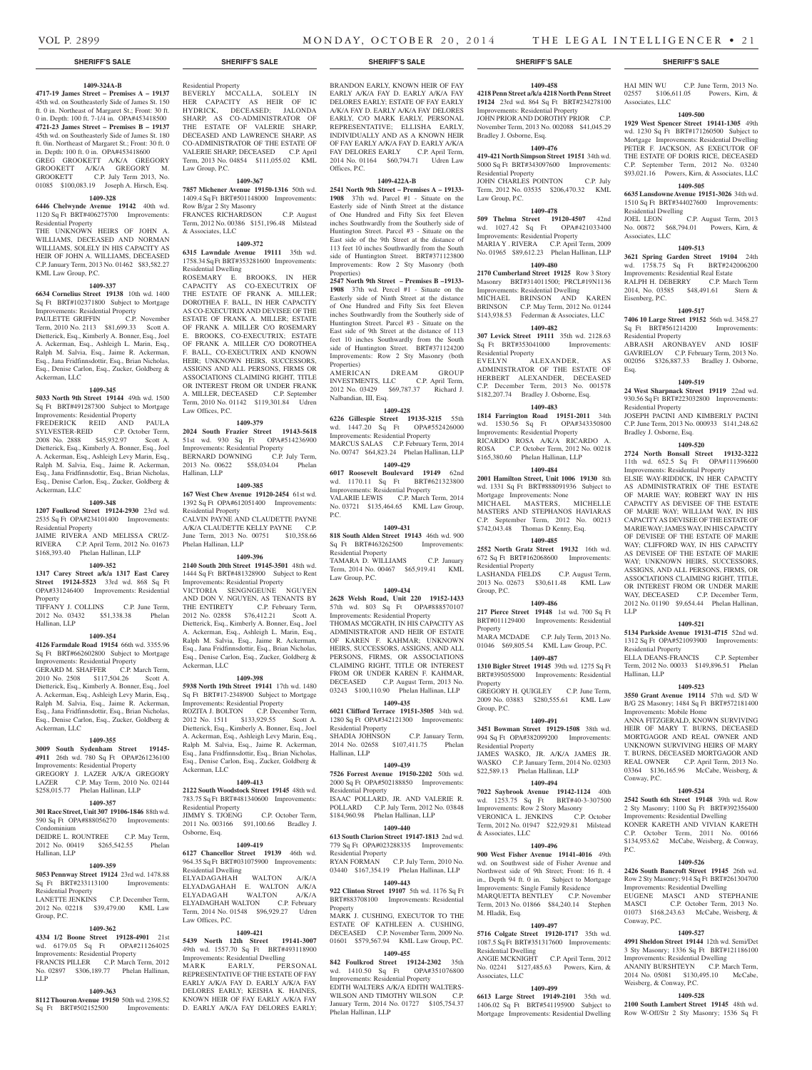### **1409-324A-B**

**4717-19 James Street – Premises A – 19137**  45th wd. on Southeasterly Side of James St. 150 ft. 0 in. Northeast of Margaret St.; Front: 30 ft. 0 in. Depth: 100 ft. 7-1/4 in. OPA#453418500 **4721-23 James Street – Premises B – 19137**  45th wd. on Southeasterly Side of James St. 180 ft. 0in. Northeast of Margaret St.; Front: 30 ft. 0 in. Depth: 100 ft. 0 in. OPA#453418600 GREG GROOKETT A/K/A GREGORY GROOKETT A/K/A GREGORY M. GROOKETT C.P. July Term 2013, No. 01085 \$100,083.19 Joseph A. Hirsch, Esq.

#### **1409-328**

**6446 Chelwynde Avenue 19142** 40th wd. 1120 Sq Ft BRT#406275700 Improvements: Residential Property

THE UNKNOWN HEIRS OF JOHN A. WILLIAMS, DECEASED AND NORMAN WILLIAMS, SOLELY IN HIS CAPACITY AS HEIR OF JOHN A. WILLIAMS, DECEASED C.P. January Term, 2013 No. 01462 \$83,582.27 KML Law Group, P.C.

### **1409-337**

**6634 Cornelius Street 19138** 10th wd. 1400 Sq Ft BRT#102371800 Subject to Mortgage Improvements: Residential Property

PAULETTE GRIFFIN C.P. November Term, 2010 No. 2113 \$81,699.33 Scott A. Dietterick, Esq., Kimberly A. Bonner, Esq., Joel A. Ackerman, Esq., Ashleigh L. Marin, Esq., Ralph M. Salvia, Esq., Jaime R. Ackerman, Esq., Jana Fridfinnsdottir, Esq., Brian Nicholas, Esq., Denise Carlon, Esq., Zucker, Goldberg & Ackerman, LLC

#### **1409-345**

**5033 North 9th Street 19144** 49th wd. 1500 Sq Ft BRT#491287300 Subject to Mortgage Improvements: Residential Property FREDERICK REID AND PAULA SYLVESTER-REID C.P. October Term, 2008 No. 2888 \$45,932.97 Scott A.

Dietterick, Esq., Kimberly A. Bonner, Esq., Joel A. Ackerman, Esq., Ashleigh Levy Marin, Esq., Ralph M. Salvia, Esq., Jaime R. Ackerman, Esq., Jana Fridfinnsdottir, Esq., Brian Nicholas, Esq., Denise Carlon, Esq., Zucker, Goldberg & Ackerman, LLC

#### **1409-348**

**1207 Foulkrod Street 19124-2930** 23rd wd. 2535 Sq Ft OPA#234101400 Improvements: Residential Property

JAIME RIVERA AND MELISSA CRUZ-RIVERA C.P. April Term, 2012 No. 01673 \$168,393.40 Phelan Hallinan, LLP

### **1409-352**

**1317 Carey Street a/k/a 1317 East Carey Street 19124-5523** 33rd wd. 868 Sq Ft OPA#331246400 Improvements: Residential Property TIFFANY J. COLLINS C.P. June Term,

2012 No. 03432 \$51,338.38 Phelan Hallinan, LLP

#### **1409-354**

**4126 Farmdale Road 19154** 66th wd. 3355.96 Sq Ft BRT#662602800 Subject to Mortgage Improvements: Residential Property GERARD M. SHAFFER C.P. March Term, 2010 No. 2508 \$117,504.26 Scott A. Dietterick, Esq., Kimberly A. Bonner, Esq., Joel A. Ackerman, Esq., Ashleigh Levy Marin, Esq., Ralph M. Salvia, Esq., Jaime R. Ackerman, Esq., Jana Fridfinnsdottir, Esq., Brian Nicholas, Esq., Denise Carlon, Esq., Zucker, Goldberg & Ackerman, LLC

#### **1409-355**

**3009 South Sydenham Street 19145- 4911** 26th wd. 780 Sq Ft OPA#261236100 Improvements: Residential Property GREGORY J. LAZER A/K/A GREGORY LAZER C.P. May Term, 2010 No. 02144 \$258,015.77 Phelan Hallinan, LLP

### **1409-357**

**301 Race Street, Unit 307 19106-1846** 88th wd. 590 Sq Ft OPA#888056270 Improvements: Condominium DEIDRE L. ROUNTREE C.P. May Term, 2012 No. 00419 \$265,542.55 Phelan

### **1409-359**

Hallinan, LLP

**5053 Pennway Street 19124** 23rd wd. 1478.88 Sq Ft BRT#233113100 Improvements: tial Property

LANETTE JENKINS C.P. December Term, 2012 No. 02218 \$39,479.00 KML Law Group, P.C.

#### **1409-362**

**4334 1/2 Boone Street 19128-4901** 21st wd. 6179.05 Sq Ft Improvements: Residential Property FRANCIS PILLER C.P. March Term, 2012 No. 02897 \$306,189.77 Phelan Hallinan,

### LLP **1409-363**

**8112 Thouron Avenue 19150** 50th wd. 2398.52 Sq Ft BRT#502152500 Improvements:

Residential Property BEVERLY MCCALLA, SOLELY IN HER CAPACITY AS HEIR OF IC HYDRICK, DECEASED; JALONDA SHARP, AS CO-ADMINISTRATOR OF THE ESTATE OF VALERIE SHARP DECEASED AND LAWRENCE SHARP, AS CO-ADMINISTRATOR OF THE ESTATE OF VALERIE SHARP, DECEASED C.P. April Term, 2013 No. 04854 \$111,055.02 KML Law Group, P.C.

### **1409-367**

**7857 Michener Avenue 19150-1316** 50th wd. 1409.4 Sq Ft BRT#501148000 Improvements: Row B/gar 2 Sty Masonry FRANCES RICHARDSON C.P. August

Term, 2012 No. 00386 \$151,196.48 Milstead

### & Associates, LLC **1409-372**

**6315 Lawndale Avenue 19111** 35th wd. 1758.34 Sq Ft BRT#353281600 Improvements: Residential Dwelling ROSEMARY E. BROOKS, IN HER CAPACITY AS CO-EXECUTRIX OF THE ESTATE OF FRANK A. MILLER; DOROTHEA F. BALL, IN HER CAPACITY AS CO-EXECUTRIX AND DEVISEE OF THE ESTATE OF FRANK A. MILLER; ESTATE OF FRANK A. MILLER C/O ROSEMARY E. BROOKS, CO-EXECUTRIX; ESTATE OF FRANK A. MILLER C/O DOROTHEA F. BALL, CO-EXECUTRIX AND KNOWN HEIR; UNKNOWN HEIRS, SUCCESSORS,

ASSIGNS AND ALL PERSONS, FIRMS OR ASSOCIATIONS CLAIMING RIGHT, TITLE OR INTEREST FROM OR UNDER FRANK A. MILLER, DECEASED C.P. September Term, 2010 No. 01142 \$119,301.84 Udren Law Offices, P.C.

#### **1409-379**

**2024 South Frazier Street 19143-5618**  51st wd. 930 Sq Ft OPA#514236900 Improvements: Residential Property BERNARD DOWNING C.P. July Term, 2013 No. 00622 \$58,034.04 Phelan Hallinan, LLP

#### **1409-385**

**167 West Chew Avenue 19120-2454** 61st wd. 1392 Sq Ft OPA#612051400 Improvements: Residential Property CALVIN PAYNE AND CLAUDETTE PAYNE A/K/A CLAUDETTE KELLY PAYNE C.P. June Term, 2013 No. 00751 \$10,358.66 Phelan Hallinan, LLP

#### **1409-396**

**2140 South 20th Street 19145-3501** 48th wd. 1444 Sq Ft BRT#481328900 Subject to Rent Improvements: Residential Property VICTORIA SENGNGEUNE NGUYEN AND DON V. NGUYEN, AS TENANTS BY THE ENTIRETY C.P. February Term, 2012 No. 02858 \$76,412.21 Scott A. Dietterick, Esq., Kimberly A. Bonner, Esq., Joel A. Ackerman, Esq., Ashleigh L. Marin, Esq., Ralph M. Salvia, Esq., Jaime R. Ackerman, Esq., Jana Fridfinnsdottir, Esq., Brian Nicholas, Esq., Denise Carlon, Esq., Zucker, Goldberg & Ackerman, LLC

#### **1409-398**

**5938 North 19th Street 19141** 17th wd. 1480 Sq Ft BRT#17-2348900 Subject to Mortgage Improvements: Residential Property ROZITA J. BOLTON C.P. December Term, 2012 No. 1511 \$133,929.55 Scott A. Dietterick, Esq., Kimberly A. Bonner, Esq., Joel A. Ackerman, Esq., Ashleigh Levy Marin, Esq., Ralph M. Salvia, Esq., Jaime R. Ackerman, Esq., Jana Fridfinnsdottir, Esq., Brian Nicholas, Esq., Denise Carlon, Esq., Zucker, Goldberg & Ackerman, LLC

#### **1409-413**

**2122 South Woodstock Street 19145** 48th wd. 783.75 Sq Ft BRT#481340600 Improvements: Residential Property JIMMY S. TJOENG C.P. October Term,

2011 No. 003166 \$91,100.66 Bradley J. Osborne, Esq. **1409-419**

#### **6127 Chancellor Street 19139** 46th wd. 964.35 Sq Ft BRT#031075900 Improvements: Residential Dwelling ELYADAGAHAH WALTON A/K/A ELYADAGAHAH E. WALTON A/K/A ELYADAGAH WALTON A/K/A ELYADAGHAH WALTON C.P. February Term, 2014 No. 01548 \$96,929.27 Udren Law Offices, P.C.

#### **1409-421**

**5439 North 12th Street 19141-3007**  49th wd. 1557.70 Sq Ft BRT#493118900 Improvements: Residential Dwelling MARK EARLY, PERSONAL REPRESENTATIVE OF THE ESTATE OF FAY EARLY A/K/A FAY D. EARLY A/K/A FAY DELORES EARLY; KEISHA K. HAINES, KNOWN HEIR OF FAY EARLY A/K/A FAY D. EARLY A/K/A FAY DELORES EARLY;

#### **SHERIFF'S SALE SHERIFF'S SALE SHERIFF'S SALE SHERIFF'S SALE SHERIFF'S SALE**

BRANDON EARLY, KNOWN HEIR OF FAY EARLY A/K/A FAY D. EARLY A/K/A FAY DELORES EARLY; ESTATE OF FAY EARLY A/K/A FAY D. EARLY A/K/A FAY DELORES EARLY, C/O MARK EARLY, PERSONAL REPRESENTATIVE; ELLISHA EARLY, INDIVIDUALLY AND AS A KNOWN HEIR OF FAY EARLY A/K/A FAY D. EARLY A/K/A FAY DELORES EARLY C.P. April Term, 2014 No. 01164 \$60,794.71 Udren Law Offices, P.C.

#### **1409-422A-B**

**2541 North 9th Street – Premises A – 19133- 1908** 37th wd. Parcel #1 - Situate on the Easterly side of Ninth Street at the distance of One Hundred and Fifty Six feet Eleven inches Southwardly from the Southerly side of Huntington Street. Parcel #3 - Situate on the East side of the 9th Street at the distance of 113 feet 10 inches Southwardly from the South side of Huntington Street. BRT#371123800 Improvements: Row 2 Sty Masonry (both Properties)

**2547 North 9th Street – Premises B –19133- 1908** 37th wd. Percel #1 - Situate on the Easterly side of Ninth Street at the distance of One Hundred and Fifty Six feet Eleven inches Southwardly from the Southerly side of Huntington Street. Parcel #3 - Situate on the East side of 9th Street at the distance of 113 feet 10 inches Southwardly from the South side of Huntington Street. BRT#371124200 Improvements: Row 2 Sty Masonry (both Properties) AMERICAN DREAM GROUP<br>INVESTMENTS, LLC C.P. April Term,

INVESTMENTS, LLC 2012 No. 03429 \$69,787.37 Richard J. Nalbandian, III, Esq.

#### **1409-428**

**6226 Gillespie Street 19135-3215** 55th wd. 1447.20 Sq Ft OPA#552426000 Improvements: Residential Property MARCUS SALAS C.P. February Term, 2014 No. 00747 \$64,823.24 Phelan Hallinan, LLP

### **1409-429**

**6017 Roosevelt Boulevard 19149** 62nd wd. 1170.11 Sq Ft BRT#621323800 Improvements: Residential Property VALARIE LEWIS C.P. March Term, 2014 No. 03721 \$135,464.65 KML Law Group, P.C.

#### **1409-431**

**818 South Alden Street 19143** 46th wd. 900 Sq Ft BRT#463262500 Improvements: Residential Property TAMARA D. WILLIAMS C.P. January

Term, 2014 No. 00467 \$65,919.41 KML Law Group, P.C. **1409-434**

**2628 Welsh Road, Unit 220 19152-1433**  57th wd. 803 Sq Ft OPA#888570107 Improvements: Residential Property THOMAS MCGRATH, IN HIS CAPACITY AS ADMINISTRATOR AND HEIR OF ESTATE OF KAREN F. KAHMAR; UNKNOWN HEIRS, SUCCESSORS, ASSIGNS, AND ALL PERSONS, FIRMS, OR ASSOCIATIONS CLAIMING RIGHT, TITLE OR INTEREST FROM OR UNDER KAREN F. KAHMAR, DECEASED C.P. August Term, 2013 No. 03243 \$100,110.90 Phelan Hallinan, LLP

#### **1409-435**

**6021 Clifford Terrace 19151-3505** 34th wd. 1280 Sq Ft OPA#342121300 Improvements: Residential Property

SHADIA JOHNSON C.P. January Term,<br>2014 No. 02658 \$107.411.75 Phelan 2014 No. 02658 \$107,411.75 Hallinan, LLP

#### **1409-439**

**7526 Forrest Avenue 19150-2202** 50th wd. 2000 Sq Ft OPA#502188850 Improvements: Residential Property ISAAC POLLARD, JR. AND VALERIE R.

POLLARD C.P. July Term, 2012 No. 03848 \$184,960.98 Phelan Hallinan, LLP **1409-440**

#### **613 South Clarion Street 19147-1813** 2nd wd. 779 Sq Ft OPA#023288335 Improvements: Residential Property RYAN FORMAN C.P. July Term, 2010 No.

03440 \$167,354.19 Phelan Hallinan, LLP **1409-443**

**922 Clinton Street 19107** 5th wd. 1176 Sq F BRT#883708100 Improvements: Residential Property

MARK J. CUSHING, EXECUTOR TO THE ESTATE OF KATHLEEN A. CUSHING, DECEASED C.P. November Term, 2009 No. 01601 \$579,567.94 KML Law Group, P.C.

### **1409-455**

**842 Foulkrod Street 19124-2302** 35th wd. 1410.50 Sq Ft OPA#351076800 Improvements: Residential Property EDITH WALTERS A/K/A EDITH WALTERS-WILSON AND TIMOTHY WILSON C.P. January Term, 2014 No. 01727 \$105,754.37

Phelan Hallinan, LLP

# **1409-458**

**4218 Penn Street a/k/a 4218 North Penn Street 19124** 23rd wd. 864 Sq Ft BRT#234278100 Improvements: Residential Property JOHN PRIOR AND DOROTHY PRIOR C.P. November Term, 2013 No. 002088 \$41,045.29 Bradley J. Osborne, Esq.

HAI MIN WU C.P. June Term, 2013 No. 02557 \$106,611.05 Powers, Kirn, &

**1409-500 1929 West Spencer Street 19141-1305** 49th wd. 1230 Sq Ft BRT#171260500 Subject to Mortgage Improvements: Residential Dwelling PETER F. JACKSON, AS EXECUTOR OF THE ESTATE OF DORIS RICE, DECEASED C.P. September Term, 2012 No. 03240 \$93,021.16 Powers, Kirn, & Associates, LLC **1409-505 6635 Lansdowne Avenue 19151-3026** 34th wd. 1510 Sq Ft BRT#344027600 Improvements:

JOEL LEON C.P. August Term, 2013 No. 00872 \$68,794.01 Powers, Kirn, &

**1409-513 3621 Spring Garden Street 19104** 24th wd. 1758.75 Sq Ft BRT#242006200 Improvements: Residential Real Estate RALPH H. DEBERRY C.P. March Term 2014, No. 03585 \$48,491.61 Stern &

**1409-517 7406 10 Large Street 19152** 56th wd. 3458.27 Sq Ft BRT#561214200 Improvements:

ABRASH ARONBAYEV AND IOSIF GAVRIELOV C.P. February Term, 2013 No. 002056 \$326,887.33 Bradley J. Osborne,

**1409-519 24 West Sharpnack Street 19119** 22nd wd. 930.56 Sq Ft BRT#223032800 Improvements:

JOSEPH PACINI AND KIMBERLY PACINI C.P. June Term, 2013 No. 000933 \$141,248.62

**1409-520 2724 North Bonsall Street 19132-3222**  11th wd. 652.5 Sq Ft OPA#111396600 Improvements: Residential Property ELSIE WAY-RIDDICK, IN HER CAPACITY AS ADMINISTRATRIX OF THE ESTATE OF MARIE WAY; ROBERT WAY IN HIS CAPACITY AS DEVISEE OF THE ESTATE OF MARIE WAY; WILLIAM WAY, IN HIS CAPACITY AS DEVISEE OF THE ESTATE OF MARIE WAY; JAMES WAY, IN HIS CAPACITY OF DEVISEE OF THE ESTATE OF MARIE WAY; CLIFFORD WAY, IN HIS CAPACITY AS DEVISEE OF THE ESTATE OF MARIE WAY; UNKNOWN HEIRS, SUCCESSORS, ASSIGNS, AND ALL PERSONS, FIRMS, OR ASSOCIATIONS CLAIMING RIGHT, TITLE, OR INTEREST FROM OR UNDER MARIE WAY, DECEASED C.P. December Term, 2012 No. 01190 \$9,654.44 Phelan Hallinan,

**1409-521 5134 Parkside Avenue 19131-4715** 52nd wd. 1312 Sq Ft OPA#521093900 Improvements:

ELLA DEANS-FRANCIS C.P. September<br>Term. 2012 No. 00033 \$149.896.51 Phelan Term, 2012 No. 00033 \$149,896.51

**1409-523 3550 Grant Avenue 19114** 57th wd. S/D W B/G 2S Masonry; 1484 Sq Ft BRT#572181400

ANNA FITZGERALD, KNOWN SURVIVING HEIR OF MARY T. BURNS, DECEASED MORTGAGOR AND REAL OWNER AND UNKNOWN SURVIVING HEIRS OF MARY T. BURNS, DECEASED MORTGAGOR AND REAL OWNER C.P. April Term, 2013 No. 03364 \$136,165.96 McCabe, Weisberg, &

**1409-524 2542 South 6th Street 19148** 39th wd. Row 2 Sty Masonry; 1100 Sq Ft BRT#392356400 Improvements: Residential Dwelling KONER KARETH AND VIVIAN KARETH C.P. October Term, 2011 No. 00166 \$134,953.62 McCabe, Weisberg, & Conway,

**1409-526 2426 South Bancroft Street 19145** 26th wd. Row 2 Sty Masonry; 914 Sq Ft BRT#261304700 Improvements: Residential Dwelling EUGENE MASCI AND STEPHANIE<br>MASCI C.P. October Term, 2013 No.

01073 \$168,243.63 McCabe, Weisberg, &

**1409-527 4991 Sheldon Street 19144** 12th wd. Semi/Det 3 Sty Masonry; 1336 Sq Ft BRT#121186100 Improvements: Residential Dwelling ANANIY BURSHTEYN C.P. March Term, 2014 No. 05081 \$130,495.10 McCabe,

**1409-528 2100 South Lambert Street 19145** 48th wd. Row W-Off/Str 2 Sty Masonry; 1536 Sq Ft

C.P. October Term, 2013 No.

Associates, LLC

Residential Dwelling

Associates, LLC

Eisenberg, P.C.

Residential Property

Residential Property

Bradley J. Osborne, Esq.

Esq.

LLP

Residential Property

Improvements: Mobile Home

Hallinan, LLP

Conway, P.C.

P.C.

Conway, P.C.

Weisberg, & Conway, P.C.

### **1409-476**

**419-421 North Simpson Street 19151** 34th wd. 5000 Sq Ft BRT#343097600 Improvements: Residential Property JOHN CHARLES POINTON C.P. July Term, 2012 No. 03535 \$206,470.32 KML

Law Group, P.C. **1409-478**

**509 Thelma Street 19120-4507** 42nd wd. 1027.42 Sq Ft OPA#421033400 Improvements: Residential Property MARIA Y . RIVERA C.P. April Term, 2009 No. 01965 \$89,612.23 Phelan Hallinan, LLP

**1409-480 2170 Cumberland Street 19125** Row 3 Story Masonry BRT#314011500; PRCL#19N1136

Improvements: Residential Dwelling MICHAEL BRINSON AND KAREN BRINSON C.P. May Term, 2012 No. 01244 \$143,938.53 Federman & Associates, LLC

### **1409-482**

**307 Levick Street 19111** 35th wd. 2128.63 Sq Ft BRT#353041000 Improvements: Residential Property

EVELYN ALEXANDER, AS ADMINISTRATOR OF THE ESTATE OF HERBERT ALEXANDER, DECEASED C.P. December Term, 2013 No. 001578 \$182,207.74 Bradley J. Osborne, Esq.

### **1409-483**

**1814 Farrington Road 19151-2011** 34th wd. 1530.56 Sq Ft OPA#343350800 Improvements: Residential Property RICARDO ROSA A/K/A RICARDO A. ROSA C.P. October Term, 2012 No. 00218 \$165,380.60 Phelan Hallinan, LLP

#### **1409-484**

**2001 Hamilton Street, Unit 1006 19130** 8th wd. 1331 Sq Ft BRT#888091936 Subject to Mortgage Improvements: None MICHAEL MASTERS, MICHELLE MASTERS AND STEPHANOS HAVIARAS C.P. September Term, 2012 No. 00213 \$742,043.48 Thomas D Kenny, Esq.

### **1409-485**

**2552 North Gratz Street 19132** 16th wd. 672 Sq Ft BRT#162068600 Improvements: Residential Property LASHANDA FIELDS C.P. August Term,<br>2013 No. 02673 \$30,611.48 KML Law 2013 No. 02673 \$30,611.48 Group, P.C.

#### **1409-486**

**217 Pierce Street 19148** 1st wd. 700 Sq Ft BRT#011129400 Improvements: Residential Property MARA MCDADE C.P. July Term, 2013 No.

01046 \$69,805.54 KML Law Group, P.C. **1409-487 1310 Bigler Street 19145** 39th wd. 1275 Sq Ft BRT#395055000 Improvements: Residential

GREGORY H. OUIGLEY C.P. June Term, 2009 No. 03883 \$280,555.61 KML Law

**1409-491 3451 Bowman Street 19129-1508** 38th wd. 994 Sq Ft OPA#382099200 Improvements:

JAMES WASKO, JR. A/K/A JAMES JR. WASKO C.P. January Term, 2014 No. 02303 \$22,589.13 Phelan Hallinan, LLP **1409-494 7022 Saybrook Avenue 19142-1124** 40th wd. 1253.75 Sq Ft BRT#40-3-307500 Improvements: Row 2 Story Masonry<br>VERONICA L. JENKINS C.P. October

Term, 2012 No. 01947 \$22,929.81 Milstead

**1409-496 900 West Fisher Avenue 19141-4016** 49th wd. on Southwest side of Fisher Avenue and Northwest side of 9th Street; Front: 16 ft. 4 in., Depth 94 ft. 0 in. Subject to Mortgage Improvements: Single Family Residence MARQUETTA BENTLEY C.P. November Term, 2013 No. 01866 \$84,240.14 Stephen

**1409-497 5716 Colgate Street 19120-1717** 35th wd. 1087.5 Sq Ft BRT#351317600 Improvements:

ANGIE MCKNIGHT C.P. April Term, 2012 No. 02241 \$127,485.63 Powers, Kirn, &

**1409-499 6613 Large Street 19149-2101** 35th wd. 1406.02 Sq Ft BRT#541195900 Subject to Mortgage Improvements: Residential Dwelling

Property

Group, P.C.

Residential Property

VERONICA L. JENKINS

& Associates, LLC

M. Hladik, Esq.

Residential Dwelling

Associates, LLC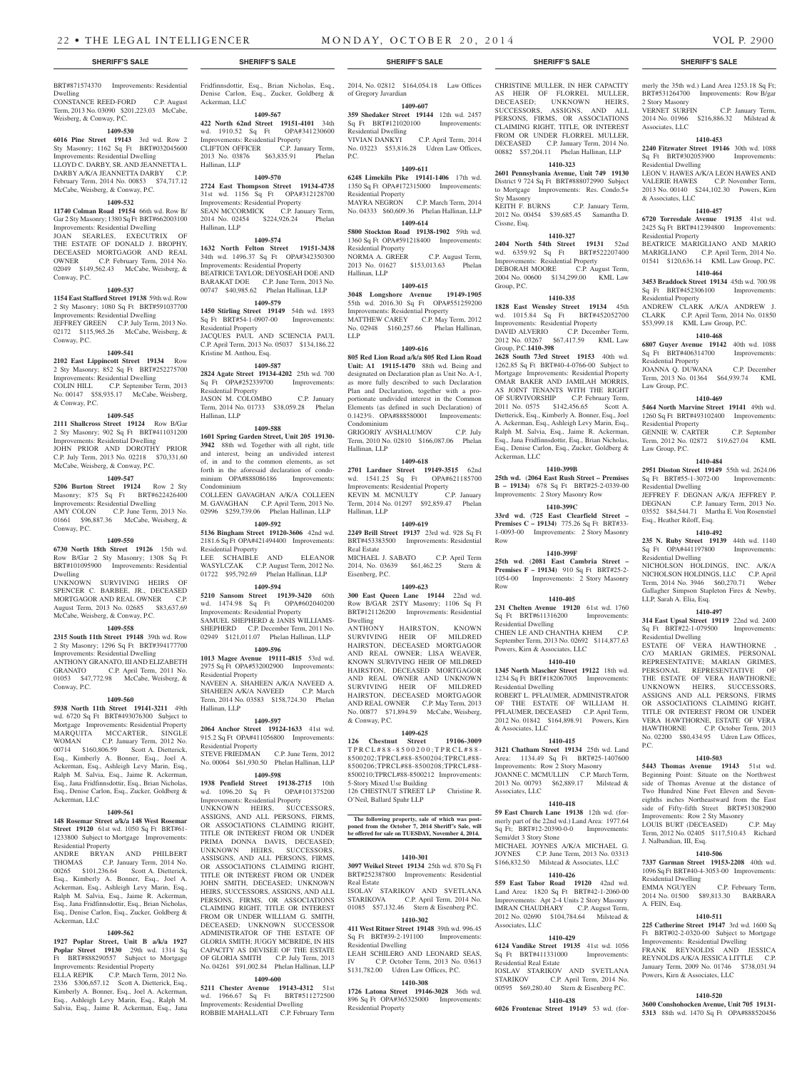### BRT#871574370 Improvements: Residential Dwelling CONSTANCE REED-FORD C.P. August

Term, 2013 No. 03090 \$201,223.03 McCabe, Weisberg, & Conway, P.C. **1409-530**

**6016 Pine Street 19143** 3rd wd. Row 2 Sty Masonry; 1162 Sq Ft BRT#032045600 Improvements: Residential Dwelling LLOYD C. DARBY, SR. AND JEANNETTA L. DARBY A/K/A JEANNETTA DARBY C.P. February Term, 2014 No. 00853 \$74,717.12 McCabe, Weisberg, & Conway, P.C.

### **1409-532**

**11740 Colman Road 19154** 66th wd. Row B/ Gar 2 Sty Masonry; 1380 Sq Ft BRT#662003100 Improvements: Residential Dwelling JOAN SEARLES, EXECUTRIX THE ESTATE OF DONALD J. BROPHY, DECEASED MORTGAGOR AND REAL OWNER C.P. February Term, 2014 No. 02049 \$149,562.43 McCabe, Weisberg, & Conway, P.C.

### **1409-537**

**1154 East Stafford Street 19138** 59th wd. Row 2 Sty Masonry; 1080 Sq Ft BRT#591037700 Improvements: Residential Dwelling JEFFREY GREEN C.P. July Term, 2013 No. 02172 \$115,965.26 McCabe, Weisberg, & Conway, P.C.

#### **1409-541**

**2102 East Lippincott Street 19134** Row 2 Sty Masonry; 852 Sq Ft BRT#252275700 Improvements: Residential Dwelling COLIN HILL C.P. September Term, 2013 No. 00147 \$58,935.17 McCabe, Weisberg, & Conway, P.C.

### **1409-545**

**2111 Shallcross Street 19124** Row B/Gar 2 Sty Masonry; 902 Sq Ft BRT#411031200 Improvements: Residential Dwelling JOHN PRIOR AND DOROTHY PRIOR C.P. July Term, 2013 No. 02218 \$70,331.60 McCabe, Weisberg, & Conway, P.C.

#### **1409-547**

**5206 Burton Street 19124** Row 2 Sty Masonry; 875 Sq Ft BRT#622426400 Improvements: Residential Dwelling<br>AMY COLON C.P. June Term, C.P. June Term, 2013 No. 01661 \$96,887.36 McCabe, Weisberg, & Conway, P.C.

#### **1409-550**

**6730 North 18th Street 19126** 15th wd. Row B/Gar 2 Sty Masonry; 1308 Sq Ft BRT#101095900 Improvements: Residential Dwelling

UNKNOWN SURVIVING HEIRS OF SPENCER C. BARBEE, JR., DECEASED MORTGAGOR AND REAL OWNER C.P. August Term, 2013 No. 02685 \$83,637.69 McCabe, Weisberg, & Conway, P.C.

#### **1409-558**

**2315 South 11th Street 19148** 39th wd. Row 2 Sty Masonry; 1296 Sq Ft BRT#394177700 Improvements: Residential Dwelling ANTHONY GRANATO, III AND ELIZABETH GRANATO C.P. April Term, 2011 No.

01053 \$47,772.98 McCabe, Weisberg, & Conway, P.C.

### **1409-560**

**5938 North 11th Street 19141-3211** 49th wd. 6720 Sq Ft BRT#493076300 Subject to Mortgage Improvements: Residential Property MARQUITA MCCARTER, SINGLE<br>WOMAN C.P. January Term, 2012 No. C.P. January Term, 2012 No. 00714 \$160,806.59 Scott A. Dietterick, Esq., Kimberly A. Bonner, Esq., Joel A. Ackerman, Esq., Ashleigh Levy Marin, Esq., Ralph M. Salvia, Esq., Jaime R. Ackerman, Esq., Jana Fridfinnsdottir, Esq., Brian Nicholas, Esq., Denise Carlon, Esq., Zucker, Goldberg & Ackerman, LLC

### **1409-561**

**148 Rosemar Street a/k/a 148 West Rosemar Street 19120** 61st wd. 1050 Sq Ft BRT#61- 1233800 Subject to Mortgage Improvements: Residential Property

ANDRE BRYAN AND PHILBERT<br>THOMAS C.P. January Term. 2014 No. C.P. January Term, 2014 No. 00265 \$101,236.64 Scott A. Dietterick, Esq., Kimberly A. Bonner, Esq., Joel A. Ackerman, Esq., Ashleigh Levy Marin, Esq., Ralph M. Salvia, Esq., Jaime R. Ackerman, Esq., Jana Fridfinnsdottir, Esq., Brian Nicholas, Esq., Denise Carlon, Esq., Zucker, Goldberg & Ackerman, LLC

#### **1409-562**

**1927 Poplar Street, Unit B a/k/a 1927 Poplar Street 19130** 29th wd. 1314 Sq Ft BRT#888290557 Subject to Mortgage Improvements: Residential Property ELLA REPIK C.P. March Term, 2012 No. 2336 \$306,657.12 Scott A. Dietterick, Esq.,

Kimberly A. Bonner, Esq., Joel A. Ackerman, Esq., Ashleigh Levy Marin, Esq., Ralph M. Salvia, Esq., Jaime R. Ackerman, Esq., Jana

Fridfinnsdottir, Esq., Brian Nicholas, Esq., Denise Carlon, Esq., Zucker, Goldberg & Ackerman, LLC

#### **1409-567 422 North 62nd Street 19151-4101** 34th

wd. 1910.52 Sq Ft OPA#341230600 Improvements: Residential Property CLIFTON OFFICER C.P. January Term, 2013 No. 03876 \$63,835.91 Phelan Hallinan, LLP

### **1409-570**

**2724 East Thompson Street 19134-4735**  31st wd. 1156 Sq Ft OPA#312128700 Improvements: Residential Property SEAN MCCORMICK C.P. January Term, 2014 No. 02454 \$224,926.24 Phelan Hallinan, LLP

#### **1409-574**

**1632 North Felton Street 19151-3438**  34th wd. 1496.37 Sq Ft OPA#342350300 Improvements: Residential Property BEATRICE TAYLOR; DEYOSEAH DOE AND BARAKAT DOE C.P. June Term, 2013 No. 00747 \$40,985.62 Phelan Hallinan, LLP

### **1409-579**

**1450 Stirling Street 19149** 54th wd. 1893 Sq Ft BRT#54-1-0907-00 Improvements: Residential Property JACQUES PAUL AND SCIENCIA PAUL C.P. April Term, 2013 No. 05037 \$134,186.22 Kristine M. Anthou, Esq.

#### **1409-587**

**2824 Agate Street 19134-4202** 25th wd. 700 Sq Ft OPA#252339700 Improvements: Residential Property JASON M. COLOMBO C.P. January Term, 2014 No. 01733 \$38,059.28 Phelan Hallinan, LLP

#### **1409-588**

**1601 Spring Garden Street, Unit 205 19130- 3942** 88th wd. Together with all right, title and interest, being an undivided interest of, in and to the common elements, as set forth in the aforesaid declaration of condominium OPA#888086186 Improvements: Condominium COLLEEN GAVAGHAN A/K/A COLLEEN

M. GAVAGHAN C.P. April Term, 2013 No. 02996 \$259,739.06 Phelan Hallinan, LLP **1409-592**

**5136 Bingham Street 19120-3606** 42nd wd. 2181.6 Sq Ft OPA#421494400 Improvements: Residential Property LEE SCHAIBLE AND ELEANOR

WASYLCZAK C.P. August Term, 2012 No. 01722 \$95,792.69 Phelan Hallinan, LLP **1409-594**

**5210 Sansom Street 19139-3420** 60th wd. 1474.98 Sq Ft Improvements: Residential Property SAMUEL SHEPHERD & JANIS WILLIAMS-SHEPHERD C.P. December Term, 2011 No. 02949 \$121,011.07 Phelan Hallinan, LLP

#### **1409-596**

**1013 Magee Avenue 19111-4815** 53rd wd. 2975 Sq Ft OPA#532002900 Improvements: Residential Property NAVEEN A. SHAHEEN A/K/A NAVEED A.

SHAHEEN A/K/A NAVEED C.P. March Term, 2014 No. 03583 \$158,724.30 Phelan Hallinan, LLP

#### **1409-597**

**2064 Anchor Street 19124-1633** 41st wd. 915.2 Sq Ft OPA#411056800 Improvements: Residential Property STEVE FRIEDMAN C.P. June Term, 2012 No. 00064 \$61,930.50 Phelan Hallinan, LLP

#### **1409-598**

**1938 Penfield Street 19138-2715** 10th wd. 1096.20 Sq Ft OPA#101375200 Improvements: Residential Property UNKNOWN HEIRS, SUCCESSORS, ASSIGNS, AND ALL PERSONS, FIRMS, OR ASSOCIATIONS CLAIMING RIGHT TITLE OR INTEREST FROM OR UNDER PRIMA DONNA DAVIS, DECEASED; UNKNOWN HEIRS, SUCCESSORS, ASSISGNS, AND ALL PERSONS, FIRMS, OR ASSOCIATIONS CLAIMING RIGHT, TITLE OR INTEREST FROM OR UNDER JOHN SMITH, DECEASED; UNKNOWN HEIRS, SUCCESSORS, ASSIGNS, AND ALL PERSONS, FIRMS, OR ASSOCIATIONS CLAIMING RIGHT, TITLE OR INTEREST FROM OR UNDER WILLIAM G. SMITH, DECEASED; UNKNOWN SUCCESSOR ADMINISTRATOR OF THE ESTATE OF GLORIA SMITH; JUGGY MCBRIDE, IN HIS CAPACITY AS DEVISEE OF THE ESTATE OF GLORIA SMITH C.P. July Term, 2013 No. 04261 \$91,002.84 Phelan Hallinan, LLP

#### **1409-600**

**5211 Chester Avenue 19143-4312** 51st wd. 1966.67 Sq Ft BRT#511272500 Improvements: Residential Dwelling ROBBIE MAHALLATI C.P. February Term 2014, No. 02812 \$164,054.18 Law Offices of Gregory Javardian **1409-607**

**359 Shedaker Street 19144** 12th wd. 2457 Sq Ft BRT#121020100 Improvements: Residential Dwelling<br>VIVIAN DANKYI

C.P. April Term, 2014 No. 03223 \$53,816.28 Udren Law Offices,  $PC$ .

**1409-611 6248 Limekiln Pike 19141-1406** 17th wd. 1350 Sq Ft OPA#172315000 Improvements: Residential Property<br>MAYRA NEGRON C.P. March Term, 2014

No. 04333 \$60,609.36 Phelan Hallinan, LLP **1409-614**

#### **5800 Stockton Road 19138-1902** 59th wd. 1360 Sq Ft OPA#591218400 Improvements:

Residential Property NORMA A. GREER C.P. August Term, 2013 No. 01627 \$153,013.63 Phelan Hallinan, LLP

### **1409-615**

**3048 Longshore Avenue 19149-1905**  55th wd. 2016.30 Sq Ft OPA#551259200 Improvements: Residential Property MATTHEW CAREY C.P. May Term, 2012 No. 02948 \$160,257.66 Phelan Hallinan, LLP

#### **1409-616**

**805 Red Lion Road a/k/a 805 Red Lion Road Unit: A1 19115-1470** 88th wd. Being and designated on Declaration plan as Unit No. A-1, as more fully described to such Declaration Plan and Declaration, together with a proportionate undivided interest in the Common Elements (as defined in such Declaration) of 0.1423%. OPA#888580001 Improvements: Condominium

GRIGORIY AVSHALUMOV C.P. July Term, 2010 No. 02810 \$166,087.06 Phelan Hallinan, LLP

#### **1409-618**

**2701 Lardner Street 19149-3515** 62nd wd. 1541.25 Sq Ft OPA#621185700 Improvements: Residential Property KEVIN M. MCNULTY C.P. January Term, 2014 No. 01297 \$92,859.47 Phelan Hallinan, LLP

**1409-619**

**2249 Brill Street 19137** 23rd wd. 928 Sq Ft BRT#453383500 Improvements: Residential Real Estate MICHAEL J. SABATO C.P. April Term

2014, No. 03639 \$61,462.25 Stern & Eisenberg, P.C.

### **1409-623**

**300 East Queen Lane 19144** 22nd wd. Row B/GAR 2STY Masonry; 1106 Sq Ft BRT#121126200 Improvements: Residential Dwelling<br>ANTHONY ANTHONY HAIRSTON, KNOWN SURVIVING HEIR OF MILDRED HAIRSTON, DECEASED MORTGAGOR AND REAL OWNER; LISA WEAVER, KNOWN SURVIVING HEIR OF MILDRED HAIRSTON, DECEASED MORTGAGOR AND REAL OWNER AND UNKNOWN SURVIVING HEIR OF MILDRED HAIRSTON, DECEASED MORTGAGOR AND REAL OWNER C.P. May Term, 2013 No. 00877 \$71,894.59 McCabe, Weisberg, & Conway, P.C.

### **1409-625**

**126 Chestnut Street 19106-3009** TPRCL#88-8500200;TPRCL#88- 8500202;TPRCL#88-8500204;TPRCL#88- 8500206;TPRCL#88-8500208;TPRCL#88- 8500210;TPRCL#88-8500212 Improvements: 5-Story Mixed Use Building 126 CHESTNUT STREET LP Christine R. O'Neil, Ballard Spahr LLP

**The following property, sale of which was post-poned from the October 7, 2014 Sheriff's Sale, will be offered for sale on TUESDAY, November 4, 2014.**

#### **1410-301**

**3097 Weikel Street 19134** 25th wd. 870 Sq Ft BRT#252387800 Improvements: Residential Real Estate

ISOLAV STARIKOV AND SVETLANA<br>STARIKOVA C.P. April Term. 2014 No C.P. April Term, 2014 No. 01085 \$57,132.46 Stern & Eisenberg P.C. **1410-302**

### **411 West Ritner Street 19148** 39th wd. 996.45

Sq Ft BRT#39-2-191100 Improvements: Residential Dwelling LEAH SCHILERO AND LEONARD SEAS, IV C.P. October Term, 2013 No. 03613 \$131,782.00 Udren Law Offices, P.C.

#### **1410-308**

**1726 Latona Street 19146-3028** 36th wd. 896 Sq Ft OPA#365325000 Improvements: Residential Property

#### **SHERIFF'S SALE SHERIFF'S SALE SHERIFF'S SALE SHERIFF'S SALE SHERIFF'S SALE**

merly the 35th wd.) Land Area 1253.18 Sq Ft; BRT#531264700 Improvements: Row B/gar

2014 No. 01966 \$216,886.32 Milstead &

**1410-453 2240 Fitzwater Street 19146** 30th wd. 1088 Sq Ft BRT#302053900 Improvements:

LEON V. HAWES A/K/A LEON HAWES AND VALERIE HAWES C.P. November Term, 2013 No. 00140 \$244,102.30 Powers, Kirn

**1410-457 6720 Torresdale Avenue 19135** 41st wd. 2425 Sq Ft BRT#412394800 Improvements:

BEATRICE MARIGLIANO AND MARIO MARIGLIANO C.P. April Term, 2014 No. 01541 \$120,636.14 KML Law Group, P.C. **1410-464 3453 Braddock Street 19134** 45th wd. 700.98 Sq Ft BRT#452306100 Improvements:

ANDREW CLARK A/K/A ANDREW J. CLARK C.P. April Term, 2014 No. 01850 \$53,999.18 KML Law Group, P.C. **1410-468 6807 Guyer Avenue 19142** 40th wd. 1088 Sq Ft BRT#406314700 Improvements:

JOANNA Q. DUWANA C.P. December Term, 2013 No. 01364 \$64,939.74 KML

**1410-469 5464 North Marvine Street 19141** 49th wd. 1260 Sq Ft BRT#493102400 Improvements:

GENNIE W. CARTER C.P. September Term, 2012 No. 02872 \$19,627.04 KML

**1410-484 2951 Disston Street 19149** 55th wd. 2624.06 Sq Ft BRT#55-1-3072-00 Improvements:

JEFFREY F. DEGNAN A/K/A JEFFREY P. DEGNAN C.P. January Term, 2013 No. 03552 \$84,544.71 Martha E. Von Rosenstiel

**1410-492 235 N. Ruby Street 19139** 44th wd. 1140 Sq Ft OPA#441197800 Improvements:

NICHOLSON HOLDINGS, INC. A/K/A NICHOLSON HOLDINGS, LLC C.P. April Term, 2014 No. 3946 \$60,270.71 Weber Gallagher Simpson Stapleton Fires & Newby,

**1410-497 314 East Upsal Street 19119** 22nd wd. 2400 Sq Ft BRT#22-1-079500 Improvements:

ESTATE OF VERA HAWTHORNE C/O MARIAN GRIMES, PERSONAL REPRESENTATIVE; MARIAN GRIMES, PERSONAL REPRESENTATIVE OF THE ESTATE OF VERA HAWTHORNE; UNKNOWN HEIRS, SUCCESSORS, ASSIGNS AND ALL PERSONS, FIRMS OR ASSOCIATIONS CLAIMING RIGHT. TITLE OR INTEREST FROM OR UNDER VERA HAWTHORNE, ESTATE OF VERA HAWTHORNE C.P. October Term, 2013 No. 02200 \$80,434.95 Udren Law Offices,

**1410-503 5443 Thomas Avenue 19143** 51st wd. Beginning Point: Situate on the Northwest side of Thomas Avenue at the distance of Two Hundred Nine Feet Eleven and Seveneighths inches Northeastward from the East<br>side of Fifty-fifth Street BRT#513082900 side of Fifty-fifth Street BRT#513082900 Improvements: Row 2 Sty Masonry LOUIS BURT (DECEASED) C.P. May Term, 2012 No. 02405 \$117,510.43 Richard

**1410-506 7337 Garman Street 19153-2208** 40th wd. 1096 Sq Ft BRT#40-4-3053-00 Improvements:

2014 No. 01500 \$89,813.30 BARBARA

**1410-511 225 Catherine Street 19147** 3rd wd. 1600 Sq Ft BRT#02-2-0320-00 Subject to Mortgage Improvements: Residential Dwelling FRANK REYNOLDS AND JESSICA REYNOLDS A/K/A JESSICA LITTLE C.P. January Term, 2009 No. 01746 \$738,031.94

**1410-520 3600 Conshohocken Avenue, Unit 705 19131- 5313** 88th wd. 1470 Sq Ft OPA#888520456

Powers, Kirn & Associates, LLC

C.P. February Term,

C.P. January Term,

2 Story Masonry

Residential Dwelling

& Associates, LLC

Residential Property

Residential Property

Residential Property

Residential Property

Law Group, P.C.

Residential Dwelling

Residential Dwelling

LLP, Sarah A. Elia, Esq.

Residential Dwelling

J. Nalbandian, III, Esq.

Residential Dwelling<br>FMMA NGUYEN

A. FEIN, Esq.

P.C.

Esq., Heather Riloff, Esq.

Law Group, P.C.

Associates, LLC

CHRISTINE MULLER, IN HER CAPACITY AS HEIR OF FLORREL MULLER, DECEASED; UNKNOWN HEIRS, SUCCESSORS, ASSIGNS, AND ALL PERSONS, FIRMS, OR ASSOCIATIONS CLAIMING RIGHT, TITLE, OR INTEREST FROM OR UNDER FLORREL MULLER, DECEASED C.P. January Term, 2014 No. 00882 \$57,204.11 Phelan Hallinan, LLP

#### **1410-323 2601 Pennsylvania Avenue, Unit 749 19130**

District 9 724 Sq Ft BRT#888072990 Subject to Mortgage Improvements: Res. Condo.5+ Sty Masonry<br>KEITH F. BURNS C.P. January Term, 2012 No. 00454 \$39,685.45 Samantha D. Cissne, Esq.

**1410-327**

**2404 North 54th Street 19131** 52nd wd. 6359.92 Sq Ft Improvements: Residential Property DEBORAH MOORE C.P. August Term 2004 No. 00600 \$134,299.00 KML Law Group, P.C.

#### **1410-335**

**1828 East Wensley Street 19134** 45th wd. 1015.84 Sq Ft BRT#452052700 Improvements: Residential Property

DAVID ALVERIO C.P. December Term, 2012 No. 03267 \$67,417.59 KML Law Group, P.C.**1410-398**

**2628 South 73rd Street 19153** 40th wd. 1262.85 Sq Ft BRT#40-4-0766-00 Subject to Mortgage Improvements: Residential Property OMAR BAKER AND JAMILAH MORRIS, AS JOINT TENANTS WITH THE RIGHT OF SURVIVORSHIP C.P. February Term, 2011 No. 0575 \$142,456.65 Scott A. Dietterick, Esq., Kimberly A. Bonner, Esq., Joel A. Ackerman, Esq., Ashleigh Levy Marin, Esq., Ralph M. Salvia, Esq., Jaime R. Ackerman, Esq., Jana Fridfinnsdottir, Esq., Brian Nicholas, Esq., Denise Carlon, Esq., Zucker, Goldberg & Ackerman, LLC

#### **1410-399B**

**25th wd.** (**2064 East Rush Street – Premises B – 19134)** 678 Sq Ft BRT#25-2-0339-00 Improvements: 2 Story Masonry Row **1410-399C**

**33rd wd.** (**725 East Clearfield Street – Premises C – 19134)** 775.26 Sq Ft BRT#33- 1-0093-00 Improvements: 2 Story Masonry Row

#### **1410-399F 25th wd**. (**2081 East Cambria Street – Premises F – 19134)** 910 Sq Ft BRT#25-2-

1054-00 Improvements: 2 Story Masonry

**1410-405 231 Chelten Avenue 19120** 61st wd. 1760 Sq Ft BRT#611316200 Improvements:

CHIEN LE AND CHANTHA KHEM C.P. September Term, 2013 No. 02692 \$114,877.63

**1410-410 1345 North Mascher Street 19122** 18th wd. 1234 Sq Ft BRT#182067005 Improvements:

ROBERT L. PFLAUMER, ADMINISTRATOR OF THE ESTATE OF WILLIAM H. PFLAUMER, DECEASED C.P. April Term, 2012 No. 01842 \$164,898.91 Powers, Kirn

**1410-415 3121 Chatham Street 19134** 25th wd. Land Area: 1134.49 Sq Ft BRT#25-1407600 Improvements: Row 2 Story Masonry JOANNE C. MCMULLIN C.P. March Term, 2013 No. 00793 \$62,889.17 Milstead &

**1410-418 59 East Church Lane 19138** 12th wd. (formerly part of the 22nd wd.) Land Area: 1977.64 Sq Ft; BRT#12-20390-0-0 Improvements:

MICHAEL JOYNES A/K/A MICHAEL G. JOYNES C.P. June Term, 2013 No. 03313 \$166,832.50 Milstead & Associates, LLC **1410-426 559 East Tabor Road 19120** 42nd wd. Land Area: 1820 Sq Ft BRT#42-1-2060-00 Improvements: Apt 2-4 Units 2 Story Masonry IMRAN CHAUDHARY C.P. August Term, 2012 No. 02690 \$104,784.64 Milstead &

**1410-429 6124 Vandike Street 19135** 41st wd. 1056 Sq Ft BRT#411331000 Improvements:

IOSLAV STARIKOV AND SVETLANA STARIKOV C.P. April Term, 2014 No. 00595 \$69,280.40 Stern & Eisenberg P.C. **1410-438 6026 Frontenac Street 19149** 53 wd. (for-

Row

Residential Dwelling

Residential Dwelling

& Associates, LLC

Associates, LLC

Semi/det 3 Story Stone

Associates, LLC

Residential Real Estate

Powers, Kirn & Associates, LLC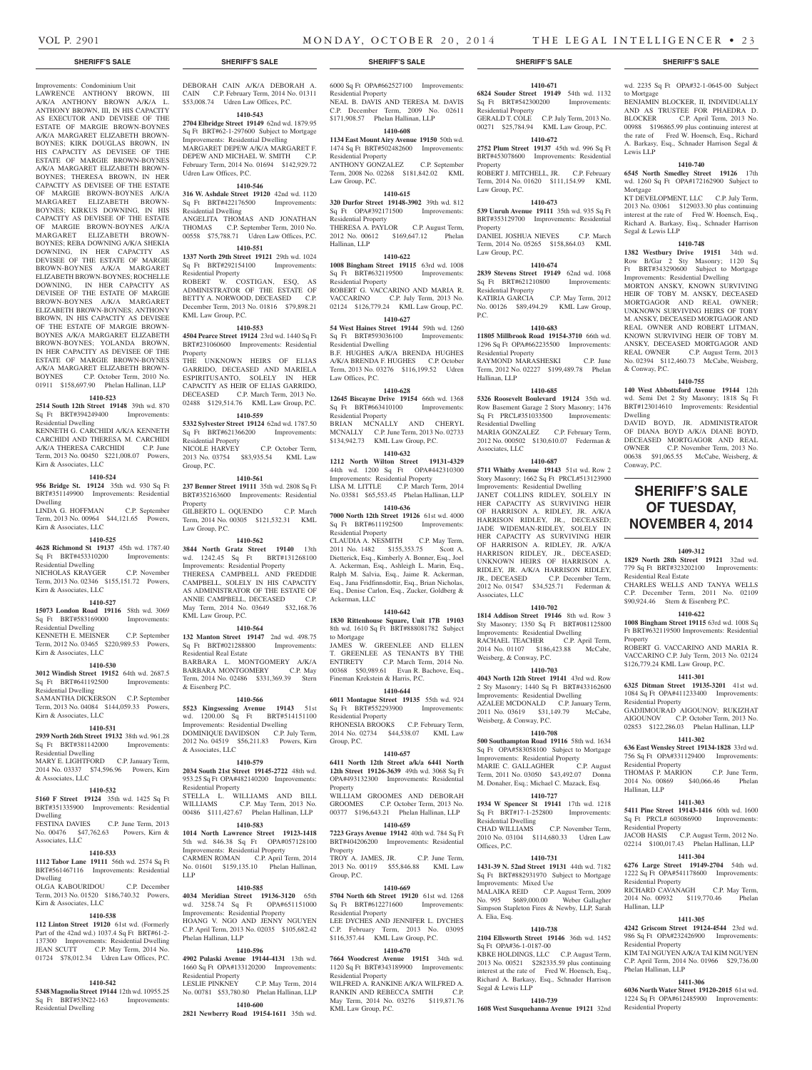DEBORAH CAIN A/K/A DEBORAH A. CAIN C.P. February Term, 2014 No. 01311 \$53,008.74 Udren Law Offices, P.C. **1410-543 2704 Elbridge Street 19149** 62nd wd. 1879.95 Sq Ft BRT#62-1-297600 Subject to Mortgage Improvements: Residential Dwelling MARGARET DEPEW A/K/A MARGARET F. DEPEW AND MICHAEL W. SMITH C.P. February Term, 2014 No. 01694 \$142,929.72

**1410-546 316 W. Ashdale Street 19120** 42nd wd. 1120 Sq Ft BRT#422176500 Improvements:

ANGELITA THOMAS AND JONATHAN THOMAS C.P. September Term, 2010 No. 00558 \$75,788.71 Udren Law Offices, P.C. **1410-551 1337 North 29th Street 19121** 29th wd. 1024 Sq Ft BRT#292154100 Improvements:

ROBERT W. COSTIGAN, ESQ, AS ADMINISTRATOR OF THE ESTATE OF BETTY A. NORWOOD, DECEASED C.P. December Term, 2013 No. 01816 \$79,898.21

**1410-553 4504 Pearce Street 19124** 23rd wd. 1440 Sq Ft BRT#231060600 Improvements: Residential

THE UNKNOWN HEIRS OF ELIAS GARRIDO, DECEASED AND MARIELA ESPIRITUSANTO, SOLELY IN HER CAPACITY AS HEIR OF ELIAS GARRIDO, DECEASED C.P. March Term, 2013 No. 02488 \$129,514.76 KML Law Group, P.C. **1410-559 5332 Sylvester Street 19124** 62nd wd. 1787.50 Sq Ft BRT#621366200 Improvements:

2013 No. 03754 \$83,935.54 KML Law

**1410-561 237 Benner Street 19111** 35th wd. 2808 Sq Ft BRT#352163600 Improvements: Residential

GILBERTO L. OQUENDO C.P. March Term, 2014 No. 00305 \$121,532.31 KML

**1410-562 3844 North Gratz Street 19140** 13th wd. 1242.45 Sq Ft BRT#131268100 Improvements: Residential Property THERESA CAMPBELL AND FREDDIE CAMPBELL, SOLELY IN HIS CAPACITY AS ADMINISTRATOR OF THE ESTATE OF ANNIE CAMPBELL, DECEASED C.P. May Term, 2014 No. 03649 \$32,168.76

**1410-564 132 Manton Street 19147** 2nd wd. 498.75 Sq Ft BRT#021288800 Improvements:

BARBARA L. MONTGOMERY A/K/A BARBARA MONTGOMERY C.P. May Term, 2014 No. 02486 \$331,369.39 Stern

**1410-566 5523 Kingsessing Avenue 19143** 51st wd. 1200.00 Sq Ft BRT#514151100 Improvements: Residential Dwelling DOMINIQUE DAVIDSON C.P. July Term, 2012 No. 04519 \$56,211.83 Powers, Kirn

**1410-579 2034 South 21st Street 19145-2722** 48th wd.

00486 \$111,427.67 Phelan Hallinan, LLP **1410-583 1014 North Lawrence Street 19123-1418**  5th wd. 846.38 Sq Ft OPA#057128100 Improvements: Residential Property CARMEN ROMAN C.P. April Term, 2014 No. 01601 \$159,135.10 Phelan Hallinan,

**1410-585 4034 Meridian Street 19136-3120** 65th wd. 3258.74 Sq Ft OPA#651151000 Improvements: Residential Property HOANG V. NGO AND JENNY NGUYEN C.P. April Term, 2013 No. 02035 \$105,682.42

**1410-596 4902 Pulaski Avenue 19144-4131** 13th wd. 1660 Sq Ft OPA#133120200 Improvements:

No. 00781 \$53,780.80 Phelan Hallinan, LLP **1410-600**

C.P. May Term, 2014

C.P. May Term, 2013 No.

C.P. October Term,

Udren Law Offices, P.C.

Residential Dwelling

Residential Property

KML Law Group, P.C.

Residential Property<br>NICOLE HARVEY

Group, P.C.

Property

Law Group, P.C.

KML Law Group, P.C.

Residential Real Estate

& Eisenberg P.C.

& Associates, LLC

LLP

Phelan Hallinan, LLP

Residential Property<br>LESLIE PINKNEY

Property

### Improvements: Condominium Unit

LAWRENCE ANTHONY BROWN, III A/K/A ANTHONY BROWN A/K/A L. ANTHONY BROWN, III, IN HIS CAPACITY AS EXECUTOR AND DEVISEE OF THE ESTATE OF MARGIE BROWN-BOYNES A/K/A MARGARET ELIZABETH BROWN-BOYNES; KIRK DOUGLAS BROWN, IN HIS CAPACITY AS DEVISEE OF THE ESTATE OF MARGIE BROWN-BOYNES A/K/A MARGARET ELIZABETH BROWN-BOYNES; THERESA BROWN, IN HER CAPACITY AS DEVISEE OF THE ESTATE OF MARGIE BROWN-BOYNES A/K/A MARGARET ELIZABETH BROWN-BOYNES; KIRKUS DOWNING, IN HIS CAPACITY AS DEVISEE OF THE ESTATE OF MARGIE BROWN-BOYNES A/K/A MARGARET ELIZABETH BROWN-BOYNES; REBA DOWNING A/K/A SHEKIA DOWNING, IN HER CAPACITY AS DEVISEE OF THE ESTATE OF MARGIE BROWN-BOYNES A/K/A MARGARET ELIZABETH BROWN-BOYNES; ROCHELLE DOWNING, IN HER CAPACITY AS DEVISEE OF THE ESTATE OF MARGIE BROWN-BOYNES A/K/A MARGARET ELIZABETH BROWN-BOYNES; ANTHONY BROWN, IN HIS CAPACITY AS DEVISEE OF THE ESTATE OF MARGIE BROWN-BOYNES A/K/A MARGARET ELIZABETH BROWN-BOYNES; YOLANDA BROWN, IN HER CAPACITY AS DEVISEE OF THE ESTATE OF MARGIE BROWN-BOYNES A/K/A MARGARET ELIZABETH BROWN-BOYNES C.P. October Term, 2010 No. 01911 \$158,697.90 Phelan Hallinan, LLP

### **1410-523**

**2514 South 12th Street 19148** 39th wd. 870 Sq Ft BRT#394249400 Improvements: Residential Dwelling

KENNETH G. CARCHIDI A/K/A KENNETH CARCHIDI AND THERESA M. CARCHIDI A/K/A THERESA CARCHIDI C.P. June Term, 2013 No. 00450 \$221,008.07 Powers, Kirn & Associates, LLC

#### **1410-524**

**956 Bridge St. 19124** 35th wd. 930 Sq Ft BRT#351149900 Improvements: Residential Dwelling

LINDA G. HOFFMAN C.P. September Term, 2013 No. 00964 \$44,121.65 Powers, Kirn & Associates, LLC

#### **1410-525**

**4628 Richmond St 19137** 45th wd. 1787.40 Sq Ft BRT#453310200 Improvements: Residential Dwelling

NICHOLAS KRAYGER C.P. November Term, 2013 No. 02346 \$155,151.72 Powers,

### Kirn & Associates, LLC **1410-527**

**15073 London Road 19116** 58th wd. 3069 Sq Ft BRT#583169000 Improvements:

Residential Dwelling KENNETH E. MEISNER C.P. September Term, 2012 No. 03465 \$220,989.53 Powers, Kirn & Associates, LLC

## **1410-530**

**3012 Windish Street 19152** 64th wd. 2687.5 Sq Ft BRT#641192500 Improvements: Residential Dwelling SAMANTHA DICKERSON C.P. September

Term, 2013 No. 04084 \$144,059.33 Powers, Kirn & Associates, LLC

### **1410-531**

**2939 North 26th Street 19132** 38th wd. 961.28 Sq Ft BRT#381142000 Improvements: Residential Dwelling

#### MARY E. LIGHTFORD C.P. January Term, 2014 No. 03337 \$74,596.96 Powers, Kirn & Associates, LLC

**1410-532 5160 F Street 19124** 35th wd. 1425 Sq Ft 953.25 Sq Ft OPA#482140200 Improvements: Residential Property STELLA L. WILLIAMS AND BILL<br>WILLIAMS C.P. May Term 2013 No.

#### BRT#351335900 Improvements: Residential Dwelling

FESTINA DAVIES C.P. June Term, 2013 No. 00476 \$47,762.63 Powers, Kirn & Associates, LLC

#### **1410-533**

**1112 Tabor Lane 19111** 56th wd. 2574 Sq Ft BRT#561467116 Improvements: Residential Dwelling OLGA KABOURIDOU C.P. December

## Term, 2013 No. 01520 \$186,740.32 Powers, Kirn & Associates, LLC

### **1410-538**

**112 Linton Street 19120** 61st wd. (Formerly Part of the 42nd wd.) 1037.4 Sq Ft BRT#61-2- 137300 Improvements: Residential Dwelling JEAN SCUTT C.P. May Term, 2014 No. 01724 \$78,012.34 Udren Law Offices, P.C.

#### **1410-542**

**5348 Magnolia Street 19144** 12th wd. 10955.25 Sq Ft BRT#53N22-163 Improvements: Residential Dwelling

**2821 Newberry Road 19154-1611** 35th wd.

#### **SHERIFF'S SALE SHERIFF'S SALE SHERIFF'S SALE SHERIFF'S SALE SHERIFF'S SALE**

6000 Sq Ft OPA#662527100 Improvements: Residential Property NEAL B. DAVIS AND TERESA M. DAVIS C.P. December Term, 2009 No. 02611 \$171,908.57 Phelan Hallinan, LLP

#### **1410-608**

**1134 East Mount Airy Avenue 19150** 50th wd. 1474 Sq Ft BRT#502482600 Improvements: Residential Property ANTHONY GONZALEZ C.P. September Term, 2008 No. 02268 \$181,842.02 KML Law Group, P.C.

#### **1410-615**

**320 Durfor Street 19148-3902** 39th wd. 812 Sq Ft OPA#392171500 Improvements: Residential Property THERESA A. PAYLOR C.P. August Term, 2012 No. 00612 \$169,647.12 Phelan Hallinan, LLP

#### **1410-622**

**1008 Bingham Street 19115** 63rd wd. 1008 Sq Ft BRT#632119500 Residential Property ROBERT G. VACCARINO AND MARIA R. VACCARINO C.P. July Term, 2013 No. 02124 \$126,779.24 KML Law Group, P.C.

#### **1410-627**

**54 West Haines Street 19144** 59th wd. 1260 Sq Ft BRT#593036100 Improvements: Residential Dwelling B.F. HUGHES A/K/A BRENDA HUGHES A/K/A BRENDA F. HUGHES C.P. October Term, 2013 No. 03276 \$116,199.52 Udren Law Offices, P.C.

#### **1410-628**

**12645 Biscayne Drive 19154** 66th wd. 1368 Sq Ft BRT#663410100 Improvements: Residential Property BRIAN MCNALLY AND CHERYL MCNALLY C.P. June Term, 2013 No. 02733

\$134,942.73 KML Law Group, P.C. **1410-632**

**1212 North Wilton Street 19131-4329**  44th wd. 1200 Sq Ft OPA#442310300 Improvements: Residential Property LISA M. LITTLE C.P. March Term, 2014 No. 03581 \$65,553.45 Phelan Hallinan, LLP

### **1410-636**

**7000 North 12th Street 19126** 61st wd. 4000 Sq Ft BRT#611192500 Improvements: Residential Property CLAUDIA A. NESMITH C.P. May Term,

2011 No. 1482 \$155,353.75 Scott A. Dietterick, Esq., Kimberly A. Bonner, Esq., Joel A. Ackerman, Esq., Ashleigh L. Marin, Esq., Ralph M. Salvia, Esq., Jaime R. Ackerman, Esq., Jana Fridfinnsdottir, Esq., Brian Nicholas, Esq., Denise Carlon, Esq., Zucker, Goldberg & Ackerman, LLC

#### **1410-642**

**1830 Rittenhouse Square, Unit 17B 19103**  8th wd. 1610 Sq Ft BRT#888081782 Subject to Mortgage

JAMES W. GREENLEE AND ELLEN T. GREENLEE AS TENANTS BY THE ENTIRETY C.P. March Term, 2014 No. 00368 \$50,989.61 Evan R. Bachove, Esq., Fineman Krekstein & Harris, P.C.

#### **1410-644**

**6011 Montague Street 19135** 55th wd. 924 Sq Ft BRT#552293900 Improvements: Residential Property RHONESIA BROOKS C.P. February Term, 2014 No. 02734 \$44,538.07 KML Law Group, P.C.

### **1410-657**

**6411 North 12th Street a/k/a 6441 North 12th Street 19126-3639** 49th wd. 3068 Sq Ft OPA#493132300 Improvements: Residential Property

WILLIAM GROOMES AND DEBORAH GROOMES C.P. October Term, 2013 No. 00377 \$196,643.21 Phelan Hallinan, LLP

#### **1410-659**

**7223 Grays Avenue 19142** 40th wd. 784 Sq Ft BRT#404206200 Improvements: Residential Property TROY A. JAMES, JR. C.P. June Term, 2013 No. 00119 \$55,846.88 KML Law Group, P.C.

### **1410-669**

**5704 North 6th Street 19120** 61st wd. 1268 Sq Ft BRT#612271600 Improvements: Residential Property LEE DYCHES AND JENNIFER L. DYCHES C.P. February Term, 2013 No. 03095 \$116,357.44 KML Law Group, P.C.

#### **1410-670**

**7664 Woodcrest Avenue 19151** 34th wd. 1120 Sq Ft BRT#343189900 Improvements: Residential Property WILFRED A. RANKINE A/K/A WILFRED A.

RANKIN AND REBECCA SMITH C.P. May Term, 2014 No. 03276 \$119,871.76 KML Law Group, P.C.

## **1410-671**

**6824 Souder Street 19149** 54th wd. 1132 Sq Ft BRT#542300200 Improvements: Residential Property GERALD T. COLE C.P. July Term, 2013 No. 00271 \$25,784.94 KML Law Group, P.C.

#### **1410-672**

**2752 Plum Street 19137** 45th wd. 996 Sq Ft BRT#453078600 Improvements: Residential Property ROBERT J. MITCHELL, JR. C.P. February

Term, 2014 No. 01620 \$111,154.99 KML Law Group, P.C. **1410-673 539 Unruh Avenue 19111** 35th wd. 935 Sq Ft

BRT#353129700 Improvements: Residential Property DANIEL JOSHUA NIEVES C.P. March Term, 2014 No. 05265 \$158,864.03 KML

#### **1410-674 2839 Stevens Street 19149** 62nd wd. 1068

Law Group, P.C.

Sq Ft BRT#621210800 Improvements: Residential Property KATIRIA GARCIA C.P. May Term, 2012 No. 00126 \$89,494.29 KML Law Group, P.C.

#### **1410-683**

**11805 Millbrook Road 19154-3710** 66th wd. 1296 Sq Ft OPA#662235500 Improvements: Residential Property RAYMOND MARASHESKI C.P. June Term, 2012 No. 02227 \$199,489.78 Phelan

## Hallinan, LLP **1410-685**

**5326 Roosevelt Boulevard 19124** 35th wd. Row Basement Garage 2 Story Masonry; 1476 Sq Ft PRCL#351033500 Improvements: Residential Dwelling MARIA GONZALEZ C.P. February Term, 2012 No. 000502 \$130,610.07 Federman &

Associates, LLC **1410-687**

### **5711 Whitby Avenue 19143** 51st wd. Row 2

Story Masonry; 1662 Sq Ft PRCL#513123900 Improvements: Residential Dwelling JANET COLLINS RIDLEY, SOLELY IN HER CAPACITY AS SURVIVING HEIR OF HARRISON A. RIDLEY, JR. A/K/A HARRISON RIDLEY, JR., DECEASED; JADE WIDEMAN-RIDLEY, SOLELY IN HER CAPACITY AS SURVIVING HEIR OF HARRISON A. RIDLEY, JR. A/K/A HARRISON RIDLEY, JR., DECEASED; UNKNOWN HEIRS OF HARRISON A. RIDLEY, JR. A/K/A HARRISON RIDLEY, JR., DECEASED C.P. December Term, 2012 No. 01547 \$34,525.71 Federman & Associates, LLC

#### **1410-702**

**1814 Addison Street 19146** 8th wd. Row 3 Sty Masonry; 1350 Sq Ft BRT#081125800 Improvements: Residential Dwelling RACHAEL TEACHER C.P. April Term, 2014 No. 01107 \$186,423.88 McCabe, Weisberg, & Conway, P.C.

#### **1410-703**

**4043 North 12th Street 19141** 43rd wd. Row 2 Sty Masonry; 1440 Sq Ft BRT#433162600 Improvements: Residential Dwelling AZALEE MCDONALD C.P. January Term, 2011 No. 03619 \$31,149.79 McCabe, Weisberg, & Conway, P.C.

#### **1410-708 500 Southampton Road 19116** 58th wd. 1634

Sq Ft OPA#583058100 Subject to Mortgage Improvements: Residential Property<br>MARIE C. GALLAGHER C.P. August MARIE C. GALLAGHER Term, 2011 No. 03050 \$43,492.07 Donna M. Donaher, Esq.; Michael C. Mazack, Esq.

#### **1410-727**

**1934 W Spencer St 19141** 17th wd. 1218 Sq Ft BRT#17-1-252800 Improvements: Residential Dwelling C.P. November Term, 2010 No. 03104 \$114,680.33 Udren Law Offices, P.C.

#### **1410-731**

**1431-39 N. 52nd Street 19131** 44th wd. 7182 Sq Ft BRT#882931970 Subject to Mortgage Improvements: Mixed Use<br>MALAIKA REID C.P. C.P. August Term, 2009 No. 995 \$689,000.00 Weber Gallagher Simpson Stapleton Fires & Newby, LLP, Sarah A. Elia, Esq.

#### **1410-738**

**2104 Ellsworth Street 19146** 36th wd. 1452 Sq Ft OPA#36-1-0187-00 KBKE HOLDINGS, LLC C.P. August Term,

2013 No. 00521 \$282335.59 plus continuing interest at the rate of Fred W. Hoensch, Esq., Richard A. Barkasy, Esq., Schnader Harrison Segal & Lewis LLP

**1410-739 1608 West Susquehanna Avenue 19121** 32nd

wd. 2235 Sq Ft OPA#32-1-0645-00 Subject to Mortgage

BENJAMIN BLOCKER, II, INDIVIDUALLY AND AS TRUSTEE FOR PHAEDRA D. BLOCKER C.P. April Term, 2013 No. 00988 \$196865.99 plus continuing interest at the rate of Fred W. Hoensch, Esq., Richard A. Barkasy, Esq., Schnader Harrison Segal & Lewis LLP

#### **1410-740**

**6545 North Smedley Street 19126** 17th wd. 1260 Sq Ft OPA#172162900 Subject to Mortgage

KT DEVELOPMENT, LLC C.P. July Term, 2013 No. 03061 \$129033.30 plus continuing interest at the rate of Fred W. Hoensch, Esq., Richard A. Barkasy, Esq., Schnader Harrison Segal & Lewis LLP

**1410-748 1382 Westbury Drive 19151** 34th wd. Row B/Gar 2 Sty Masonry; 1120 Sq Ft BRT#343290600 Subject to Mortgage Improvements: Residential Dwelling MORTON ANSKY, KNOWN SURVIVING HEIR OF TOBY M. ANSKY, DECEASED MORTGAGOR AND REAL OWNER; UNKNOWN SURVIVING HEIRS OF TOBY M. ANSKY, DECEASED MORTGAGOR AND REAL OWNER AND ROBERT LITMAN, KNOWN SURVIVING HEIR OF TOBY M. ANSKY, DECEASED MORTGAGOR AND REAL OWNER C.P. August Term, 2013 No. 02394 \$112,460.73 McCabe, Weisberg,

**1410-755 140 West Abbottsford Avenue 19144** 12th wd. Semi Det 2 Sty Masonry; 1818 Sq Ft BRT#123014610 Improvements: Residential

DAVID BOYD, JR. ADMINISTRATOR OF DIANA BOYD A/K/A DIANE BOYD, DECEASED MORTGAGOR AND REAL OWNER C.P. November Term, 2013 No. 00638 \$91,065.55 McCabe, Weisberg, &

**SHERIFF'S SALE OF TUESDAY, November 4, 2014**

**1409-312 1829 North 28th Street 19121** 32nd wd. 779 Sq Ft BRT#323202100 Improvements:

CHARLES WELLS AND TANYA WELLS C.P. December Term, 2011 No. 02109 \$90,924.46 Stern & Eisenberg P.C. **1410-622 1008 Bingham Street 19115** 63rd wd. 1008 Sq Ft BRT#632119500 Improvements: Residential

ROBERT G. VACCARINO AND MARIA R. VACCARINO C.P. July Term, 2013 No. 02124 \$126,779.24 KML Law Group, P.C. **1411-301 6325 Ditman Street 19135-3201** 41st wd. 1084 Sq Ft OPA#411233400 Improvements:

GADJIMOURAD AIGOUNOV; RUKIZHAT AIGOUNOV C.P. October Term, 2013 No. 02853 \$122,286.03 Phelan Hallinan, LLP **1411-302 636 East Wensley Street 19134-1828** 33rd wd. 756 Sq Ft OPA#331129400 Improvements:

THOMAS P. MARION C.P. June Term, 2014 No. 00869 \$40,066.46 Phelan

**1411-303 5411 Pine Street 19143-1416** 60th wd. 1600 Sq Ft PRCL# 603086900 Improvements:

JACOB HASIS C.P. August Term, 2012 No. 02214 \$100,017.43 Phelan Hallinan, LLP **1411-304 6276 Large Street 19149-2704** 54th wd. 1222 Sq Ft OPA#541178600 Improvements:

RICHARD CAVANAGH C.P. May Term 2014 No. 00932 \$119,770.46 Phelan

**1411-305 4242 Griscom Street 19124-4544** 23rd wd. 986 Sq Ft OPA#232426900 Improvements:

KIM TAI NGUYEN A/K/A TAI KIM NGUYEN C.P. April Term, 2014 No. 01966 \$29,736.00

**1411-306 6036 North Water Street 19120-2015** 61st wd. 1224 Sq Ft OPA#612485900 Improvements:

& Conway, P.C.

Dwelling

Conway, P.C.

Residential Real Estate

Residential Property

Residential Property

Residential Property

Residential Property

Residential Property

Phelan Hallinan, LLP

Residential Property

Hallinan, LLP

Hallinan, LLP

Property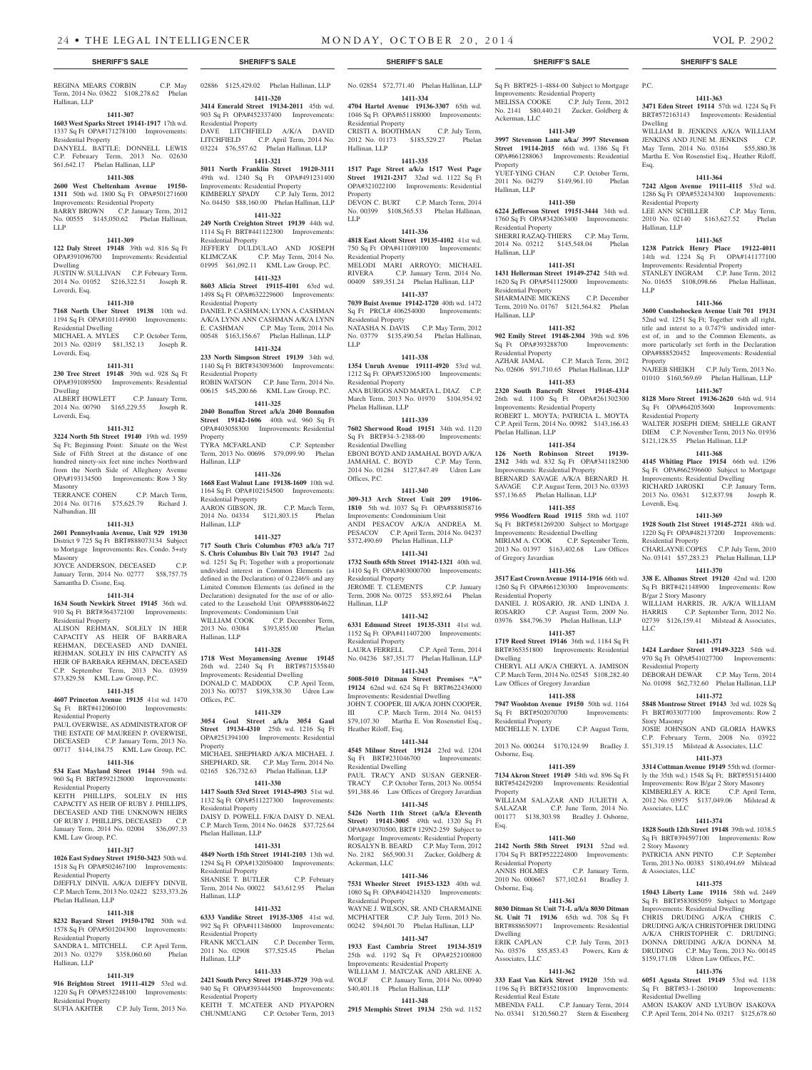REGINA MEARS CORBIN C.P. May Term, 2014 No. 03622 \$108,278.62 Phelan Hallinan, LLP

### **1411-307**

LLP

**1603 West Sparks Street 19141-1917** 17th wd. 1337 Sq Ft OPA#171278100 Improvements:

### Residential Property

DANYELL BATTLE; DONNELL LEWIS C.P. February Term, 2013 No. 02630 \$61,642.17 Phelan Hallinan, LLP

#### **1411-308 2600 West Cheltenham Avenue 19150-**

**1311** 50th wd. 1800 Sq Ft OPA#501271600 Improvements: Residential Property BARRY BROWN C.P. January Term, 2012 No. 00555 \$145,050.62 Phelan Hallinan,

### **1411-309**

**122 Daly Street 19148** 39th wd. 816 Sq Ft OPA#391096700 Improvements: Residential Dwelling JUSTIN W. SULLIVAN C.P. February Term,

2014 No. 01052 \$216,322.51 Joseph R. Loverdi, Esq.

### **1411-310**

**7168 North Uber Street 19138** 10th wd. 1194 Sq Ft OPA#101149900 Improvements: Residential Dwelling MICHAEL A. MYLES C.P. October Term,

2013 No. 02019 \$81,352.13 Joseph R. Loverdi, Esq.

## **1411-311**

**230 Tree Street 19148** 39th wd. 928 Sq Ft OPA#391089500 Improvements: Residential Dwelling ALBERT HOWLETT C.P. January Term,

2014 No. 00790 \$165,229.55 Joseph R. Loverdi, Esq.

### **1411-312**

**3224 North 5th Street 19140** 19th wd. 1959 Sq Ft; Beginning Point: Situate on the West Side of Fifth Street at the distance of one hundred ninety-six feet nine inches Northward from the North Side of Allegheny Avenue OPA#193134500 Improvements: Row 3 Sty Masonry TERRANCE COHEN C.P. March Term,

2014 No. 01716 \$75,625.79 Richard J. Nalbandian, III

### **1411-313**

**2601 Pennsylvania Avenue, Unit 929 19130**  District 9 725 Sq Ft BRT#888073134 Subject to Mortgage Improvements: Res. Condo. 5+sty Masonry

Masoliry<br>JOYCE ANDERSON, DECEASED C.P. January Term, 2014 No. 02777 \$58,757.75 Samantha D. Cissne, Esq.

### **1411-314**

**1634 South Newkirk Street 19145** 36th wd. 910 Sq Ft BRT#364372100 Improvements: Residential Property ALISON REHMAN, SOLELY IN HER CAPACITY AS HEIR OF BARBARA REHMAN, DECEASED AND DANIEL REHMAN, SOLELY IN HIS CAPACITY AS HEIR OF BARBARA REHMAN, DECEASED C.P. September Term, 2013 No. 03959 \$73,829.58 KML Law Group, P.C.

#### **1411-315**

**4607 Princeton Avenue 19135** 41st wd. 1470 Sq Ft BRT#412060100 Improvements: Residential Property

PAUL OVERWISE, AS ADMINISTRATOR OF THE ESTATE OF MAUREEN P. OVERWISE, DECEASED C.P. January Term, 2013 No. 00717 \$144,184.75 KML Law Group, P.C.

### **1411-316**

**534 East Mayland Street 19144** 59th wd. 960 Sq Ft BRT#592128000 Improvements: Residential Property

KEITH PHILLIPS, SOLELY IN HIS CAPACITY AS HEIR OF RUBY J. PHILLIPS, DECEASED AND THE UNKNOWN HEIRS OF RUBY J. PHILLIPS, DECEASED C.P. January Term, 2014 No. 02004 \$36,097.33 KML Law Group, P.C.

#### **1411-317**

**1026 East Sydney Street 19150-3423** 50th wd. 1518 Sq Ft OPA#502467100 Improvements: Residential Property

#### DJEFFLY DINVIL A/K/A DJEFFY DINVIL C.P. March Term, 2013 No. 02422 \$233,373.26 Phelan Hallinan, LLP

#### **1411-318**

**8232 Bayard Street 19150-1702** 50th wd. 1578 Sq Ft OPA#501204300 Improvements: Residential Property

SANDRA L. MITCHELL C.P. April Term,<br>2013 No. 03279 \$358,060.60 Phelan \$358,060.60 Phelan Hallinan, LLP

#### **1411-319**

**916 Brighton Street 19111-4129** 53rd wd. 1220 Sq Ft OPA#532248100 Improvements: Residential Property SUFIA AKHTER C.P. July Term, 2013 No. 02886 \$125,429.02 Phelan Hallinan, LLP **1411-320**

**3414 Emerald Street 19134-2011** 45th wd. 903 Sq Ft OPA#452337400 Improvements: Residential Property DAVE LITCHFIELD A/K/A DAVID LITCHFIELD C.P. April Term, 2014 No. 03224 \$76,557.62 Phelan Hallinan, LLP

**1411-321 5011 North Franklin Street 19120-3111**  49th wd. 1240 Sq Ft OPA#491231400 Improvements: Residential Property KIMBERLY SPADY C.P. July Term, 2012 No. 04450 \$88,160.00 Phelan Hallinan, LLP

**1411-322 249 North Creighton Street 19139** 44th wd. 1114 Sq Ft BRT#441122300 Improvements: Residential Property JEFFERY DULDULAO AND JOSEPH

KLIMCZAK C.P. May Term, 2014 No. 01995 \$61,092.11 KML Law Group, P.C. **1411-323 8603 Alicia Street 19115-4101** 63rd wd.

1498 Sq Ft OPA#632229600 Improvements: Residential Property DANIEL P. CASHMAN; LYNN A. CASHMAN A/K/A LYNN ANN CASHMAN A/K/A LYNN E. CASHMAN C.P. May Term, 2014 No. 00548 \$163,156.67 Phelan Hallinan, LLP

#### **1411-324**

**233 North Simpson Street 19139** 34th wd. 1140 Sq Ft BRT#343093600 Improvements: Residential Property ROBIN WATSON C.P. June Term, 2014 No. 00615 \$45,200.66 KML Law Group, P.C.

#### **1411-325**

**2040 Bonaffon Street a/k/a 2040 Bonnafon Street 19142-1606** 40th wd. 960 Sq Ft OPA#403058300 Improvements: Residential Property TYRA MCFARLAND C.P. September

Term, 2013 No. 00696 \$79,099.90 Phelan Hallinan, LLP **1411-326**

#### **1668 East Walnut Lane 19138-1609** 10th wd.

1164 Sq Ft OPA#102154500 Improvements: Residential Property AARON GIBSON, JR. C.P. March Term, 2014 No. 04334 \$121,803.15 Phelan Hallinan, LLP

#### **1411-327**

**717 South Chris Columbus #703 a/k/a 717 S. Chris Columbus Blv Unit 703 19147** 2nd wd. 1251 Sq Ft; Together with a proportionate undivided interest in Common Elements (as defined in the Declaration) of 0.2246% and any Limited Common Elements (as defined in the Declaration) designated for the use of or allocated to the Leasehold Unit OPA#888064622 Improvements: Condominium Unit

WILLIAM COOK C.P. December Term, 2013 No. 03084 \$393,855.00 Phelan Hallinan, LLP

#### **1411-328**

**1718 West Moyamensing Avenue 19145**  26th wd. 2240 Sq Ft BRT#871535840 Improvements: Residential Dwelling DONALD C. MADDOX C.P. April Term, 2013 No. 00757 \$198,338.30 Udren Law

### **1411-329**

Offices, P.C.

**3054 Goul Street a/k/a 3054 Gaul Street 19134-4310** 25th wd. 1216 Sq Ft OPA#251394100 Improvements: Residential Property MICHAEL SHEPHARD A/K/A MICHAEL J. SHEPHARD, SR. C.P. May Term, 2014 No.

02165 \$26,732.63 Phelan Hallinan, LLP **1411-330 1417 South 53rd Street 19143-4903** 51st wd.

1132 Sq Ft OPA#511227300 Improvements: Residential Property DAISY D. POWELL F/K/A DAISY D. NEAL C.P. March Term, 2014 No. 04628 \$37,725.64 Phelan Hallinan, LLP

#### **1411-331**

**4849 North 15th Street 19141-2103** 13th wd. 1294 Sq Ft OPA#132050400 Improvements: Residential Property SHANISE T. BUTLER C.P. February Term, 2014 No. 00022 \$43,612.95 Phelan Hallinan, LLP

#### **1411-332**

**6333 Vandike Street 19135-3305** 41st wd. 992 Sq Ft OPA#411346000 Improvements: Residential Property<br>FRANK MCCLAIN FRANK MCCLAIN C.P. December Term,<br>2011 No. 02908 \$77,525.45 Phelan \$77,525.45 Phelan

## **1411-333**

Hallinan, LLP

**2421 South Percy Street 19148-3729** 39th wd. 940 Sq Ft OPA#393444500 Improvements: Residential Property

KEITH T. MCATEER AND PIYAPORN<br>CHUNMUANG C.P. October Term, 2013 C.P. October Term, 2013

### **SHERIFF'S SALE SHERIFF'S SALE SHERIFF'S SALE SHERIFF'S SALE SHERIFF'S SALE**

No. 02854 \$72,771.40 Phelan Hallinan, LLP **1411-334**

Sq Ft BRT#25-1-4884-00 Subject to Mortgage Improvements: Residential Property MELISSA COOKE C.P. July Term, 2012 No. 2141 \$80,440.21 Zucker, Goldberg &  $P C$ 

Dwelling

Esq.

LLP

Property

Residential Property

Loverdi, Esq.

Residential Property

B/gar 2 Story Masonry

Residential Property

Story Masonry

Associates, LLC

2 Story Masonry

& Associates, LLC

Residential Dwelling

LLC

Residential Property

Hallinan, LLP

**1411-363 3471 Eden Street 19114** 57th wd. 1224 Sq Ft BRT#572163143 Improvements: Residential

WILLIAM B. JENKINS A/K/A WILLIAM JENKINS AND JUNE M. JENKINS C.P. May Term, 2014 No. 03164 \$55,880.38 Martha E. Von Rosenstiel Esq., Heather Riloff,

**1411-364 7242 Algon Avenue 19111-4115** 53rd wd. 1286 Sq Ft OPA#532434300 Improvements:

LEE ANN SCHILLER C.P. May Term, 2010 No. 02140 \$163,627.52 Phelan

**1411-365 1238 Patrick Henry Place 19122-4011**  14th wd. 1224 Sq Ft OPA#141177100 Improvements: Residential Property STANLEY INGRAM C.P. June Term, 2012 No. 01655 \$108,098.66 Phelan Hallinan,

**1411-366 3600 Conshohocken Avenue Unit 701 19131**  52nd wd. 1251 Sq Ft; Together with all right, title and interst to a 0.747% undivided interest of, in and to the Common Elements, as more particularly set forth in the Declaration OPA#888520452 Improvements: Residential

NAJEEB SHEIKH C.P. July Term, 2013 No. 01010 \$160,569.69 Phelan Hallinan, LLP **1411-367 8128 Moro Street 19136-2620** 64th wd. 914 Sq Ft OPA#642053600 Improvements:

WALTER JOSEPH DIEM; SHELLE GRANT DIEM C.P. November Term, 2013 No. 01936 \$121,128.55 Phelan Hallinan, LLP **1411-368 4145 Whiting Place 19154** 66th wd. 1296 Sq Ft OPA#662596600 Subject to Mortgage Improvements: Residential Dwelling RICHARD JAROSKI C.P. January Term, 2013 No. 03631 \$12,837.98 Joseph R.

**1411-369 1928 South 21st Street 19145-2721** 48th wd. 1220 Sq Ft OPA#482137200 Improvements:

CHARLAYNE COPES C.P. July Term, 2010 No. 03141 \$57,283.23 Phelan Hallinan, LLP **1411-370 338 E. Albanus Street 19120** 42nd wd. 1200 So Ft BRT#421148900 Improvements: Row

WILLIAM HARRIS, JR. A/K/A WILLIAM HARRIS C.P. September Term, 2012 No. 02739 \$126,159.41 Milstead & Associates,

**1411-371 1424 Lardner Street 19149-3223** 54th wd. 970 Sq Ft OPA#541027700 Improvements:

DEBORAH DEWAR C.P. May Term, 2014 No. 01098 \$62,732.60 Phelan Hallinan, LLP **1411-372 5848 Montrose Street 19143** 3rd wd. 1028 Sq Ft BRT#033077100 Improvements: Row 2

JOSIE JOHNSON AND GLORIA HAWKS C.P. February Term, 2008 No. 03922 \$51,319.15 Milstead & Associates, LLC **1411-373 3314 Cottman Avenue 19149** 55th wd. (formerly the 35th wd.) 1548 Sq Ft; BRT#551514400 Improvements: Row B/gar 2 Story Masonry KIMBERLEY A. RICE C.P. April Term, 2012 No. 03975 \$137,049.06 Milstead &

**1411-374 1828 South 12th Street 19148** 39th wd. 1038.5 Sq Ft BRT#394597100 Improvements: Row

PATRICIA ANN PINTO C.P. September Term, 2013 No. 00383 \$180,494.69 Milstead

**1411-375 15043 Liberty Lane 19116** 58th wd. 2449 Sq Ft BRT#583085059 Subject to Mortgage Improvements: Residential Dwelling CHRIS DRUDING A/K/A CHRIS C. DRUDING A/K/A CHRISTOPHER DRUDING A/K/A CHRISTOPHER C. DRUDING; DONNA DRUDING A/K/A DONNA M. DRUDING C.P. May Term, 2013 No. 00145 \$159,171.08 Udren Law Offices, P.C. **1411-376 6051 Agusta Street 19149** 53rd wd. 1138 Sq Ft BRT#53-1-260100 Improvements:

AMON ISAKOV AND LYUBOV ISAKOVA C.P. April Term, 2014 No. 03217 \$125,678.60

**1411-349 3997 Stevenson Lane a/ka/ 3997 Stevenson Street 19114-2015** 66th wd. 1386 Sq Ft OPA#661288063 Improvements: Residential

YUET-YING CHAN C.P. October Term, 2011 No. 04279 \$149,961.10 Phelan

**1411-350 6224 Jefferson Street 19151-3444** 34th wd. 1760 Sq Ft OPA#342063400 Improvements:

SHERRI RAZAQ-THIERS C.P. May Term, 2014 No. 03212 \$145,548.04 Phelan

**1411-351 1431 Hellerman Street 19149-2742** 54th wd. 1620 Sq Ft OPA#541125000 Improvements:

SHARMAINE MICKENS C.P. December Term, 2010 No. 01767 \$121,564.82 Phelan

**1411-352 902 Emily Street 19148-2304** 39th wd. 896 Sq Ft OPA#393288700 Improvements:

AZHAR JAMAL C.P. March Term, 2012 No. 02606 \$91,710.65 Phelan Hallinan, LLP **1411-353 2320 South Bancroft Street 19145-4314**  26th wd. 1100 Sq Ft OPA#261302300 Improvements: Residential Property ROBERT L. MOYTA; PATRICIA L. MOYTA C.P. April Term, 2014 No. 00982 \$143,166.43

**1411-354 126 North Robinson Street 19139- 2312** 34th wd. 832 Sq Ft OPA#341182300 Improvements: Residential Property BERNARD SAVAGE A/K/A BERNARD H. SAVAGE C.P. August Term, 2013 No. 03393 \$57,136.65 Phelan Hallinan, LLP **1411-355 9956 Woodfern Road 19115** 58th wd. 1107 Sq Ft BRT#581269200 Subject to Mortgage Improvements: Residential Dwelling MIRIAM A. COOK C.P. September Term, 2013 No. 01397 \$163,402.68 Law Offices

**1411-356 3517 East Crown Avenue 19114-1916** 66th wd. 1260 Sq Ft OPA#661230300 Improvements:

DANIEL J. ROSARIO, JR. AND LINDA J. ROSARIO C.P. August Term, 2009 No. 03976 \$84,796.39 Phelan Hallinan, LLP **1411-357 1719 Reed Street 19146** 36th wd. 1184 Sq Ft BRT#365351800 Improvements: Residential

CHERYL ALI A/K/A CHERYL A. JAMISON C.P. March Term, 2014 No. 02545 \$108,282.40

**1411-358 7947 Woolston Avenue 19150** 50th wd. 1164 Sq Ft BRT#502070700 Improvements:

MICHELLE N. LYDE C.P. August Term, 2013 No. 000244 \$170,124.99 Bradley J.

**1411-359 7134 Akron Street 19149** 54th wd. 896 Sq Ft BRT#542429200 Improvements: Residential

WILLIAM SALAZAR AND JULIETH A. SALAZAR C.P. June Term, 2014 No. 001177 \$138,303.98 Bradley J. Osborne,

**1411-360 2142 North 58th Street 19131** 52nd wd. 1704 Sq Ft BRT#522224800 Improvements:

2010 No. 000667 \$77,102.61 Bradley J.

**1411-361 8030 Ditman St Unit 71-L a/k/a 8030 Ditman St. Unit 71 19136** 65th wd. 708 Sq Ft BRT#888650971 Improvements: Residential

No. 03576 \$55,853.43 Powers, Kirn &

**1411-362 333 East Van Kirk Street 19120** 35th wd. 1196 Sq Ft BRT#352108100 Improvements:

MBENDA FALL C.P. January Term, 2014 No. 03341 \$120,560.27 Stern & Eisenberg

C.P. January Term,

C.P. July Term, 2013

Law Offices of Gregory Javardian

Ackerman, LLC

**Property** 

Hallinan, LLP

Residential Property

Residential Property

Residential Property

Phelan Hallinan, LLP

of Gregory Javardian

Residential Property

Residential Property

Residential Property<br>ANNIS HOLMES

Osborne, Esq.

Dwelling<br>ERIK CAPLAN

Associates, LLC

Residential Real Estate

Osborne, Esq.

Property

Esq.

Dwelling

Hallinan, LLP

Hallinan, LLP

**4704 Hartel Avenue 19136-3307** 65th wd. 1046 Sq Ft OPA#651188000 Improvements: Residential Property

CRISTI A. BOOTHMAN C.P. July Term, 2012 No. 01173 \$185,529.27 Phelan Hallinan, LLP

### **1411-335**

**1517 Page Street a/k/a 1517 West Page Street 19121-2317** 32nd wd. 1122 Sq Ft OPA#321022100 Improvements: Residential Property DEVON C. BURT C.P. March Term, 2014

No. 00399 \$108,565.53 Phelan Hallinan, LLP

### **1411-336**

**4818 East Alcott Street 19135-4102** 41st wd. 750 Sq Ft OPA#411089100 Improvements: Residential Property MELODI MARI ARROYO; MICHAEL<br>RIVERA C.P. January Term, 2014 No.

C.P. January Term, 2014 No. 00409 \$89,351.24 Phelan Hallinan, LLP **1411-337**

## **7039 Buist Avenue 19142-1720** 40th wd. 1472

Sq Ft PRCL# 406254000 Improvements: Residential Property NATASHA N. DAVIS C.P. May Term, 2012 No. 03779 \$135,490.54 Phelan Hallinan, LLP

### **1411-338**

**1354 Unruh Avenue 19111-4920** 53rd wd. 1212 Sq Ft OPA#532065100 Improvements: Residential Property ANA BURGOS AND MARTA L. DIAZ C.P. March Term, 2013 No. 01970 \$104,954.92 Phelan Hallinan, LLP

#### **1411-339**

**7602 Sherwood Road 19151** 34th wd. 1120 Sq Ft BRT#34-3-2388-00 Improvements: Residential Dwelling EBONI BOYD AND JAMAHAL BOYD A/K/A JAMAHAL C. BOYD C.P. May Term, 2014 No. 01284 \$127,847.49 Udren Law Offices, P.C.

#### **1411-340**

**309-313 Arch Street Unit 209 19106- 1810** 5th wd. 1037 Sq Ft OPA#888058716 Improvements: Condominium Unit ANDI PESACOV A/K/A ANDREA M. PESACOV C.P. April Term, 2014 No. 04237 \$372,490.69 Phelan Hallinan, LLP

### **1411-341 1732 South 65th Street 19142-1321** 40th wd. 1410 Sq Ft OPA#403000700 Improvements: Residential Property JEROME T. CLEMENTS C.P. January

Term, 2008 No. 00725 \$53,892.64 Phelan Hallinan, LLP **1411-342**

### **6331 Edmund Street 19135-3311** 41st wd. 1152 Sq Ft OPA#411407200 Improvements:

Residential Property LAURA FERRELL C.P. April Term, 2014 No. 04236 \$87,351.77 Phelan Hallinan, LLP

#### **1411-343 5008-5010 Ditman Street Premises "A"**

**19124** 62nd wd. 624 Sq Ft BRT#622436000 Improvements: Residential Dwelling JOHN T. COOPER, III A/K/A JOHN COOPER, III C.P. March Term, 2014 No. 04153 \$79,107.30 Martha E. Von Rosenstiel Esq., Heather Riloff, Esq.

#### **1411-344**

**4545 Milnor Street 19124** 23rd wd. 1204 Sq Ft BRT#231046700 Residential Dwelling PAUL TRACY AND SUSAN GERNER-

TRACY C.P. October Term, 2013 No. 00554 \$91,388.46 Law Offices of Gregory Javardian **1411-345**

## **5426 North 11th Street (a/k/a Eleventh**

**Street) 19141-3005** 49th wd. 1320 Sq Ft OPA#493070500, BRT# 129N2-259 Subject to Mortgage Improvements: Residential Property ROSALYN B. BEARD C.P. May Term, 2012 No. 2182 \$65,900.31 Zucker, Goldberg & Ackerman, LLC

#### **1411-346**

**7531 Wheeler Street 19153-1323** 40th wd. 1080 Sq Ft OPA#404214320 Improvements: Residential Property WAYNE J. WILSON, SR. AND CHARMAINE MCPHATTER C.P. July Term, 2013 No.

00242 \$94,601.70 Phelan Hallinan, LLP **1411-347 1933 East Cambria Street 19134-3519**  25th wd. 1192 Sq Ft OPA#252100800 Improvements: Residential Property WILLIAM J. MATCZAK AND ARLENE A. WOLF C.P. January Term, 2014 No. 00940 \$40,401.18 Phelan Hallinan, LLP **1411-348 2915 Memphis Street 19134** 25th wd. 1152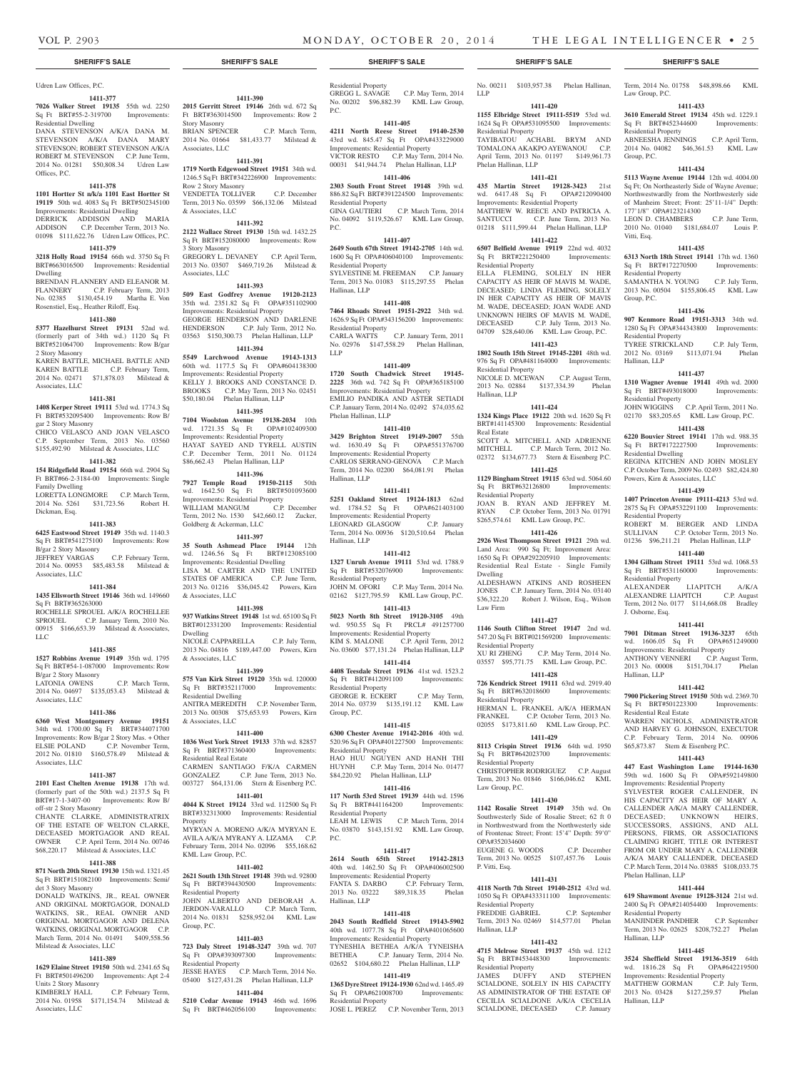**1411-390 2015 Gerritt Street 19146** 26th wd. 672 Sq Ft BRT#363014500 Improvements: Row 2

BRIAN SPENCER C.P. March Term, 2014 No. 01664 \$81,433.77 Milstead &

**1411-391 1719 North Edgewood Street 19151** 34th wd. 1246.5 Sq Ft BRT#342226900 Improvements:

VENDETTA TOLLIVER C.P. December Term, 2013 No. 03599 \$66,132.06 Milstead

**1411-392 2122 Wallace Street 19130** 15th wd. 1432.25 Sq Ft BRT#152080000 Improvements: Row

GREGORY L. DEVANEY C.P. April Term, 2013 No. 03507 \$469,719.26 Milstead &

**1411-393 509 East Godfrey Avenue 19120-2123**  35th wd. 2351.82 Sq Ft OPA#351102900 Improvements: Residential Property GEORGE HENDERSON AND DARLENE HENDERSON C.P. July Term, 2012 No. 03563 \$150,300.73 Phelan Hallinan, LLP **1411-394 5549 Larchwood Avenue 19143-1313**  60th wd. 1177.5 Sq Ft OPA#604138300 Improvements: Residential Property KELLY J. BROOKS AND CONSTANCE D. BROOKS C.P. May Term, 2013 No. 02451 \$50,180.04 Phelan Hallinan, LLP **1411-395 7104 Woolston Avenue 19138-2034** 10th wd. 1721.35 Sq Ft OPA#102409300 Improvements: Residential Property HAYAT SAYED AND TYRELL AUSTIN C.P. December Term, 2011 No. 01124 \$86,662.43 Phelan Hallinan, LLP **1411-396 7927 Temple Road 19150-2115** 50th wd. 1642.50 Sq Ft BRT#501093600 Improvements: Residential Property WILLIAM MANGUM C.P. December Term, 2012 No. 1530 \$42,660.12 Zucker,

Story Masonry

Associates, LLC

Row 2 Story Masonry

& Associates, LLC

3 Story Masonry

Associates, LLC

Goldberg & Ackerman, LLC

& Associates, LLC

& Associates, LLC

Residential Dwelling

Residential Real Estate

KML Law Group, P.C.

Residential Property

Residential Property

Group, P.C.

Property

& Associates, LLC

Dwelling

**1411-397 35 South Ashmead Place 19144** 12th wd. 1246.56 Sq Ft BRT#123085100 Improvements: Residential Dwelling LISA M. CARTER AND THE UNITED STATES OF AMERICA C.P. June Term, 2013 No. 01216 \$36,045.42 Powers, Kirn

**1411-398 937 Watkins Street 19148** 1st wd. 65100 Sq Ft BRT#012331200 Improvements: Residential

NICOLE CAPPARELLA C.P. July Term, 2013 No. 04816 \$189,447.00 Powers, Kirn

**1411-399 575 Van Kirk Street 19120** 35th wd. 120000 Sq Ft BRT#352117000 Improvements:

ANITRA MEREDITH C.P. November Term, 2013 No. 00308 \$75,653.93 Powers, Kirn

**1411-400 1036 West York Street 19133** 37th wd. 82857 Sq Ft BRT#371360400 Improvements:

CARMEN SANTIAGO F/K/A CARMEN GONZALEZ C.P. June Term, 2013 No. 003727 \$64,131.06 Stern & Eisenberg P.C. **1411-401 4044 K Street 19124** 33rd wd. 112500 Sq Ft BRT#332313000 Improvements: Residential

MYRYAN A. MORENO A/K/A MYRYAN E. AVILA A/K/A MYRANY A. LIZAMA C.P. February Term, 2014 No. 02096 \$55,168.62

**1411-402 2621 South 13th Street 19148** 39th wd. 92800 Sq Ft BRT#394430500 Improvements:

JOHN ALBERTO AND DEBORAH A. JERDON-VARALLO C.P. March Term, 2014 No. 01831 \$258,952.04 KML Law

**1411-403 723 Daly Street 19148-3247** 39th wd. 707 Sq Ft OPA#393097300 Improvements:

JESSE HAYES C.P. March Term, 2014 No. 05400 \$127,431.28 Phelan Hallinan, LLP **1411-404 5210 Cedar Avenue 19143** 46th wd. 1696 Sq Ft BRT#462056100 Improvements:

## Udren Law Offices, P.C.

**1411-377 7026 Walker Street 19135** 55th wd. 2250 Sq Ft BRT#55-2-319700 Improvements: Residential Dwelling

DANA STEVENSON A/K/A DANA M. STEVENSON A/K/A DANA MARY STEVENSON; ROBERT STEVENSON A/K/A ROBERT M. STEVENSON C.P. June Term, 2014 No. 01281 \$50,808.34 Udren Law Offices, P.C.

#### **1411-378**

**1101 Hortter St n/k/a 1101 East Hortter St 19119** 50th wd. 4083 Sq Ft BRT#502345100 Improvements: Residential Dwelling DERRICK ADDISON AND MARIA ADDISON C.P. December Term, 2013 No. 01098 \$111,622.76 Udren Law Offices, P.C.

#### **1411-379**

**3218 Holly Road 19154** 66th wd. 3750 Sq Ft BRT#663016500 Improvements: Residential Dwelling BRENDAN FLANNERY AND ELEANOR M. FLANNERY C.P. February Term, 2013

No. 02385 \$130,454.19 Martha E. Von Rosenstiel, Esq., Heather Riloff, Esq. **1411-380**

**5377 Hazelhurst Street 19131** 52nd wd. (formerly part of 34th wd.) 1120 Sq Ft BRT#521064700 Improvements: Row B/gar 2 Story Masonry KAREN BATTLE, MICHAEL BATTLE AND KAREN BATTLE C.P. February Term, 2014 No. 02471 \$71,878.03 Milstead & Associates, LLC

#### **1411-381**

**1408 Kerper Street 19111** 53rd wd. 1774.3 Sq Ft BRT#532095400 Improvements: Row B/ gar 2 Story Masonry CHICO VELASCO AND JOAN VELASCO

C.P. September Term, 2013 No. 03560 \$155,492.90 Milstead & Associates, LLC

#### **1411-382**

**154 Ridgefield Road 19154** 66th wd. 2904 Sq Ft BRT#66-2-3184-00 Improvements: Single Family Dwelling LORETTA LONGMORE C.P. March Term,

2014 No. 5261 \$31,723.56 Robert H. Dickman, Esq.

### **1411-383**

**6425 Eastwood Street 19149** 35th wd. 1140.3 Sq Ft BRT#541275100 Improvements: Row B/gar 2 Story Masonry

#### JEFFREY VARGAS C.P. February Term, 2014 No. 00953 \$85,483.58 Milstead & Associates, LLC

#### **1411-384**

**1435 Ellsworth Street 19146** 36th wd. 149660 Sq Ft BRT#365263000 ROCHELLE SPROUEL A/K/A ROCHELLEE SPROUEL C.P. January Term, 2010 No. 00915 \$166,653.39 Milstead & Associates, LLC

#### **1411-385**

Associates, LLC

**1527 Robbins Avenue 19149** 35th wd. 1795 Sq Ft BRT#54-1-087000 Improvements: Row

B/gar 2 Story Masonry LATONIA OWENS C.P. March Term, 2014 No. 04697 \$135,053.43 Milstead &

### **1411-386**

**6360 West Montgomery Avenue 19151**  34th wd. 1700.00 Sq Ft BRT#344071700 Improvements: Row B/gar 2 Story Mas. + Other ELSIE POLAND C.P. November Term, 2012 No. 01810 \$160,578.49 Milstead & Associates, LLC

#### **1411-387**

**2101 East Chelten Avenue 19138** 17th wd. (formerly part of the 50th wd.) 2137.5 Sq Ft BRT#17-1-3407-00 Improvements: Row B/ off-str 2 Story Masonry

CHANTE CLARKE, ADMINISTRATRIX OF THE ESTATE OF WELTON CLARKE, DECEASED MORTGAGOR AND REAL OWNER C.P. April Term, 2014 No. 00746 \$68,220.17 Milstead & Associates, LLC

#### **1411-388**

**871 North 20th Street 19130** 15th wd. 1321.45 Sq Ft BRT#151082100 Improvements: Semi/

det 3 Story Masonry DONALD WATKINS, JR., REAL OWNER AND ORIGINAL MORTGAGOR, DONALD WATKINS, SR., REAL OWNER AND ORIGINAL MORTGAGOR AND DELENA WATKINS, ORIGINAL MORTGAGOR C.P. March Term, 2014 No. 01491 \$409,558.56 Milstead & Associates, LLC

#### **1411-389**

**1629 Elaine Street 19150** 50th wd. 2341.65 Sq Ft BRT#501496200 Improvements: Apt 2-4 Units 2 Story Masonry

KIMBERLY HALL C.P. February Term, 2014 No. 01958 \$171,154.74 Milstead & Associates, LLC

### **SHERIFF'S SALE SHERIFF'S SALE SHERIFF'S SALE SHERIFF'S SALE SHERIFF'S SALE**

Residential Property GREGG L. SAVAGE C.P. May Term, 2014 No. 00202 \$96,882.39 KML Law Group, P.C.

#### **1411-405**

**4211 North Reese Street 19140-2530**  43rd wd. 845.47 Sq Ft OPA#433229000 Improvements: Residential Property VICTOR RESTO C.P. May Term, 2014 No. 00031 \$41,944.74 Phelan Hallinan, LLP

#### **1411-406**

**2303 South Front Street 19148** 39th wd. 886.82 Sq Ft BRT#391224500 Improvements: Residential Property GINA GAUTIERI C.P. March Term, 2014 No. 04092 \$119,526.67 KML Law Group, P.C.

#### **1411-407**

**2649 South 67th Street 19142-2705** 14th wd. 1600 Sq Ft OPA#406040100 Improvements: Residential Property SYLVESTINE M. FREEMAN C.P. January Term, 2013 No. 01083 \$115,297.55 Phelan Hallinan, LLP

#### **1411-408**

**7464 Rhoads Street 19151-2922** 34th wd. 1626.9 Sq Ft OPA#343156200 Improvements: Residential Property CARLA WATTS C.P. January Term, 2011 No. 02976 \$147,558.29 Phelan Hallinan, LLP

### **1411-409**

**1720 South Chadwick Street 19145- 2225** 36th wd. 742 Sq Ft OPA#365185100 Improvements: Residential Property EMILIO PANDIKA AND ASTER SETIADI C.P. January Term, 2014 No. 02492 \$74,035.62 Phelan Hallinan, LLP

#### **1411-410**

**3429 Brighton Street 19149-2007** 55th wd. 1630.49 Sq Ft OPA#551376700 Improvements: Residential Property CARLOS SERRANO-GENOVA C.P. March Term, 2014 No. 02200 \$64,081.91 Phelan Hallinan, LLP

### **1411-411**

**5251 Oakland Street 19124-1813** 62nd wd. 1784.52 Sq Ft OPA#621403100 Improvements: Residential Property LEONARD GLASGOW C.P. January Term, 2014 No. 00936 \$120,510.64 Phelan Hallinan, LLP

### **1411-412**

**1327 Unruh Avenue 19111** 53rd wd. 1788.9 Sq Ft BRT#532076900 Improvements: Residential Property JOHN M. OFORI C.P. May Term, 2014 No. 02162 \$127,795.59 KML Law Group, P.C. **1411-413**

**5023 North 8th Street 19120-3105** 49th wd. 950.55 Sq Ft PRCL# 491257700 Improvements: Residential Property KIM S. MALONE C.P. April Term, 2012 No. 03600 \$77,131.24 Phelan Hallinan, LLP **1411-414**

## **4408 Teesdale Street 19136** 41st wd. 1523.2

Sq Ft BRT#412091100 Improvements: Residential Property GEORGE R. ECKERT C.P. May Term, 2014 No. 03739 \$135,191.12 KML Law Group, P.C.

#### **1411-415**

**6300 Chester Avenue 19142-2016** 40th wd. 520.96 Sq Ft OPA#401227500 Improvements: Residential Property HAO HUU NGUYEN AND HANH THI HUYNH C.P. May Term, 2014 No. 01477 \$84,220.92 Phelan Hallinan, LLP

#### **1411-416**

**117 North 53rd Street 19139** 44th wd. 1596 Sq Ft BRT#441164200 Improvements: Residential Property LEAH M. LEWIS C.P. March Term, 2014 No. 03870 \$143,151.92 KML Law Group, P.C.

#### **1411-417**

**2614 South 65th Street 19142-2813**  40th wd. 1462.50 Sq Ft OPA#406002500 Improvements: Residential Property FANTA S. DARBO C.P. February Term,<br>2013 No. 03222 \$89.318.35 Phelan 2013 No. 03222 Hallinan, LLP

#### **1411-418**

**2043 South Redfield Street 19143-5902**  40th wd. 1077.78 Sq Ft OPA#401065600 Improvements: Residential Property TYNESHIA BETHEA A/K/A TYNEISHA BETHEA C.P. January Term, 2014 No. 02652 \$104,680.22 Phelan Hallinan, LLP

### **1411-419**

**1365 Dyre Street 19124-1930** 62nd wd. 1465.49 Sq Ft OPA#621008700 Improvements: Residential Property

JOSE L. PEREZ C.P. November Term, 2013

No. 00211 \$103,957.38 Phelan Hallinan, LLP

## **1411-420**

**1155 Elbridge Street 19111-5519** 53rd wd. 1624 Sq Ft OPA#531095500 Improvements: Residential Property TAYIBATOU ACHABL BRYM AND TOMALONA AKAKPO AYEWANOU C.P. April Term, 2013 No. 01197 \$149,961.73 Phelan Hallinan, LLP

## **1411-421**

**435 Martin Street 19128-3423** 21st wd. 6417.48 Sq Ft OPA#212090400 Improvements: Residential Property MATTHEW W. REECE AND PATRICIA A. SANTUCCI C.P. June Term, 2013 No. 01218 \$111,599.44 Phelan Hallinan, LLP

#### **1411-422**

**6507 Belfield Avenue 19119** 22nd wd. 4032 Sq Ft BRT#221250400 Improvements: Residential Property ELLA FLEMING, SOLELY IN HER CAPACITY AS HEIR OF MAVIS M. WADE, DECEASED; LINDA FLEMING, SOLELY IN HER CAPACITY AS HEIR OF MAVIS M. WADE, DECEASED; JOAN WADE AND UNKNOWN HEIRS OF MAVIS M. WADE, DECEASED C.P. July Term, 2013 No. 04709 \$28,640.06 KML Law Group, P.C.

#### **1411-423 1802 South 15th Street 19145-2201** 48th wd.

976 Sq Ft OPA#481164000 Improvements: Residential Property NICOLE D. MCEWAN C.P. August Term, 2013 No. 02884 \$137,334.39 Phelan Hallinan, LLP

### **1411-424**

**1324 Kings Place 19122** 20th wd. 1620 Sq Ft BRT#141145300 Improvements: Residential Real Estate SCOTT A. MITCHELL AND ADRIENNE MITCHELL C.P. March Term, 2012 No.

02372 \$134,677.73 Stern & Eisenberg P.C. **1411-425 1129 Bingham Street 19115** 63rd wd. 5064.60 Sq Ft BRT#632126800 Improvements: Residential Property JOAN B. RYAN AND JEFFREY M.

RYAN C.P. October Term, 2013 No. 01791 \$265,574.61 KML Law Group, P.C. **1411-426**

**2926 West Thompson Street 19121** 29th wd. Land Area: 990 Sq Ft; Improvement Area: 1650 Sq Ft OPA#292205910 Improvements: Residential Real Estate - Single Family Dwelling ALDESHAWN ATKINS AND ROSHEEN JONES C.P. January Term, 2014 No. 03140 \$36,322.20 Robert J. Wilson, Esq., Wilson Law Firm

### **1411-427**

**1146 South Clifton Street 19147** 2nd wd. 547.20 Sq Ft BRT#021569200 Improvements: Residential Property XU RI ZHENG C.P. May Term, 2014 No. 03557 \$95,771.75 KML Law Group, P.C.

### **1411-428**

**726 Kendrick Street 19111** 63rd wd. 2919.40 Sq Ft BRT#632018600 Improvements: Residential Property HERMAN L. FRANKEL A/K/A HERMAN FRANKEL C.P. October Term, 2013 No. 02055 \$173,811.60 KML Law Group, P.C.

#### **1411-429 8113 Crispin Street 19136** 64th wd. 1950

Sq Ft BRT#642023700 Improvements: Residential Property CHRISTOPHER RODRIGUEZ C.P. August Term, 2013 No. 01846 \$166,046.62 KML Law Group, P.C.

#### **1411-430 1142 Rosalie Street 19149** 35th wd. On

Southwesterly Side of Rosalie Street; 62 ft 0 in Northwestward from the Northwesterly side of Frontenac Street; Front: 15'4" Depth: 59'0" OPA#352034600 EUGENE G. WOODS C.P. December Term, 2013 No. 00525 \$107,457.76 Louis P. Vitti, Esq.

### **1411-431**

**4118 North 7th Street 19140-2512** 43rd wd. 1050 Sq Ft OPA#433311100 Improvements: Residential Property

### FREDDIE GABRIEL C.P. September Term, 2013 No. 02469 \$14,577.01 Phelan Hallinan, LLP

## **1411-432**

**4715 Melrose Street 19137** 45th wd. 1212 Sq Ft BRT#453448300 Improvements: Residential Property JAMES DUFFY AND STEPHEN SCIALDONE, SOLELY IN HIS CAPACITY AS ADMINISTRATOR OF THE ESTATE OF CECILIA SCIALDONE A/K/A CECELIA SCIALDONE, DECEASED C.P. January

Term, 2014 No. 01758 \$48,898.66 KML

**1411-433 3610 Emerald Street 19134** 45th wd. 1229.1 Sq Ft BRT#452344600 Improvements:

ABNEESHA JENNINGS C.P. April Term, 2014 No. 04082 \$46,361.53 KML Law

**1411-434 5113 Wayne Avenue 19144** 12th wd. 4004.00 Sq Ft; On Northeasterly Side of Wayne Avenue; Northwestwardly from the Northwesterly side of Manheim Street; Front: 25'11-1/4" Depth:

LEON D. CHAMBERS C.P. June Term, 2010 No. 01040 \$181,684.07 Louis P.

**1411-435 6313 North 18th Street 19141** 17th wd. 1360 Sq Ft BRT#172270500 Improvements:

SAMANTHA N. YOUNG C.P. July Term, 2013 No. 00504 \$155,806.45 KML Law

**1411-436 907 Kenmore Road 19151-3313** 34th wd. 1280 Sq Ft OPA#344343800 Improvements:

TYREE STRICKLAND C.P. July Term, 2012 No. 03169 \$113,071.94 Phelan

**1411-437 1310 Wagner Avenue 19141** 49th wd. 2000 Sq Ft BRT#493018000 Improvements:

JOHN WIGGINS C.P. April Term, 2011 No. 02170 \$83,205.65 KML Law Group, P.C. **1411-438 6220 Bouvier Street 19141** 17th wd. 988.35 Sq Ft BRT#172227500 Improvements:

REGINA KITCHEN AND JOHN MOSLEY C.P. October Term, 2009 No. 02493 \$82,424.80

**1411-439 1407 Princeton Avenue 19111-4213** 53rd wd. 2875 Sq Ft OPA#532291100 Improvements:

ROBERT M. BERGER AND LINDA SULLIVAN C.P. October Term, 2013 No. 01236 \$96,211.21 Phelan Hallinan, LLP **1411-440 1304 Gilham Street 19111** 53rd wd. 1068.53 Sq Ft BRT#531160000 Improvements:

ALEXANDER LIAPITCH A/K/A ALEXANDRE LIAPITCH C.P. August Term, 2012 No. 0177 \$114,668.08 Bradley

**1411-441 7901 Ditman Street 19136-3237** 65th wd. 1606.05 Sq Ft OPA#651249000 Improvements: Residential Property ANTHONY VENNERI C.P. August Term, 2013 No. 00008 \$151,704.17 Phelan

**1411-442 7900 Pickering Street 19150** 50th wd. 2369.70 Sq Ft BRT#501223300 Improvements:

WARREN NICHOLS, ADMINISTRATOR AND HARVEY G. JOHNSON, EXECUTOR C.P. February Term, 2014 No. 00906 \$65,873.87 Stern & Eisenberg P.C. **1411-443 447 East Washington Lane 19144-1630**  59th wd. 1600 Sq Ft OPA#592149800 Improvements: Residential Property SYLVESTER ROGER CALLENDER, IN HIS CAPACITY AS HEIR OF MARY A. CALLENDER A/K/A MARY CALLENDER, DECEASED; UNKNOWN HEIRS, SUCCESSORS, ASSIGNS, AND ALL PERSONS, FIRMS, OR ASSOCIATIONS CLAIMING RIGHT, TITLE OR INTEREST FROM OR UNDER MARY A. CALLENDER A/K/A MARY CALLENDER, DECEASED C.P. March Term, 2014 No. 03885 \$108,033.75

**1411-444 619 Shawmont Avenue 19128-3124** 21st wd. 2400 Sq Ft OPA#214054400 Improvements:

MANJINDER PANDHER C.P. September Term, 2013 No. 02625 \$208,752.27 Phelan

**1411-445 3524 Sheffield Street 19136-3519** 64th wd. 1816.28 Sq Ft OPA#642219500 Improvements: Residential Property MATTHEW GORMAN C.P. July Term, 2013 No. 03428 \$127,259.57 Phelan

Law Group, P.C.

Residential Property

177'1/8" OPA#123214300

Group, P.C.

Vitti, Esq.

Group, P.C.

Residential Property

Residential Property

Residential Property

Residential Dwelling

Residential Property

Residential Property

J. Osborne, Esq.

Hallinan, LLP

Residential Real Estate

Phelan Hallinan, LLP

Residential Property

Hallinan, LLP

Hallinan, LLP

Powers, Kirn & Associates, LLC

Hallinan, LLP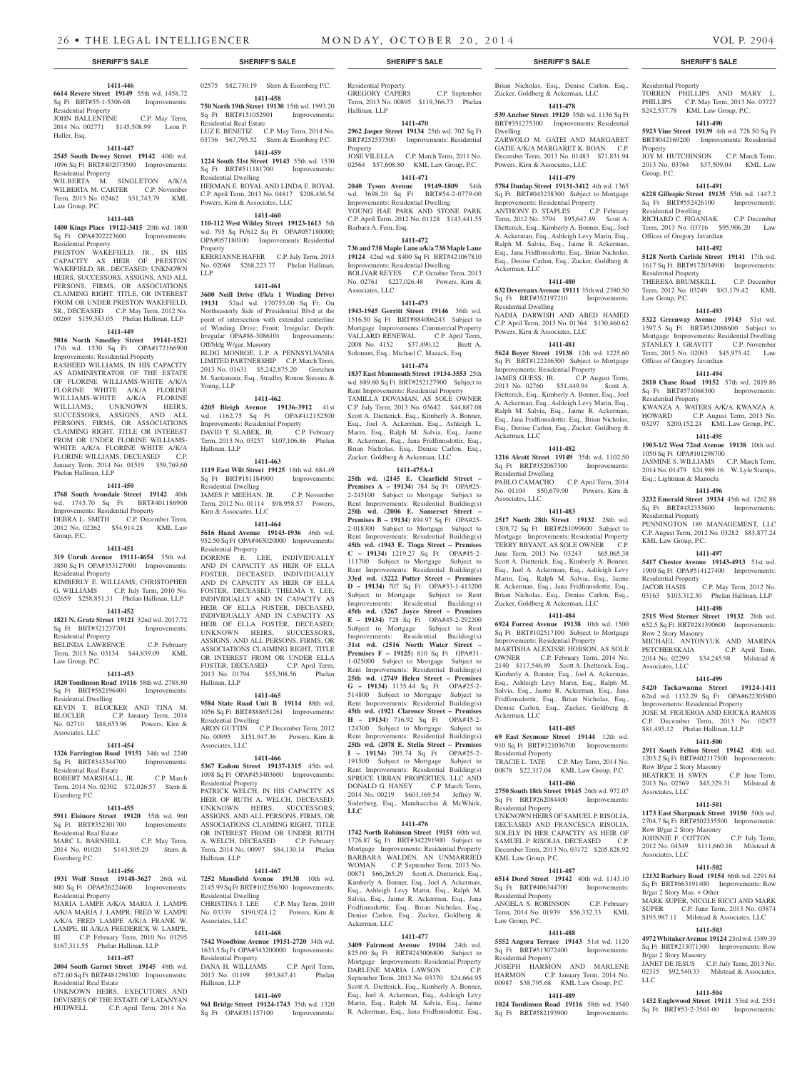#### **1411-446**

**6614 Revere Street 19149** 55th wd. 1458.72 Sq Ft BRT#55-1-5306-08 Improvements: Residential Property JOHN BALLENTINE C.P. May Term, 2014 No. 002771 \$145,508.99 Leon P. Haller, Esq.

#### **1411-447**

**2545 South Dewey Street 19142** 40th wd. 1096 Sq Ft BRT#402073500 Improvements: Residential Property WILBERTA M. SINGLETON A/K/A WILBERTA M. CARTER C.P. November Term, 2013 No. 02462 \$51,743.79 KML Law Group, P.C.

### **1411-448**

**1400 Kings Place 19122-3415** 20th wd. 1800 Sq Ft OPA#202223600 Improvements: Residential Property

PRESTON WAKEFIELD, JR., IN HIS CAPACITY AS HEIR OF PRESTON WAKEFIELD, SR., DECEASED; UNKNOWN HEIRS, SUCCESSORS, ASSIGNS, AND ALL PERSONS, FIRMS, OR ASSOCIATIONS CLAIMING RIGHT, TITLE, OR INTEREST FROM OR UNDER PRESTON WAKEFIELD, SR., DECEASED C.P. May Term, 2012 No. 00269 \$159,383.05 Phelan Hallinan, LLP

#### **1411-449**

**5016 North Smedley Street 19141-1521**  17th wd. 1530 Sq Ft OPA#172166900 Improvements: Residential Property

RASHEED WILLIAMS, IN HIS CAPACITY AS ADMINISTRATOR OF THE ESTATE OF FLORINE WILLIAMS-WHITE A/K/A FLORINE WHITE A/K/A FLORINE WILLIAMS-WHITE A/K/A FLORINE WILLIAMS; UNKNOWN HEIRS, SUCCESSORS, ASSIGNS, AND ALL PERSONS, FIRMS, OR ASSOCIATIONS CLAIMING RIGHT, TITLE OR INTEREST FROM OR UNDER FLORINE WILLIAMS-WHITE A/K/A FLORINE WHITE A/K/A FLORINE WILLIAMS, DECEASED C.P. January Term, 2014 No. 01519 \$59,769.60 Phelan Hallinan, LLP

#### **1411-450**

**1768 South Avondale Street 19142** 40th wd. 1745.70 Sq Ft BRT#401186900 Improvements: Residential Property DEBRA L. SMITH C.P. December Term, 2012 No. 02262 \$54,914.28 KML Law Group, P.C.

#### **1411-451**

**319 Unruh Avenue 19111-4654** 35th wd. 3850 Sq Ft OPA#353127000 Improvements: Residential Property

KIMBERLY E. WILLIAMS; CHRISTOPHER G. WILLIAMS C.P. July Term, 2010 No. 02659 \$258,851.31 Phelan Hallinan, LLP

## **1411-452**

**1821 N. Gratz Street 19121** 32nd wd. 2017.72 Sq Ft BRT#321237701 Improvements: Residential Property BELINDA LAWRENCE C.P. February Term, 2013 No. 03134 \$44,839.09 KML

Law Group, P.C. **1411-453**

**1820 Tomlinson Road 19116** 58th wd. 2788.80 Sq Ft BRT#582196400 Improvements: Residential Dwelling KEVIN T. BLOCKER AND TINA M. BLOCLER C.P. January Term, 2014 No. 02710 \$88,653.96 Powers, Kirn & Associates, LLC

#### **1411-454**

**1326 Farrington Road 19151** 34th wd. 2240 Sq Ft BRT#343344700 Improvements: Residential Real Estate ROBERT MARSHALL, JR. C.P. March Term, 2014 No. 02302 \$72,026.57 Stern & Eisenberg P.C.

#### **1411-455**

**5911 Elsinore Street 19120** 35th wd. 960 Sq Ft BRT#352301700 Improvements: Residential Real Estate MARC L. BARNHILL C.P. May Term,

2014 No. 01020 \$143,505.29 Stern & Eisenberg P.C.

### **1411-456**

**1931 Wolf Street 19148-3627** 26th wd. 800 Sq Ft OPA#26224600 Improvements: Residential Property

MARIA LAMPE A/K/A MARIA J. LAMPE A/K/A MARIA J. LAMPR; FRED W. LAMPE A/K/A FRED LAMPE A/K/A FRANK W. LAMPE, III A/K/A FREDERICK W. LAMPE, III C.P. February Term, 2010 No. 01295 \$167,311.55 Phelan Hallinan, LLP

#### **1411-457**

**2004 South Garnet Street 19145** 48th wd. 672.60 Sq Ft BRT#481298300 Improvements: Residential Real Estate

UNKNOWN HEIRS, EXECUTORS AND DEVISEES OF THE ESTATE OF LATANYAN<br>HUDWELL C P April Term 2014 No C.P. April Term, 2014 No. 02575 \$82,730.19 Stern & Eisenberg P.C. **1411-458**

**750 North 19th Street 19130** 15th wd. 1993.20 Sq Ft BRT#151052901 Improvements: Residential Real Estate LUZ E. BENETIZ C.P. May Term, 2014 No.

### 03736 \$67,795.52 Stern & Eisenberg P.C. **1411-459**

**1224 South 51st Street 19143** 55th wd. 1530 Sq Ft BRT#511181700 Improvements: Residential Dwelling HERMAN E. ROYAL AND LINDA E. ROYAL C.P. April Term, 2013 No. 04817 \$208,436.54

Powers, Kirn & Associates, LLC **1411-460 110-112 West Wildey Street 19123-1613** 5th

wd. 795 Sq Ft/612 Sq Ft OPA#057180000; OPA#057180100 Improvements: Residential Property KERRIANNE HAFER C.P. July Term, 2013 No. 02068 \$268,223.77 Phelan Hallinan, LLP

#### **1411-461**

**3600 Neill Drive (f/k/a 1 Winding Drive) 19131** 52nd wd. 170755.00 Sq Ft; On Northeasterly Side of Presidential Blvd at the point of intersection with extended centerline of Winding Drive; Front: Irregular, Depth: Irregular OPA#88-3086101 Improvements: Off/bldg W/gar. Masonry BLDG MONROE, L.P. A PENNSYLVANIA LIMITED PARTNERSHIP C.P. March Term, 2013 No. 01631 \$5,242,875.20 Gretchen M. Santamour, Esq., Stradley Ronon Stevens & Young, LLP

#### **1411-462**

**4205 Bleigh Avenue 19136-3912** 41st wd. 1162.75 Sq Ft OPA#412152500 Improvements: Residential Property<br>DAVID T. SLABEK, JR. C.P. February DAVID T. SLABEK, JR. Term, 2013 No. 03257 \$107,106.86 Phelan Hallinan, LLP

#### **1411-463**

**1119 East Wilt Street 19125** 18th wd. 684.49 Sq Ft BRT#181184900 Improvements: Residential Dwelling JAMES P. MEEHAN, JR. C.P. November Term, 2012 No. 01114 \$98,958.57 Powers, Kirn & Associates, LLC

### **1411-464**

### **5616 Hazel Avenue 19143-1936** 46th wd. 952.50 Sq Ft OPA#463020000 Improvements:

Residential Property DORENE E. LEE, INDIVIDUALLY AND IN CAPACITY AS HEIR OF ELLA FOSTER, DECEASED, INDIVIDUALLY AND IN CAPACITY AS HEIR OF ELLA FOSTER, DECEASED; THELMA Y. LEE, INDIVIDUALLY AND IN CAPACITY AS HEIR OF ELLA FOSTER, DECEASED, INDIVIDUALLY AND IN CAPACITY AS HEIR OF ELLA FOSTER, DECEASED; UNKNOWN HEIRS, SUCCESSORS, ASSIGNS, AND ALL PERSONS, FIRMS, OR ASSOCIATIONS CLAIMING RIGHT, TITLE OR INTEREST FROM OR UNDER ELLA<br>FOSTER, DECEASED C.P. April Term, FOSTER, DECEASED 2013 No. 01794 \$55,308.56 Phelan Hallinan, LLP

### **1411-465**

**9584 State Road Unit B 19114** 88th wd. 1056 Sq Ft BRT#888651261 Improvements: Residential Dwelling ARON GUTTIN C.P. December Term, 2012 No. 00995 \$151,947.36 Powers, Kirn & Associates, LLC

#### **1411-466**

**5367 Eadom Street 19137-1315** 45th wd. 1098 Sq Ft OPA#453403600 Improvements: Residential Property PATRICK WELCH, IN HIS CAPACITY AS HEIR OF RUTH A. WELCH, DECEASED; UNKNOWN HEIRS, SUCCESSORS, ASSIGNS, AND ALL PERSONS, FIRMS, OR ASSOCIATIONS CLAIMING RIGHT, TITLE OR INTEREST FROM OR UNDER RUTH<br>A. WELCH. DECEASED C.P. February A. WELCH, DECEASED Term, 2014 No. 00997 \$84,130.14 Phelan Hallinan, LLP

#### **1411-467**

**7252 Mansfield Avenue 19138** 10th wd. 2145.99 Sq Ft BRT#102356300 Improvements: Residential Dwelling C.P. May Term, 2010 No. 03339 \$190,924.12 Powers, Kirn & Associates, LLC

#### **1411-468**

**7542 Woodbine Avenue 19151-2720** 34th wd. 1633.5 Sq Ft OPA#343200000 Improvements: Residential Property DANA H. WILLIAMS C.P. April Term,<br>2013 No. 01199 \$93,847.41 Phelan 2013 No. 01199 Hallinan, LLP

### **1411-469**

**961 Bridge Street 19124-1743** 35th wd. 1320 Sq Ft OPA#351157100

### **SHERIFF'S SALE SHERIFF'S SALE SHERIFF'S SALE SHERIFF'S SALE SHERIFF'S SALE**

Residential Property GREGORY CAPERS C.P. September Term, 2013 No. 00895 \$119,366.73 Phelan Hallinan, LLP

## **1411-470**

**2962 Jasper Street 19134** 25th wd. 702 Sq Ft BRT#252537500 Improvements: Residential Property

JOSE VILELLA C.P. March Term, 2011 No. 02564 \$57,608.80 KML Law Group, P.C.

#### **1411-471 2040 Tyson Avenue 19149-1809** 54th

wd. 3698.20 Sq Ft BRT#54-2-0779-00 Improvements: Residential Dwelling YOUNG HAE PARK AND STONE PARK C.P. April Term, 2012 No. 01128 \$143,441.55 Barbara A. Fein, Esq.

#### **1411-472**

**736 and 738 Maple Lane a/k/a 738 Maple Lane 19124** 42nd wd. 8400 Sq Ft BRT#421067810 Improvements: Residential Dwelling

BOLIVAR REYES C.P. October Term, 2013 No. 02761 \$227,026.48 Powers, Kirn & Associates, LLC

#### **1411-473**

**1943-1945 Gerritt Street 19146** 36th wd. 1516.50 Sq Ft BRT#884006243 Subject to Mortgage Improvements: Commercial Property VALLARD RENEWAL C.P. April Term, 2008 No. 4152 \$37,490.12 Brett A. Solomon, Esq.; Michael C. Mazack, Esq.

### **1411-474**

**1837 East Monmouth Street 19134-3553** 25th wd. 889.80 Sq Ft BRT#252127900 Subject to Rent Improvements: Residential Property TAMILLA DOVAMAN, AS SOLE OWNER C.P. July Term, 2013 No. 03642 \$44,887.08 Scott A. Dietterick, Esq., Kimberly A. Bonner, Esq., Joel A. Ackerman, Esq., Ashleigh L. Marin, Esq., Ralph M. Salvia, Esq., Jaime R. Ackerman, Esq., Jana Fridfinnsdottir, Esq., Brian Nicholas, Esq., Denise Carlon, Esq., Zucker, Goldberg & Ackerman, LLC

#### **1411-475A-I**

**25th wd. (2145 E. Clearfield Street – Premises A – 19134)** 784 Sq Ft OPA#25- 2-245100 Subject to Mortgage Subject to Rent Improvements: Residential Building(s) **25th wd. (2006 E. Somerset Street – Premises B – 19134)** 894.97 Sq Ft OPA#25- 2-018300 Subject to Mortgage Subject to Rent Improvements: Residential Building(s) **45th wd. (1943 E. Tioga Street – Premises C – 19134)** 1219.27 Sq Ft OPA#45-2- 111700 Subject to Mortgage Subject to Rent Improvements: Residential Building(s) **33rd wd. (3222 Potter Street – Premises D – 19134)** 707 Sq Ft OPA#33-1-413200 Subject to Mortgage Subject to Rent Improvements: Residential Building(s) **45th wd. (3267 Joyce Street – Premises E – 19134)** 728 Sq Ft OPA#45-2-292200 Subject to Mortgage Subject to Rent Improvements: Residential Building(s) **31st wd. (2516 North Water Street – Premises F – 19125)** 810 Sq Ft OPA#31- 1-025000 Subject to Mortgage Subject to Rent Improvements: Residential Building(s) **25th wd. (2749 Helen Street – Premises G – 19134)** 1135.44 Sq Ft OPA#25-2- 514800 Subject to Mortgage Subject to Rent Improvements: Residential Building(s) **45th wd. (1921 Clarence Street – Premises H – 19134)** 716.92 Sq Ft OPA#45-2- 124300 Subject to Mortgage Subject to Rent Improvements: Residential Building(s) **25th wd. (2078 E. Stella Street – Premises I – 19134)** 705.74 Sq Ft OPA#25-2- 191500 Subject to Mortgage Subject to Rent Improvements: Residential Building(s) SPRUCE URBAN PROPERTIES, LLC AND DONALD G. HANEY C.P. March Term, 2014 No. 00219 \$603,169.54 Jeffrey W. Soderberg, Esq., Mandracchia & McWhirk,

#### **1411-476**

**LLC**

**1742 North Robinson Street 19151** 60th wd. 1726.87 Sq Ft BRT#342291900 Subject to Mortgage Improvements: Residential Property BARBARA WALDEN, AN UNMARRIED WOMAN C.P. September Term, 2013 No. 00871 \$66,265.29 Scott A. Dietterick, Esq., Kimberly A. Bonner, Esq., Joel A. Ackerman, Esq., Ashleigh Levy Marin, Esq., Ralph M. Salvia, Esq., Jaime R. Ackerman, Esq., Jana Fridfinnsdottir, Esq., Brian Nicholas, Esq., Denise Carlon, Esq., Zucker, Goldberg & Ackerman, LLC

### **1411-477**

**3409 Fairmont Avenue 19104** 24th wd. 825.00 Sq Ft BRT#243006800 Subject to Mortgage Improvements: Residential Property DARLENE MARIA LAWSON C.P. September Term, 2013 No. 03370 \$24,664.95 Scott A. Dietterick, Esq., Kimberly A. Bonner, Esq., Joel A. Ackerman, Esq., Ashleigh Levy Marin, Esq., Ralph M. Salvia, Esq., Jaime R. Ackerman, Esq., Jana Fridfinnsdottir, Esq.,

Brian Nicholas, Esq., Denise Carlon, Esq., Zucker, Goldberg & Ackerman, LLC **1411-478**

Residential Property

Property

Group, P.C.

Residential Dwelling

Residential Property

Law Group, P.C.

Offices of Gregory Javardian

Offices of Gregory Javardian

1050 Sq Ft OPA#101298700

Esq.; Lightman & Manochi

Residential Property

KML Law Group, P.C.

Residential Property

Row 2 Story Masonry

BEATRICE H. SWEN

Row B/gar 2 Story Masonry

B/gar 2 Story Mas. + Other

B/gar 2 Story Masonry

LLC

Associates, LLC

Associates, LLC

Associates, LLC

Residential Property

TORREN PHILLIPS AND MARY L. PHILLIPS C.P. May Term, 2013 No. 03727 \$242,537.78 KML Law Group, P.C. **1411-490 5923 Vine Street 19139** 4th wd. 728.50 Sq Ft BRT#042169200 Improvements: Residential

JOY M. HUTCHINSON C.P. March Term, 2013 No. 03764 \$37,509.04 KML Law

**1411-491 6228 Gillespie Street 19135** 55th wd. 1447.2 Sq Ft BRT#552426100 Improvements:

RICHARD C. FIGANIAK C.P. December Term, 2013 No. 03716 \$95,906.20 Law

**1411-492 5128 North Carlisle Street 19141** 17th wd. 1617 Sq Ft BRT#172034900 Improvements:

THERESA BRUMSKILL C.P. December Term, 2012 No. 03249 \$83,179.42 KML

**1411-493 5322 Greenway Avenue 19143** 51st wd. 1597.5 Sq Ft BRT#512088600 Subject to Mortgage Improvements: Residential Dwelling STANLEY J. GRAVITT C.P. November Term, 2013 No. 02093 \$45,975.42 Law

**1411-494 2810 Chase Road 19152** 57th wd. 2819.86 Sq Ft BRT#571068300 Improvements:

KWANZA A. WATERS A/K/A KWANZA A. HOWARD C.P. August Term, 2013 No. 03297 \$200,152.24 KML Law Group, P.C. **1411-495 1903-1/2 West 72nd Avenue 19138** 10th wd.

JASMINE S. WILLIAMS C.P. March Term, 2014 No. 01479 \$24,989.16 W. Lyle Stamps,

**1411-496 3232 Emerald Street 19134** 45th wd. 1262.88 Sq Ft BRT#452333600 Improvements:

PENNINGTON 189 MANAGEMENT, LLC C.P. August Term, 2012 No. 03282 \$83,877.24

**1411-497 5417 Chester Avenue 19143-4913** 51st wd. 1900 Sq Ft OPA#514127400 Improvements:

JACOB HASIS C.P. May Term, 2012 No. 03163 \$103,312.30 Phelan Hallinan, LLP **1411-498 2515 West Sterner Street 19132** 28th wd. 652.5 Sq Ft BRT#281390600 Improvements:

MICHAEL ANTONYUK AND MARINA PETCHERSKAIA C.P. April Term, 2014 No. 02299 \$34,245.98 Milstead &

**1411-499 5420 Tackawanna Street 19124-1411**  62nd wd. 1132.29 Sq Ft OPA#622305800 Improvements: Residential Property JOSE M. FIGUEROA AND ERICKA RAMOS C.P. December Term, 2013 No. 02877 \$81,493.12 Phelan Hallinan, LLP **1411-500 2911 South Felton Street 19142** 40th wd. 1203.2 Sq Ft BRT#402117500 Improvements: Row B/gar 2 Story Masonry<br>BEATRICE H. SWEN C.P. June Term,

2013 No. 02569 \$45,329.31 Milstead &

**1411-501 1173 East Sharpnack Street 19150** 50th wd. 2704.7 Sq Ft BRT#502335500 Improvements:

JOHNNIE F. COTTON C.P. July Term, 2012 No. 04349 \$111,660.16 Milstead &

**1411-502 12132 Barbary Road 19154** 66th wd. 2291.64 Sq Ft BRT#663191400 Improvements: Row

MARK SUPER, NICOLE RICCI AND MARK SUPER C.P. June Term, 2013 No. 03874 \$195,987.11 Milstead & Associates, LLC **1411-503 4972 Whitaker Avenue 19124** 23rd wd. 1389.39 Sq Ft BRT#233071300 Improvements: Row

JANET DE JESUS C.P. July Term, 2013 No. 02315 \$92,540.33 Milstead & Associates,

**1411-504 1432 Englewood Street 19111** 53rd wd. 2351 Sq Ft BRT#53-2-3561-00 Improvements:

**539 Anchor Street 19120** 35th wd. 1136 Sq Ft BRT#351275300 Improvements: Residential

Dwelling ZARWOLO M. GATEI AND MARGARET GATIE A/K/A MARGARET K. BOAN C.P. December Term, 2013 No. 01483 \$71,831.94 Powers, Kirn & Associates, LLC

#### **1411-479 5784 Dunlap Street 19131-3412** 4th wd. 1365

Sq Ft BRT#043238300 Subject to Mortgage Improvements: Residential Property<br>ANTHONY D. STAPLES C.P. February ANTHONY D. STAPLES Term, 2012 No. 3794 \$95,647.89 Scott A. Dietterick, Esq., Kimberly A. Bonner, Esq., Joel A. Ackerman, Esq., Ashleigh Levy Marin, Esq., Ralph M. Salvia, Esq., Jaime R. Ackerman, Esq., Jana Fridfinnsdottir, Esq., Brian Nicholas, Esq., Denise Carlon, Esq., Zucker, Goldberg & Ackerman, LLC

### **1411-480**

**632 Devereaux Avenue 19111** 35th wd. 2380.50 Sq Ft BRT#352197210 Improvements: Residential Dwelling

NADIA DARWISH AND ABED HAMED C.P. April Term, 2013 No. 01364 \$130,460.62 Powers, Kirn & Associates, LLC

### **1411-481**

**5624 Boyer Street 19138** 12th wd. 1225.60 Sq Ft BRT#122246300 Subject to Mortgage Improvements: Residential Property

JAMES GUESS, JR. C.P. August Term, 2013 No. 02760 \$51,449.94 Scott A. Dietterick, Esq., Kimberly A. Bonner, Esq., Joel A. Ackerman, Esq., Ashleigh Levy Marin, Esq., Ralph M. Salvia, Esq., Jaime R. Ackerman, Esq., Jana Fridfinnsdottir, Esq., Brian Nicholas, Esq., Denise Carlon, Esq., Zucker, Goldberg & Ackerman, LLC

### **1411-482**

**1216 Alcott Street 19149** 35th wd. 1102.50 Sq Ft BRT#352067300 Improvements: Residential Dwelling PABLO CAMACHO C.P. April Term, 2014 No. 01104 \$50,679.90 Powers, Kirn &

Associates, LLC **1411-483**

**2517 North 28th Street 19132** 28th wd. 1308.72 Sq Ft BRT#281099600 Subject to Mortgage Improvements: Residential Property TERRY BRYANT, AS SOLE OWNER C.P. June Term, 2013 No. 03243 \$65,065.38 Scott A. Dietterick, Esq., Kimberly A. Bonner, Esq., Joel A. Ackerman, Esq., Ashleigh Levy Marin, Esq., Ralph M. Salvia, Esq., Jaime R. Ackerman, Esq., Jana Fridfinnsdottir, Esq., Brian Nicholas, Esq., Denise Carlon, Esq., Zucker, Goldberg & Ackerman, LLC

## **1411-484**

**6924 Forrest Avenue 19138** 10th wd. 1500 Sq Ft BRT#102517100 Subject to Mortgage Improvements: Residential Property

MARTISHA ALEXISSE HOBSON, AS SOLE OWNER C.P. February Term, 2014 No. 2140 \$117,546.89 Scott A. Dietterick, Esq., Kimberly A. Bonner, Esq., Joel A. Ackerman, Esq., Ashleigh Levy Marin, Esq., Ralph M. Salvia, Esq., Jaime R. Ackerman, Esq., Jana Fridfinnsdottir, Esq., Brian Nicholas, Esq., Denise Carlon, Esq., Zucker, Goldberg & Ackerman, LLC

#### **1411-485**

**69 East Seymour Street 19144** 12th wd. 910 Sq Ft BRT#121036700 Improvements: Residential Property TRACIE L. TATE C.P. May Term, 2014 No.

00878 \$22,317.04 KML Law Group, P.C. **1411-486**

UNKNOWN HEIRS OF SAMUEL P. RISOLIA, DECEASED AND FRANCESCA RISOLIA, SOLELY IN HER CAPACITY AS HEIR OF SAMUEL P. RISOLIA, DECEASED C.P. December Term, 2013 No. 03172 \$205,828.92

**1411-487 6514 Dorel Street 19142** 40th wd. 1143.10 Sq Ft BRT#406344700 Improvements:

ANGELA S. ROBINSON C.P. February Term, 2014 No. 01939 \$56,332.33 KML

**1411-488 5552 Angora Terrace 19143** 51st wd. 1120 Sq Ft BRT#513072400 Improvements:

JOSEPH HARMON AND MARLENE HARMON C.P. January Term, 2014 No. 00987 \$38,795.68 KML Law Group, P.C. **1411-489 1024 Tomlinson Road 19116** 58th wd. 3540 Sq Ft BRT#582193900 Improvements:

#### **2750 South 18th Street 19145** 26th wd. 972.07 Sq Ft BRT#262084400 Improvements:

Residential Property

KML Law Group, P.C.

Residential Property

Residential Property

Law Group, P.C.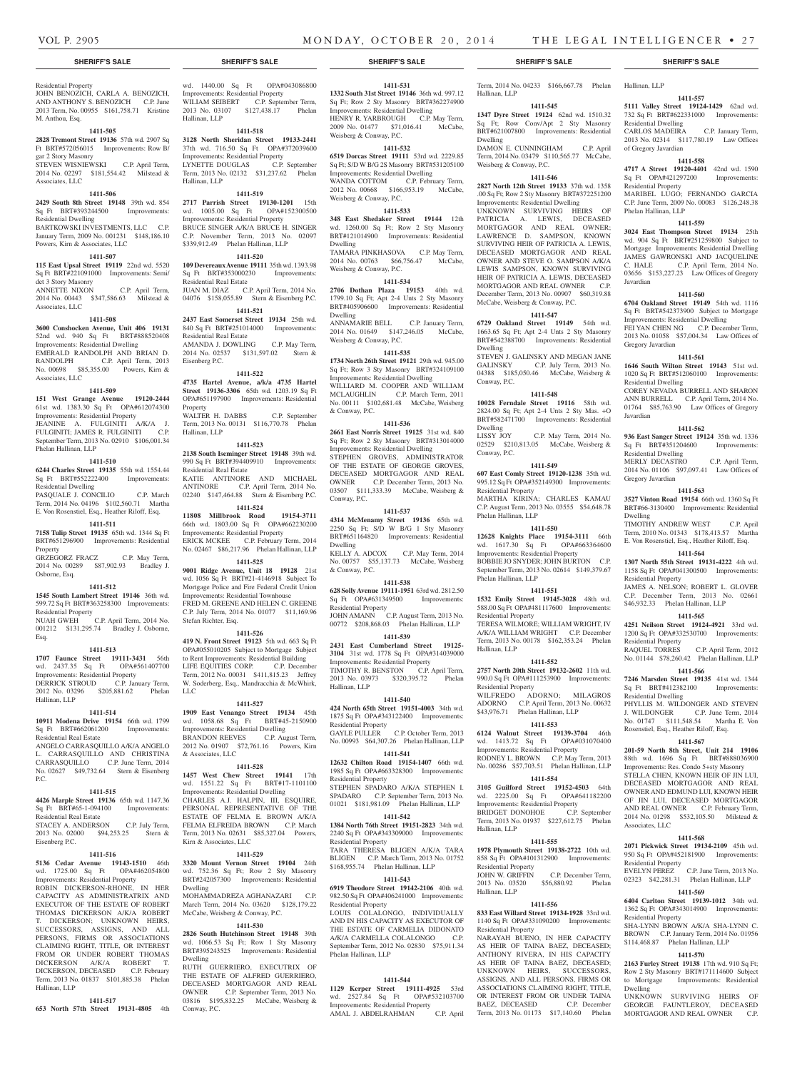**1411-545 1347 Dyre Street 19124** 62nd wd. 1510.32 Sq Ft; Row Conv/Apt 2 Sty Masonry BRT#621007800 Improvements: Residential

DAMON E. CUNNINGHAM C.P. April Term, 2014 No. 03479 \$110,565.77 McCabe,

**1411-546 2827 North 12th Street 19133** 37th wd. 1358 .00 Sq Ft; Row 2 Sty Masonry BRT#372251200 Improvements: Residential Dwelling UNKNOWN SURVIVING HEIRS OF PATRICIA A. LEWIS, DECEASED MORTGAGOR AND REAL OWNER; LAWRENCE D. SAMPSON, KNOWN SURVIVING HEIR OF PATRICIA A. LEWIS, DECEASED MORTGAGOR AND REAL OWNER AND STEVE O. SAMPSON A/K/A LEWIS SAMPSON, KNOWN SURVIVING HEIR OF PATRICIA A. LEWIS, DECEASED MORTGAGOR AND REAL OWNER C.P. December Term, 2013 No. 00907 \$60,319.88 McCabe, Weisberg & Conway, P.C. **1411-547 6729 Oakland Street 19149** 54th wd. 1663.65 Sq Ft; Apt 2-4 Unts 2 Sty Masonry BRT#542388700 Improvements: Residential

STEVEN J. GALINSKY AND MEGAN JANE GALINSKY C.P. July Term, 2013 No. 04388 \$185,050.46 McCabe, Weisberg &

**1411-548 10028 Ferndale Street 19116** 58th wd. 2824.00 Sq Ft; Apt 2-4 Unts 2 Sty Mas. +O BRT#582471700 Improvements: Residential

02529 \$210,813.05 McCabe, Weisberg &

**1411-549 607 East Comly Street 19120-1238** 35th wd. 995.12 Sq Ft OPA#352149300 Improvements:

MARTHA KIRINA; CHARLES KAMAU C.P. August Term, 2013 No. 03555 \$54,648.78

**1411-550 12628 Knights Place 19154-3111** 66th wd. 1617.30 Sq Ft OPA#663364600 Improvements: Residential Property BOBBIE JO SNYDER; JOHN BURTON C.P. September Term, 2013 No. 02614 \$149,379.67

**1411-551 1532 Emily Street 19145-3028** 48th wd. 588.00 Sq Ft OPA#481117600 Improvements:

TERESA WILMORE; WILLIAM WRIGHT, IV A/K/A WILLIAM WRIGHT C.P. December Term, 2013 No. 00178 \$162,353.24 Phelan

**1411-552 2757 North 20th Street 19132-2602** 11th wd. 990.0 Sq Ft OPA#111253900 Improvements:

WILFREDO ADORNO; MILAGROS ADORNO C.P. April Term, 2013 No. 00632 \$43,976.71 Phelan Hallinan, LLP **1411-553 6124 Walnut Street 19139-3704** 46th wd. 1413.72 Sq Ft OPA#031070400 Improvements: Residential Property RODNEY L. BROWN C.P. May Term, 2013 No. 00286 \$57,703.51 Phelan Hallinan, LLP **1411-554 3105 Guilford Street 19152-4503** 64th wd. 2225.00 Sq Ft OPA#641182200 Improvements: Residential Property BRIDGET DONOHOE C.P. September Term, 2013 No. 01937 \$227,612.75 Phelan

**1411-555 1978 Plymouth Street 19138-2722** 10th wd. 858 Sq Ft OPA#101312900 Improvements:

JOHN W. GRIFFIN C.P. December Term, 2013 No. 03520 \$56,880.92 Phelan

**1411-556 833 East Willard Street 19134-1928** 33rd wd. 1140 Sq Ft OPA#331090200 Improvements:

NARAYAH BUENO, IN HER CAPACITY AS HEIR OF TAINA BAEZ, DECEASED; ANTHONY RIVERA, IN HIS CAPACITY AS HEIR OF TAINA BAEZ, DECEASED; UNKNOWN HEIRS, SUCCESSORS, ASSIGNS, AND ALL PERSONS, FIRMS OR ASSOCIATIONS CLAIMING RIGHT, TITLE, OR INTEREST FROM OR UNDER TAINA BAEZ, DECEASED C.P. December Term, 2013 No. 01173 \$17,140.60 Phelan

C.P. May Term, 2014 No.

Hallinan, LLP

Dwelling

Dwelling

Conway, P.C.

Dwelling<br>LISSY JOY

Conway, P.C.

Residential Property

Phelan Hallinan, LLP

Phelan Hallinan, LLP

Residential Property

Residential Property

Hallinan, LLP

Residential Property

Hallinan, LLP

Residential Property

Hallinan, LLP

Weisberg & Conway, P.C.

Term, 2014 No. 04233 \$166,667.78 Phelan Hallinan, LLP

**1411-557 5111 Valley Street 19124-1429** 62nd wd. 732 Sq Ft BRT#622331000 Improvements:

CARLOS MADEIRA C.P. January Term, 2013 No. 02314 \$117,780.19 Law Offices

**1411-558 4717 A Street 19120-4401** 42nd wd. 1590 Sq Ft OPA#421297200 Improvements:

MARIBEL LUGO; FERNANDO GARCIA C.P. June Term, 2009 No. 00083 \$126,248.38

**1411-559 3024 East Thompson Street 19134** 25th wd. 904 Sq Ft BRT#251259800 Subject to Mortgage Improvements: Residential Dwelling JAMES GAWRONSKI AND JACQUELINE C. HALE C.P. April Term, 2014 No. 03656 \$153,227.23 Law Offices of Gregory

**1411-560 6704 Oakland Street 19149** 54th wd. 1116 Sq Ft BRT#542373900 Subject to Mortgage Improvements: Residential Dwelling FEI YAN CHEN NG C.P. December Term, 2013 No. 01058 \$57,004.34 Law Offices of

**1411-561 1646 South Wilton Street 19143** 51st wd. 1020 Sq Ft BRT#512060100 Improvements:

COREY NEVADA BURRELL AND SHARON ANN BURRELL C.P. April Term, 2014 No. 01764 \$85,763.90 Law Offices of Gregory

**1411-562 936 East Sanger Street 19124** 35th wd. 1336 Sq Ft BRT#351204600 Improvements:

MERLY DECASTRO C.P. April Term, 2014 No. 01106 \$97,097.41 Law Offices of

**1411-563 3527 Vinton Road 19154** 66th wd. 1360 Sq Ft BRT#66-3130400 Improvements: Residential

TIMOTHY ANDREW WEST C.P. April Term, 2010 No. 01343 \$178,413.57 Martha E. Von Rosenstiel, Esq., Heather Riloff, Esq. **1411-564 1307 North 55th Street 19131-4222** 4th wd. 1158 Sq Ft OPA#041300500 Improvements:

JAMES A. NELSON; ROBERT L. GLOVER C.P. December Term, 2013 No. 02661 \$46,932.33 Phelan Hallinan, LLP **1411-565 4251 Neilson Street 19124-4921** 33rd wd. 1200 Sq Ft OPA#332530700 Improvements:

RAQUEL TORRES C.P. April Term, 2012 No. 01144 \$78,260.42 Phelan Hallinan, LLP **1411-566 7246 Marsden Street 19135** 41st wd. 1344 Sq Ft BRT#412382100 Improvements:

PHYLLIS M. WILDONGER AND STEVEN J. WILDONGER C.P. June Term, 2014 No. 01747 \$111,548.54 Martha E. Von Rosenstiel, Esq., Heather Riloff, Esq. **1411-567 201-59 North 8th Street, Unit 214 19106**  88th wd. 1696 Sq Ft BRT#888036900 Improvements: Res. Condo 5+sty Masonry STELLA CHEN, KNOWN HEIR OF JIN LUI, DECEASED MORTGAGOR AND REAL OWNER AND EDMUND LUI, KNOWN HEIR OF JIN LUI, DECEASED MORTGAGOR AND REAL OWNER C.P. February Term, 2014 No. 01298 \$532,105.50 Milstead &

**1411-568 2071 Pickwick Street 19134-2109** 45th wd. 950 Sq Ft OPA#452181900 Improvements:

EVELYN PEREZ C.P. June Term, 2013 No. 02323 \$42,281.31 Phelan Hallinan, LLP **1411-569 6404 Carlton Street 19139-1012** 34th wd. 1362 Sq Ft OPA#343014900 Improvements:

SHA-LYNN BROWN A/K/A SHA-LYNN C. BROWN C.P. January Term, 2014 No. 01956 \$114,468.87 Phelan Hallinan, LLP **1411-570 2163 Furley Street 19138** 17th wd. 910 Sq Ft; Row 2 Sty Masonry BRT#171114600 Subject to Mortgage Improvements: Residential

UNKNOWN SURVIVING HEIRS OF GEORGE FAUNTLEROY, DECEASED MORTGAGOR AND REAL OWNER

Residential Dwelling

of Gregory Javardian

Residential Property

Phelan Hallinan, LLP

Javardian

Gregory Javardian

Residential Dwelling

Residential Dwelling

Gregory Javardian

Residential Property

Residential Property

Residential Dwelling

Associates, LLC

Residential Property

Residential Property

Dwelling

Dwelling

Javardian

#### Residential Property JOHN BENOZICH, CARLA A. BENOZICH, AND ANTHONY S. BENOZICH C.P. June 2013 Term, No. 00955 \$161,758.71 Kristine M. Anthou, Esq.

#### **1411-505**

**2828 Tremont Street 19136** 57th wd. 2907 Sq Ft BRT#572056015 Improvements: Row B/ gar 2 Story Masonry STEVEN WISNIEWSKI C.P. April Term,

2014 No. 02297 \$181,554.42 Milstead & Associates, LLC

#### **1411-506**

**2429 South 8th Street 19148** 39th wd. 854 Sq Ft BRT#393244500 Improvements: Residential Dwelling

BARTKOWSKI INVESTMENTS, LLC C.P. January Term, 2009 No. 001231 \$148,186.10 Powers, Kirn & Associates, LLC

### **1411-507**

**115 East Upsal Street 19119** 22nd wd. 5520 Sq Ft BRT#221091000 Improvements: Semi/ det 3 Story Masonry

ANNETTE NIXON C.P. April Term, 2014 No. 00443 \$347,586.63 Milstead & Associates, LLC

#### **1411-508**

**3600 Conshocken Avenue, Unit 406 19131**  52nd wd. 940 Sq Ft BRT#888520408 Improvements: Residential Dwelling EMERALD RANDOLPH AND BRIAN D. RANDOLPH C.P. April Term, 2013 No. 00698 \$85,355.00 Powers, Kirn & Associates, LLC

#### **1411-509**

**151 West Grange Avenue 19120-2444**  61st wd. 1383.30 Sq Ft OPA#612074300

Improvements: Residential Property JEANINE A. FULGINITI A/K/A J. FULGINITI; JAMES R. FULGINITI C.P. September Term, 2013 No. 02910 \$106,001.34 Phelan Hallinan, LLP

#### **1411-510**

**6244 Charles Street 19135** 55th wd. 1554.44 Sq Ft BRT#552222400 Improvements: Residential Dwelling Residential Dweinig<br>PASQUALE J. CONCILIO C.P. March

Term, 2014 No. 04196 \$102,560.71 Martha E. Von Rosenstiel, Esq., Heather Riloff, Esq.

### **1411-511**

**7158 Tulip Street 19135** 65th wd. 1344 Sq Ft BRT#651296900 Improvements: Residential Property GRZEGORZ FRACZ C.P. May Term,

2014 No. 00289 \$87,902.93 Bradley J. Osborne, Esq.

#### **1411-512**

**1545 South Lambert Street 19146** 36th wd. 599.72 Sq Ft BRT#363258300 Improvements: Residential Property<br>NUAH GWEH C.P. April Term, 2014 No. NUAH GWEH C.P. April Term, 2014 No.

001212 \$131,295.74 Bradley J. Osborne, Esq.

### **1411-513**

**1707 Faunce Street 19111-3431** 56th wd. 2437.35 Sq Ft OPA#561407700 Improvements: Residential Property DERRICK STROUD C.P. January Term, 2012 No. 03296 \$205,881.62 Phelan

### Hallinan, LLP

**1411-514**

#### **10911 Modena Drive 19154** 66th wd. 1799 Sq Ft BRT#662061200 Improvements: Residential Real Estate

ANGELO CARRASQUILLO A/K/A ANGELO L. CARRASQUILLO AND CHRISTINA CARRASQUILLO C.P. June Term, 2014 No. 02627 \$49,732.64 Stern & Eisenberg P.C.

#### **1411-515**

**4426 Marple Street 19136** 65th wd. 1147.36 Sq Ft BRT#65-1-094100 Improvements: Residential Real Estate

STACEY A. ANDERSON C.P. July Term, 2013 No. 02000 \$94,253.25 Stern & Eisenberg P.C.

#### **1411-516**

**5136 Cedar Avenue 19143-1510** 46th wd. 1725.00 Sq Ft OPA#462054800 Improvements: Residential Property ROBIN DICKERSON-RHONE, IN HER CAPACITY AS ADMINISTRATRIX AND EXECUTOR OF THE ESTATE OF ROBERT THOMAS DICKERSON A/K/A ROBERT DICKERSON; UNKNOWN HEIRS, SUCCESSORS, ASSIGNS, AND ALL PERSONS, FIRMS OR ASSOCIATIONS CLAIMING RIGHT, TITLE, OR INTEREST FROM OR UNDER ROBERT THOMAS DICKERSON A/K/A ROBERT T. DICKERSON, DECEASED C.P. February Term, 2013 No. 01837 \$101,885.38 Phelan Hallinan, LLP

#### **1411-517**

**653 North 57th Street 19131-4805** 4th

wd. 1440.00 Sq Ft OPA#043086800 Improvements: Residential Property WILIAM SEIBERT C.P. September Term, 2013 No. 03107 \$127,438.17 Phelan

## Hallinan, LLP

**1411-518 3128 North Sheridan Street 19133-2441**  37th wd. 716.50 Sq Ft OPA#372039600 Improvements: Residential Property LYNETTE DOUGLAS C.P. September Term, 2013 No. 02132 \$31,237.62 Phelan Hallinan, LLP

#### **1411-519**

**2717 Parrish Street 19130-1201** 15th wd. 1005.00 Sq Ft OPA#152300500 Improvements: Residential Property BRUCE SINGER A/K/A BRUCE H. SINGER C.P. November Term, 2013 No. 02097 \$339,912.49 Phelan Hallinan, LLP

#### **1411-520**

**109 Devereaux Avenue 19111** 35th wd. 1393.98<br>
Sq Ft BRT#353000230 Improvements: Sq Ft BRT#353000230 Residential Real Estate JUAN M. DIAZ C.P. April Term, 2014 No. 04076 \$158,055.89 Stern & Eisenberg P.C.

### **1411-521**

**2437 East Somerset Street 19134** 25th wd. 840 Sq Ft BRT#251014000 Improvements: Residential Real Estate AMANDA J. DOWLING C.P. May Term, 2014 No. 02537 \$131,597.02 Stern & Eisenberg P.C.

#### **1411-522**

**4735 Hartel Avenue, a/k/a 4735 Hartel Street 19136-3306** 65th wd. 1203.19 Sq Ft OPA#651197900 Improvements: Residential Property

WALTER H. DABBS C.P. September Term, 2013 No. 00131 \$116,770.78 Phelan Hallinan, LLP

### **1411-523**

**2138 South Iseminger Street 19148** 39th wd. 990 Sq Ft BRT#394409910 Improvements: Residential Real Estate KATIE ANTINORE AND MICHAEL ANTINORE C.P. April Term, 2014 No. 02240 \$147,464.88 Stern & Eisenberg P.C. **1411-524**

**11808 Millbrook Road 19154-3711**  66th wd. 1803.00 Sq Ft OPA#662230200 Improvements: Residential Property ERICK MCKEE C.P. February Term, 2014 No. 02467 \$86,217.96 Phelan Hallinan, LLP

#### **1411-525**

**9001 Ridge Avenue, Unit 18 19128** 21st wd. 1056 Sq Ft BRT#21-4146918 Subject To Mortgage Police and Fire Federal Credit Union Improvements: Residential Townhouse FRED M. GREENE AND HELEN C. GREENE C.P. July Term, 2014 No. 01077 \$11,169.96 Stefan Richter, Esq.

#### **1411-526**

**419 N. Front Street 19123** 5th wd. 663 Sq Ft OPA#055010205 Subject to Mortgage Subject to Rent Improvements: Residential Building LIFE EQUITIES CORP. C.P. December Term, 2012 No. 00031 \$411,815.23 Jeffrey W. Soderberg, Esq., Mandracchia & McWhirk, LLC

#### **1411-527**

**1909 East Venango Street 19134** 45th wd. 1058.68 Sq Ft BRT#45-2150900 Improvements: Residential Dwelling BRANDON REEVES C.P. August Term, 2012 No. 01907 \$72,761.16 Powers, Kirn & Associates, LLC

#### **1411-528**

**1457 West Chew Street 19141** 17th wd. 1551.22 Sq Ft BRT#17-1101100 Improvements: Residential Dwelling CHARLES A.J. HALPIN, III, ESQUIRE, PERSONAL REPRESENTATIVE OF THE ESTATE OF FELMA E. BROWN A/K/A FELMA ELFREIDA BROWN C.P. March Term, 2013 No. 02631 \$85,327.04 Powers,

### Kirn & Associates, LLC

**1411-529 3320 Mount Vernon Street 19104** 24th wd. 752.36 Sq Ft; Row 2 Sty Masonry BRT#242057300 Improvements: Residential Dwelling MOHAMMADREZA AGHANAZARI C.P.

March Term, 2014 No. 03620 \$128,179.22 McCabe, Weisberg & Conway, P.C.

### **1411-530**

**2826 South Hutchinson Street 19148** 39th wd. 1066.53 Sq Ft; Row 1 Sty Masonry BRT#395243525 Improvements: Residential Dwelling

RUTH GUERRIERO, EXECUTRIX OF THE ESTATE OF ALFRED GUERRIERO, DECEASED MORTGAGOR AND REAL OWNER C.P. September Term, 2013 No. 03816 \$195,832.25 McCabe, Weisberg & Conway, P.C.

#### **SHERIFF'S SALE SHERIFF'S SALE SHERIFF'S SALE SHERIFF'S SALE SHERIFF'S SALE**

**1411-531 1332 South 31st Street 19146** 36th wd. 997.12 Sq Ft; Row 2 Sty Masonry BRT#362274900 Improvements: Residential Dwelling HENRY R. YARBROUGH C.P. May Term, 2009 No. 01477 \$71,016.41 McCabe, Weisberg & Conway, P.C.

### **1411-532**

**6519 Dorcas Street 19111** 53rd wd. 2229.85 Sq Ft; S/D W B/G 2S Masonry BRT#531205100 Improvements: Residential Dwelling WANDA COTTOM C.P. February Term, 2012 No. 00668 \$166,953.19 McCabe, Weisberg & Conway, P.C.

#### **1411-533**

**348 East Shedaker Street 19144** 12th wd. 1260.00 Sq Ft; Row 2 Sty Masonry BRT#121014900 Improvements: Residential Dwelling

TAMARA PINKHASOVA C.P. May Term, 2014 No. 00763 \$66,756.47 McCabe, Weisberg & Conway, P.C.

### **1411-534**

**2706 Dothan Plaza 19153** 40th wd. 1799.10 Sq Ft; Apt 2-4 Unts 2 Sty Masonry BRT#405906600 Improvements: Residential Dwelling

ANNAMARIE BELL C.P. January Term, 2014 No. 01649 \$147,246.05 McCabe, Weisberg & Conway, P.C. **1411-535**

**1734 North 26th Street 19121** 29th wd. 945.00 Sq Ft; Row 3 Sty Masonry BRT#324109100 Improvements: Residential Dwelling WILLIARD M. COOPER AND WILLIAM MCLAUGHLIN C.P. March Term, 2011 No. 00111 \$102,681.48 McCabe, Weisberg & Conway, P.C.

#### **1411-536**

**2661 East Norris Street 19125** 31st wd. 840 Sq Ft; Row 2 Sty Masonry BRT#313014000 Improvements: Residential Dwelling STEPHEN GROVES, ADMINISTRATOR OF THE ESTATE OF GEORGE GROVES, DECEASED MORTGAGOR AND REAL<br>OWNER C.P. December Term, 2013 No. C.P. December Term, 2013 No. 03507 \$111,333.39 McCabe, Weisberg & Conway, P.C.

### **1411-537**

**4314 McMenamy Street 19136** 65th wd. 2250 Sq Ft; S/D W B/G 1 Sty Masonry  $BRT#651164820$  Improvements: Residential Dwelling KELLY A. ADCOX C.P. May Term, 2014

No. 00757 \$55,137.73 McCabe, Weisberg & Conway, P.C. **1411-538**

### **628 Solly Avenue 19111-1951** 63rd wd. 2812.50

Sq Ft OPA#631349500 Improvements: Residential Property JOHN AMANN C.P. August Term, 2013 No.

00772 \$208,868.03 Phelan Hallinan, LLP **1411-539**

**2431 East Cumberland Street 19125- 3104** 31st wd. 1778 Sq Ft OPA#314039000 Improvements: Residential Property TIMOTHY R. BENSTON C.P. April Term, 2013 No. 03973 \$320,395.72 Phelan Hallinan, LLP

#### **1411-540**

**424 North 65th Street 19151-4003** 34th wd. 1875 Sq Ft OPA#343122400 Improvements: Residential Property GAYLE PULLER C.P. October Term, 2013

No. 00993 \$64,307.26 Phelan Hallinan, LLP **1411-541**

**12632 Chilton Road 19154-1407** 66th wd. 1985 Sq Ft OPA#663328300 Improvements: Residential Property

STEPHEN SPADARO A/K/A STEPHEN I. SPADARO C.P. September Term, 2013 No. 01021 \$181,981.09 Phelan Hallinan, LLP

### **1411-542**

**1384 North 76th Street 19151-2823** 34th wd. 2240 Sq Ft OPA#343309000 Improvements: Residential Property

TARA THERESA BLIGEN A/K/A TARA BLIGEN C.P. March Term, 2013 No. 01752 \$168,955.74 Phelan Hallinan, LLP

#### **1411-543**

**6919 Theodore Street 19142-2106** 40th wd. 982.50 Sq Ft OPA#406241000 Improvements: Residential Property

LOUIS COLALONGO, INDIVIDUALLY AND IN HIS CAPACITY AS EXECUTOR OF THE ESTATE OF CARMELIA DIDONATO A/K/A CARMELLA COLALONGO C.P. September Term, 2012 No. 02830 \$75,911.34 Phelan Hallinan, LLP

**1411-544 1129 Kerper Street 19111-4925** 53rd wd. 2527.84 Sq Ft OPA#532103700 Improvements: Residential Property AMAL J. ABDELRAHMAN C.P. April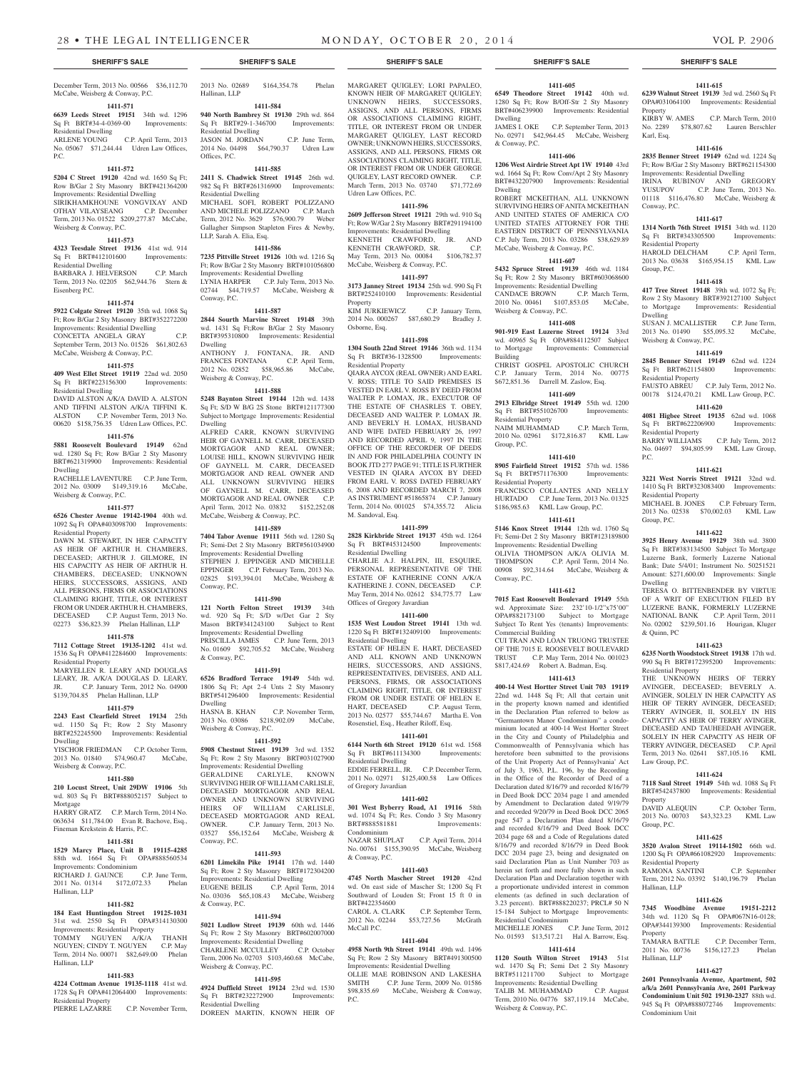C.P. April Term, 2013

December Term, 2013 No. 00566 \$36,112.70

No. 05067 \$71,244.44 Udren Law Offices,

**1411-572 5204 C Street 19120** 42nd wd. 1650 Sq Ft; Row B/Gar 2 Sty Masonry BRT#421364200 Improvements: Residential Dwelling SIRIKHAMKHOUNE VONGVIXAY AND OTHAY VILAYSEANG C.P. December Term, 2013 No. 01522 \$209,277.87 McCabe,

**1411-573 4323 Teesdale Street 19136** 41st wd. 914 Sq Ft BRT#412101600 Improvements:

BARBARA J. HELVERSON C.P. March Term, 2013 No. 02205 \$62,944.76 Stern &

**1411-574 5922 Colgate Street 19120** 35th wd. 1068 Sq Ft; Row B/Gar 2 Sty Masonry BRT#352272200 Improvements: Residential Dwelling CONCETTA ANGELA GRAY C.P. September Term, 2013 No. 01526 \$61,802.63 McCabe, Weisberg & Conway, P.C. **1411-575 409 West Ellet Street 19119** 22nd wd. 2050 Sq Ft BRT#223156300 Improvements:

DAVID ALSTON A/K/A DAVID A. ALSTON AND TIFFINI ALSTON A/K/A TIFFINI K. ALSTON C.P. November Term, 2013 No. 00620 \$158,756.35 Udren Law Offices, P.C. **1411-576 5881 Roosevelt Boulevard 19149** 62nd wd. 1280 Sq Ft; Row B/Gar 2 Sty Masonry BRT#621319900 Improvements: Residential

RACHELLE LAVENTURE C.P. June Term, 2012 No. 03009 \$149,319.16 McCabe,

**1411-577 6526 Chester Avenue 19142-1904** 40th wd. 1092 Sq Ft OPA#403098700 Improvements:

DAWN M. STEWART, IN HER CAPACITY AS HEIR OF ARTHUR H. CHAMBERS, DECEASED; ARTHUR J. GILMORE, IN HIS CAPACITY AS HEIR OF ARTHUR H. CHAMBERS, DECEASED; UNKNOWN HEIRS, SUCCESSORS, ASSIGNS, AND ALL PERSONS, FIRMS OR ASSOCIATIONS CLAIMING RIGHT, TITLE, OR INTEREST FROM OR UNDER ARTHUR H. CHAMBERS,<br>DECEASED C.P. August Term. 2013 No.

02273 \$36,823.39 Phelan Hallinan, LLP **1411-578 7112 Cottage Street 19135-1202** 41st wd. 1536 Sq Ft OPA#412284600 Improvements:

MARYELLEN R. LEARY AND DOUGLAS LEARY, JR. A/K/A DOUGLAS D. LEARY, JR. C.P. January Term, 2012 No. 04900 \$139,704.85 Phelan Hallinan, LLP **1411-579 2243 East Clearfield Street 19134** 25th wd. 1150 Sq Ft; Row 2 Sty Masonry BRT#252245500 Improvements: Residential

YISCHOR FRIEDMAN C.P. October Term, 2013 No. 01840 \$74,960.47 McCabe,

**1411-580**

C.P. August Term, 2013 No.

McCabe, Weisberg & Conway, P.C. **1411-571 6639 Leeds Street 19151** 34th wd. 1296 Sq Ft BRT#34-4-0369-00 Improvements:

Residential Dwelling<br>ARLENE YOUNG

Weisberg & Conway, P.C.

Residential Dwelling

Residential Dwelling

Weisberg & Conway, P.C.

Residential Property

Residential Property

Dwelling

Mortgage

Weisberg & Conway, P.C.

Dwelling

Eisenberg P.C.

P.C.

2013 No. 02689 \$164,354.78 Phelan

**1411-584 940 North Bambrey St 19130** 29th wd. 864 Sq Ft BRT#29-1-346700 Improvements:

JASON M. JORDAN C.P. June Term, 2014 No. 04498 \$64,790.37 Udren Law

**1411-585 2411 S. Chadwick Street 19145** 26th wd. 982 Sq Ft BRT#261316900 Improvements:

MICHAEL SOFI, ROBERT POLIZZANO AND MICHELE POLIZZANO C.P. March Term, 2012 No. 3629 \$76,900.79 Weber Gallagher Simpson Stapleton Fires & Newby,

**1411-586 7235 Pittville Street 19126** 10th wd. 1216 Sq Ft; Row B/Gar 2 Sty Masonry BRT#101056800 Improvements: Residential Dwelling LYNIA HARPER C.P. July Term, 2013 No. 02744 \$44,719.57 McCabe, Weisberg &

**1411-587 2844 Sourth Marvine Street 19148** 39th wd. 1431 Sq Ft;Row B/Gar 2 Sty Masonry BRT#395310800 Improvements: Residential

ANTHONY J. FONTANA, JR. AND FRANCES FONTANA C.P. April Term, 2012 No. 02852 \$58,965.86 McCabe,

**1411-588 5248 Baynton Street 19144** 12th wd. 1438 Sq Ft; S/D W B/G 2S Stone BRT#121177300 Subject to Mortgage Improvements: Residential

ALFRED CARR, KNOWN SURVIVING HEIR OF GAYNELL M. CARR, DECEASED MORTGAGOR AND REAL OWNER; LOUISE HILL, KNOWN SURVIVING HEIR OF GAYNELL M. CARR, DECEASED MORTGAGOR AND REAL OWNER AND ALL UNKNOWN SURVIVING HEIRS OF GAYNELL M. CARR, DECEASED MORTGAGOR AND REAL OWNER C.P. April Term, 2012 No. 03832 \$152,252.08

McCabe, Weisberg & Conway, P.C. **1411-589 7404 Tabor Avenue 19111** 56th wd. 1280 Sq Ft; Semi-Det 2 Sty Masonry BRT#561034900 Improvements: Residential Dwelling STEPHEN J. EPPINGER AND MICHELLE EPPINGER C.P. February Term, 2013 No. 02825 \$193,394.01 McCabe, Weisberg &

**1411-590 121 North Felton Street 19139** 34th wd. 920 Sq Ft; S/D w/Det Gar 2 Sty Mason BRT#341243100 Subject to Rent Improvements: Residential Dwelling PRISCILLA JAMES C.P. June Term, 2013 No. 01609 \$92,705.52 McCabe, Weisberg

**1411-591 6526 Bradford Terrace 19149** 54th wd. 1806 Sq Ft; Apt 2-4 Unts 2 Sty Masonry BRT#541296400 Improvements: Residential

2013 No. 03086 \$218,902.09 McCabe,

**1411-592 5908 Chestnut Street 19139** 3rd wd. 1352 Sq Ft; Row 2 Sty Masonry BRT#031027900 Improvements: Residential Dwelling GERALDINE CARLYLE, KNOWN SURVIVING HEIR OF WILLIAM CARLISLE,

**1411-593 6201 Limekiln Pike 19141** 17th wd. 1440 Sq Ft; Row 2 Sty Masonry BRT#172304200 Improvements: Residential Dwelling EUGENE BEILIS C.P. April Term, 2014 No. 03036 \$65,108.43 McCabe, Weisberg

**1411-594 5021 Ludlow Street 19139** 60th wd. 1446 Sq Ft; Row 2 Sty Masonry BRT#602007000 Improvements: Residential Dwelling CHARLENE MCCULLEY C.P. October Term, 2006 No. 02703 \$103,460.68 McCabe,

**1411-595 4924 Duffield Street 19124** 23rd wd. 1530 Sq Ft BRT#232272900 Improvements:

DOREEN MARTIN, KNOWN HEIR OF

C.P. November Term.

Hallinan, LLP

Offices, P.C.

Residential Dwelling

Residential Dwelling

LLP, Sarah A. Elia, Esq.

Conway, P.C.

Dwelling

Dwelling

Conway, P.C.

& Conway, P.C.

Dwelling<br>HASNA B. KHAN

Weisberg & Conway, P.C.

Weisberg & Conway, P.C.

#### **SHERIFF'S SALE SHERIFF'S SALE SHERIFF'S SALE SHERIFF'S SALE SHERIFF'S SALE**

MARGARET QUIGLEY; LORI PAPALEO, KNOWN HEIR OF MARGARET QUIGLEY; UNKNOWN HEIRS, SUCCESSORS, ASSIGNS, AND ALL PERSONS, FIRMS OR ASSOCIATIONS CLAIMING RIGHT, TITLE, OR INTEREST FROM OR UNDER MARGARET QUIGLEY, LAST RECORD OWNER; UNKNOWN HEIRS, SUCCESSORS, ASSIGNS, AND ALL PERSONS, FIRMS OR ASSOCIATIONS CLAIMING RIGHT, TITLE, OR INTEREST FROM OR UNDER GEORGE QUIGLEY, LAST RECORD OWNER. C.P. March Term, 2013 No. 03740 \$71,772.69 Udren Law Offices, P.C.

#### **1411-596**

**2609 Jefferson Street 19121** 29th wd. 910 Sq Ft; Row W/Gar 2 Sty Masonry BRT#291194100 Improvements: Residential Dwelling KENNETH CRAWFORD, JR. AND KENNETH CRAWFORD, SR. C.P.

May Term, 2013 No. 00084 \$106,782.37 McCabe, Weisberg & Conway, P.C. **1411-597**

**3173 Janney Street 19134** 25th wd. 990 Sq Ft BRT#252410100 Improvements: Residential Property

KIM JURKIEWICZ C.P. January Term, 2014 No. 000267 \$87,680.29 Bradley J. Osborne, Esq.

#### **1411-598**

**1304 South 22nd Street 19146** 36th wd. 1134<br>
Sq Ft BRT#36-1328500 Improvements: Sq Ft BRT#36-1328500 Residential Property

QIARA AYCOX (REAL OWNER) AND EARL V. ROSS; TITLE TO SAID PREMISES IS VESTED IN EARL V. ROSS BY DEED FROM WALTER P. LOMAX, JR., EXECUTOR OF THE ESTATE OF CHASRLES T. OBEY, DECEASED AND WALTER P. LOMAX JR. AND BEVERLY H. LOMAX, HUSBAND AND WIFE DATED FEBRUARY 26, 1997 AND RECORDED APRIL 9, 1997 IN THE OFFICE OF THE RECORDER OF DEEDS IN AND FOR PHILADELPHIA COUNTY IN BOOK JTD 277 PAGE 91; TITLE IS FURTHER VESTED IN QIARA AYCOX BY DEED FROM EARL V. ROSS DATED FEBRUARY 6, 2008 AND RECORDED MARCH 7, 2008 AS INSTRUMENT #51865874 C.P. January Term, 2014 No. 001025 \$74,355.72 Alicia M. Sandoval, Esq.

#### **1411-599**

**2828 Kirkbride Street 19137** 45th wd. 1264 Sq Ft BRT#453124500 Residential Dwelling

CHARLIE A.J. HALPIN, III, ESQUIRE, PERSONAL REPRESENTATIVE OF THE ESTATE OF KATHERINE CONN A/K/A KATHERINE J. CONN, DECEASED C.P. May Term, 2014 No. 02612 \$34,775.77 Law Offices of Gregory Javardian

#### **1411-600**

**1535 West Loudon Street 19141** 13th wd. 1220 Sq Ft BRT#132409100 Improvements: Residential Dwelling ESTATE OF HELEN E. HART, DECEASED AND ALL KNOWN AND UNKNOWN

HEIRS, SUCCESSORS, AND ASSIGNS, REPRESENTATIVES, DEVISEES, AND ALL PERSONS, FIRMS, OR ASSOCIATIONS CLAIMING RIGHT, TITLE, OR INTEREST FROM OR UNDER ESTATE OF HELEN E. HART, DECEASED C.P. August Term, 2013 No. 02577 \$55,744.67 Martha E. Von Rosenstiel, Esq., Heather Riloff, Esq.

### **1411-601**

**6144 North 6th Street 19120** 61st wd. 1568 Sq Ft BRT#611134300 Improvements: Residential Dwelling

EDDIE FERRELL, JR. C.P. December Term, 2011 No. 02971 \$125,400.58 Law Offices of Gregory Javardian

#### **1411-602**

**301 West Byberry Road, A1 19116** 58th wd. 1074 Sq Ft; Res. Condo 3 Sty Masonry BRT#888581881 Improvements: Condominium

NAZAR SHUPLAT C.P. April Term, 2014 No. 00761 \$155,390.95 McCabe, Weisberg  $&$  Conway, P.C.

#### **1411-603**

**4745 North Mascher Street 19120** 42nd wd. On east side of Mascher St; 1200 Sq Ft Southward of Louden St; Front 15 ft 0 in BRT#422354600 CAROL A. CLARK C.P. September Term,

2012 No. 02244 \$53,727.56 McGrath McCall P.C.

### **1411-604**

**4958 North 9th Street 19141** 49th wd. 1496 Sq Ft; Row 2 Sty Masonry BRT#491300500 Improvements: Residential Dwelling

OLLIE MAE ROBINSON AND LAKESHA SMITH C.P. June Term, 2009 No. 01586 \$98,835.69 McCabe, Weisberg & Conway, P.C.

#### **1411-605**

**6549 Theodore Street 19142** 40th wd. 1280 Sq Ft; Row B/Off-Str 2 Sty Masonry BRT#406239900 Improvements: Residential Dwelling JAMES I. OKE C.P. September Term, 2013 No. 02971 \$42,964.45 McCabe, Weisberg

& Conway, P.C. **1411-606**

**1206 West Airdrie Street Apt 1W 19140** 43rd wd. 1664 Sq Ft; Row Conv/Apt 2 Sty Masonry BRT#432207900 Improvements: Residential Dwelling

ROBERT MCKEITHAN, ALL UNKNOWN SURVIVING HEIRS OF ANITA MCKEITHAN AND UNITED STATES OF AMERICA C/O UNITED STATES ATTORNEY FOR THE EASTERN DISTRICT OF PENNSYLVANIA C.P. July Term, 2013 No. 03286 \$38,629.89 McCabe, Weisberg & Conway, P.C.

**1411-607 5432 Spruce Street 19139** 46th wd. 1184 Sq Ft; Row 2 Sty Masonry BRT#603068600

Improvements: Residential Dwelling CANDACE BROWN C.P. March Term, 2010 No. 00461 \$107,853.05 McCabe,

### Weisberg & Conway, P.C. **1411-608**

**901-919 East Luzerne Street 19124** 33rd wd. 40965 Sq Ft OPA#884112507 Subject to Mortgage Improvements: Commercial Building CHRIST GOSPEL APOSTOLIC CHURCH

C.P. January Term, 2014 No. 00775 \$672,851.36 Darrell M. Zaslow, Esq. **1411-609**

### **2913 Elbridge Street 19149** 55th wd. 1200 Sq Ft BRT#551026700 Improvements:

Residential Property NAIM MUHAMMAD C.P. March Term, 2010 No. 02961 \$172,816.87 KML Law Group, P.C.

### **1411-610**

**8905 Fairfield Street 19152** 57th wd. 1586 Sq Ft BRT#571176300 Improvements: Residential Property FRANCISCO COLLANTES AND NELLY HURTADO C.P. June Term, 2013 No. 01325 \$186,985.63 KML Law Group, P.C. **1411-611**

#### **5146 Knox Street 19144** 12th wd. 1760 Sq

Ft; Semi-Det 2 Sty Masonry BRT#123189800 Improvements: Residential Dwelling OLIVIA THOMPSON A/K/A OLIVIA M. THOMPSON C.P. April Term, 2014 No. 00908 \$92,314.64 McCabe, Weisberg & Conway, P.C.

## **1411-612**

**7015 East Roosevelt Boulevard 19149** 55th wd. Approximate Size: 232'10-1/2"x75'00" OPA#882173100 Subject to Mortgage Subject To Rent Yes (tenants) Improvements: Commercial Building CUI TRAN AND LOAN TRUONG TRUSTEE OF THE 7015 E. ROOSEVELT BOULEVARD

TRUST C.P. May Term, 2014 No. 001023 \$817,424.69 Robert A. Badman, Esq. **1411-613**

**400-14 West Hortter Street Unit 703 19119**  22nd wd. 1448 Sq Ft; All that certain unit in the property known named and identified in the Declaration Plan referred to below as "Germantown Manor Condominium" a condominium located at 400-14 West Hortter Street in the City and County of Philadelphia and Commonwealth of Pennsylvania which has heretofore been submitted to the provisions of the Unit Property Act of Pennsylvania' Act of July 3, 1963, P.L. 196, by the Recording in the Office of the Recorder of Deed of a Declaration dated 8/16/79 and recorded 8/16/79 in Deed Book DCC 2034 page 1 and amended by Amendment to Declaration dated 9/19/79 and recorded 9/20/79 in Deed Book DCC 2065 page 547 a Declaration Plan dated 8/16/79 and recorded 8/16/79 and Deed Book DCC 2034 page 68 and a Code of Regulations dated 8/16/79 and recorded 8/16/79 in Deed Book DCC 2034 page 23, being and designated on said Declaration Plan as Unit Number 703 as herein set forth and more fully shown in such Declaration Plan and Declaration together with a proportionate undivided interest in common elements (as defined in such declaration of 3.23 percent). BRT#888220237; PRCL# 50 N 15-184 Subject to Mortgage Improvements:

Residential Condominium MICHELLE JONES C.P. June Term, 2012 No. 01593 \$13,517.21 Hal A. Barrow, Esq.

### **1411-614**

**1120 South Wilton Street 19143** 51st wd. 1470 Sq Ft; Semi Det 2 Sty Masonry BRT#511211700 Subject to Mortgage Improvements: Residential Dwelling TALIB M. MUHAMMAD C.P. August Term, 2010 No. 04776 \$87,119.14 McCabe, Weisberg & Conway, P.C.

#### **1411-615 6239 Walnut Street 19139** 3rd wd. 2560 Sq Ft

OPA#031064100 Improvements: Residential Property KIRBY W. AMES C.P. March Term, 2010 No. 2289 \$78,807.62 Lauren Berschler Karl, Esq.

### **1411-616**

**2835 Benner Street 19149** 62nd wd. 1224 Sq Ft; Row B/Gar 2 Sty Masonry BRT#621154300 Improvements: Residential Dwelling IRINA RUBINOV AND GREGORY YUSUPOV C.P. June Term, 2013 No. 01118 \$116,476.80 McCabe, Weisberg & Conway, P.C.

### **1411-617**

**1314 North 76th Street 19151** 34th wd. 1120 Sq Ft BRT#343305500 Improvements: Residential Property HAROLD DELCHAM C.P. April Term,

2013 No. 03638 \$165,954.15 KML Law Group, P.C. **1411-618**

#### **417 Tree Street 19148** 39th wd. 1072 Sq Ft; Row 2 Sty Masonry BRT#392127100 Subject to Mortgage Improvements: Residential Dwelling

SUSAN J. MCALLISTER C.P. June Term, 2013 No. 01490 \$55,095.32 McCabe, Weisberg & Conway, P.C.

### **1411-619**

**2845 Benner Street 19149** 62nd wd. 1224 Sq Ft BRT#621154800 Improvements:

Residential Property FAUSTO ABREU C.P. July Term, 2012 No. 00178 \$124,470.21 KML Law Group, P.C.

### **1411-620**

**4081 Higbee Street 19135** 62nd wd. 1068 Sq Ft BRT#622206900 Improvements: Residential Property C.P. July Term, 2012

No. 04697 \$94,805.99 KML Law Group, P.C.

#### **1411-621**

**3221 West Norris Street 19121** 32nd wd. 1410 Sq Ft BRT#323083400 Improvements: Residential Property

MICHAEL B. JONES C.P. February Term, 2013 No. 02538 \$70,002.03 KML Law Group, P.C.

#### **1411-622**

**3925 Henry Avenue 19129** 38th wd. 3800 Sq Ft BRT#383134500 Subject To Mortgage Luzerne Bank, formerly Luzerne National Bank; Date 5/4/01; Instrument No. 50251521 Amount: \$271,600.00 Improvements: Single Dwelling

TERESA O. BITTENBENDER BY VIRTUE OF A WRIT OF EXECUTION FILED BY LUZERNE BANK, FORMERLY LUZERNE NATIONAL BANK C.P. April Term, 2011 No. 02002 \$239,501.16 Hourigan, Kluger & Quinn, PC

#### **1411-623**

**6235 North Woodstock Street 19138** 17th wd. 990 Sq Ft BRT#172395200 Improvements: Residential Property

THE UNKNOWN HEIRS OF TERRY AVINGER, DECEASED; BEVERLY A. AVINGER, SOLELY IN HER CAPACITY AS HEIR OF TERRY AVINGER, DECEASED; TERRY AVINGER, II, SOLELY IN HIS CAPACITY AS HEIR OF TERRY AVINGER, DECEASED AND TAUHEEDAH AVINGER, SOLELY IN HER CAPACITY AS HEIR OF TERRY AVINGER, DECEASED C.P. April Term, 2013 No. 02641 \$87,105.16 KML Law Group, P.C.

### **1411-624**

**7118 Saul Street 19149** 54th wd. 1088 Sq Ft BRT#542437800 Improvements: Residential Property

DAVID ALEQUIN C.P. October Term, 2013 No. 00703 \$43,323.23 KML Law Group, P.C.

### **1411-625**

**3520 Avalon Street 19114-1502** 66th wd. 1200 Sq Ft OPA#661082920 Improvements: Residential Property

RAMONA SANTINI C.P. September Term, 2012 No. 03392 \$140,196.79 Phelan Hallinan, LLP

### **1411-626**

**7345 Woodbine Avenue 19151-2212**  34th wd. 1120 Sq Ft OPA#067N16-0128; OPA#344139300 Improvements: Residential Property TAMARA BATTLE C.P. December Term,

2011 No. 00736 \$156,127.23 Phelan Hallinan, LLP

### **1411-627**

**2601 Pennsylvania Avenue, Apartment, 502 a/k/a 2601 Pennsylvania Ave, 2601 Parkway Condominium Unit 502 19130-2327** 88th wd. 945 Sq Ft OPA#888072746 Improvements: Condominium Unit

#### **210 Locust Street, Unit 29DW 19106** 5th wd. 803 Sq Ft BRT#888052157 Subject to HARRY GRATZ C.P. March Term, 2014 No. 063634 \$11,784.00 Evan R. Bachove, Esq., DECEASED MORTGAGOR AND REAL OWNER AND UNKNOWN SURVIVING HEIRS OF WILLIAM CARLISLE, DECEASED MORTGAGOR AND REAL OWNER. C.P. January Term, 2013 No. 03527 \$56,152.64 McCabe, Weisberg & Conway, P.C.

& Conway, P.C.

Weisberg & Conway, P.C.

Residential Dwelling

#### **1411-581**

**1529 Marcy Place, Unit B 19115-4285** 

Fineman Krekstein & Harris, P.C.

## 88th wd. 1664 Sq Ft OPA#888560534

Improvements: Condominium<br>RICHARD J. GAUNCE C.P. June Term, RICHARD J. GAUNCE 2011 No. 01314 \$172,072.33 Phelan Hallinan, LLP

#### **1411-582**

**184 East Huntingdon Street 19125-1031**  31st wd. 2550 Sq Ft OPA#314130300 Improvements: Residential Property TOMMY NGUYEN A/K/A THANH NGUYEN; CINDY T. NGUYEN C.P. May Term, 2014 No. 00071 \$82,649.00 Phelan Hallinan, LLP

#### **1411-583 4224 Cottman Avenue 19135-1118** 41st wd.

Residential Property

1728 Sq Ft OPA#412064400 Improvements:

PIERRE LAZARRE C.P. November Term,